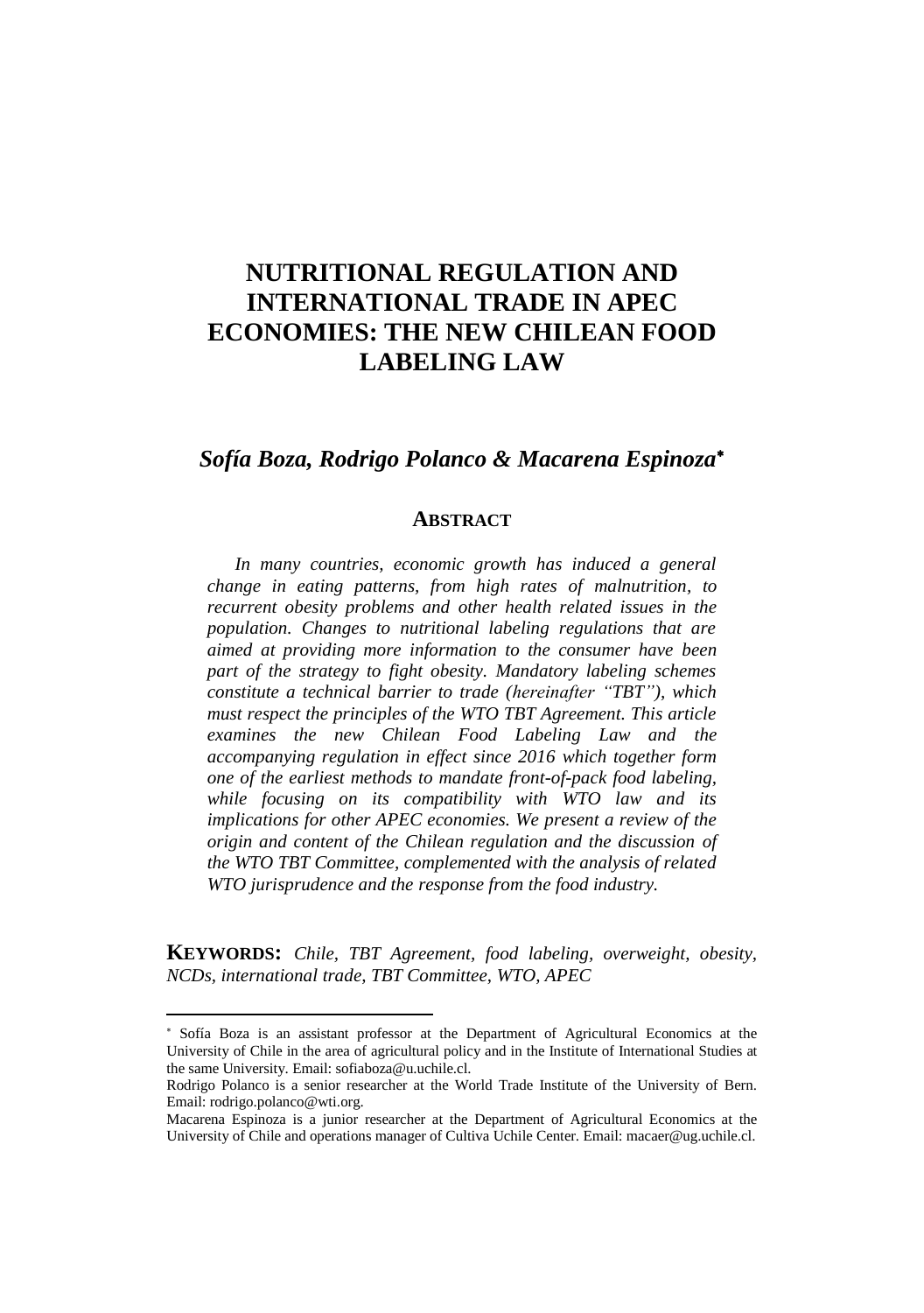# **NUTRITIONAL REGULATION AND INTERNATIONAL TRADE IN APEC ECONOMIES: THE NEW CHILEAN FOOD LABELING LAW**

# *Sofía Boza, Rodrigo Polanco & Macarena Espinoza*

#### **ABSTRACT**

*In many countries, economic growth has induced a general change in eating patterns, from high rates of malnutrition, to recurrent obesity problems and other health related issues in the population. Changes to nutritional labeling regulations that are aimed at providing more information to the consumer have been part of the strategy to fight obesity. Mandatory labeling schemes constitute a technical barrier to trade (hereinafter "TBT"), which must respect the principles of the WTO TBT Agreement. This article examines the new Chilean Food Labeling Law and the accompanying regulation in effect since 2016 which together form one of the earliest methods to mandate front-of-pack food labeling, while focusing on its compatibility with WTO law and its implications for other APEC economies. We present a review of the origin and content of the Chilean regulation and the discussion of the WTO TBT Committee, complemented with the analysis of related WTO jurisprudence and the response from the food industry.*

**KEYWORDS:** *Chile, TBT Agreement, food labeling, overweight, obesity, NCDs, international trade, TBT Committee, WTO, APEC*

Sofía Boza is an assistant professor at the Department of Agricultural Economics at the University of Chile in the area of agricultural policy and in the Institute of International Studies at the same University. Email: sofiaboza@u.uchile.cl.

Rodrigo Polanco is a senior researcher at the World Trade Institute of the University of Bern. Email: rodrigo.polanco@wti.org.

Macarena Espinoza is a junior researcher at the Department of Agricultural Economics at the University of Chile and operations manager of Cultiva Uchile Center. Email: macaer@ug.uchile.cl.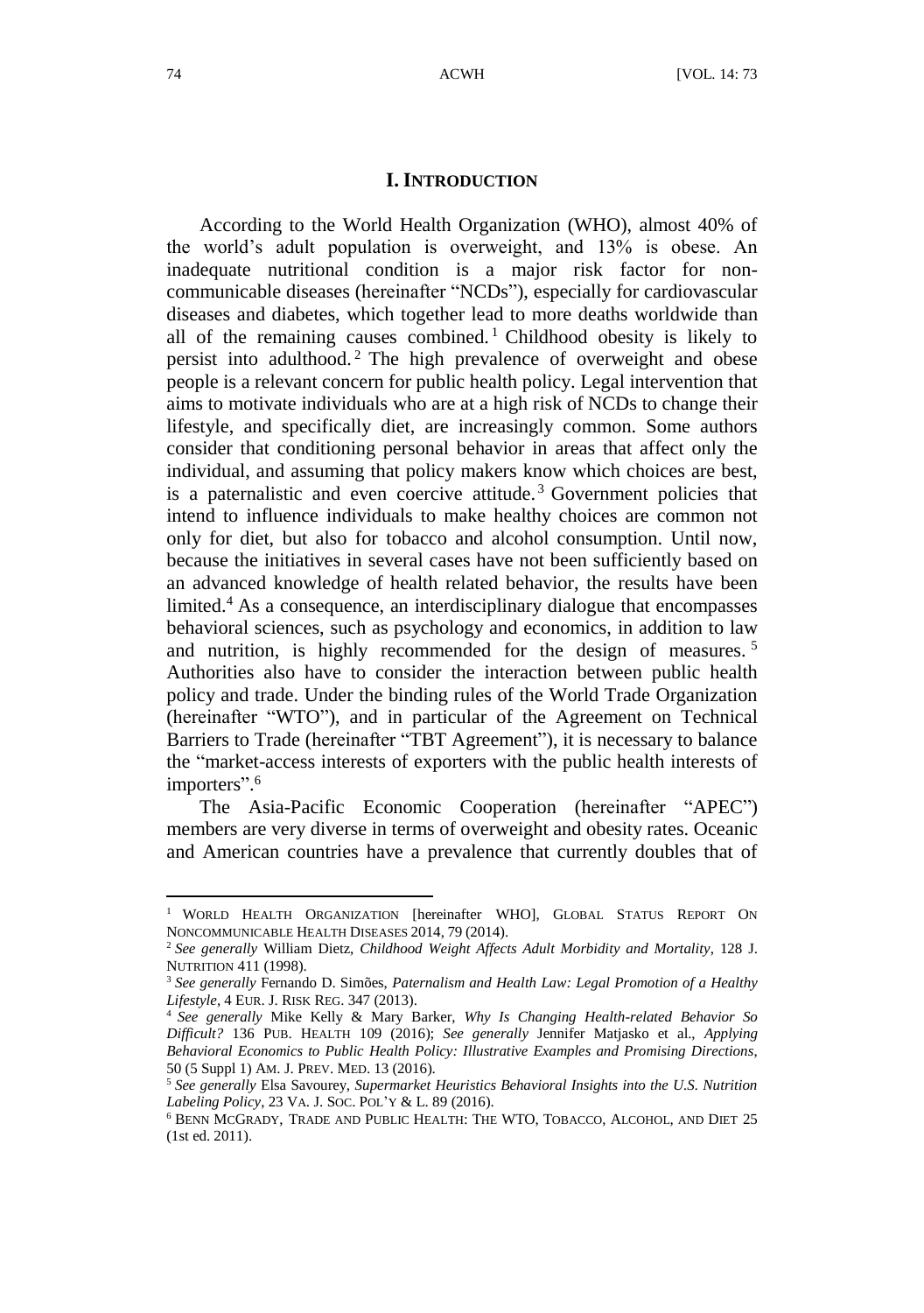#### **I. INTRODUCTION**

According to the World Health Organization (WHO), almost 40% of the world's adult population is overweight, and 13% is obese. An inadequate nutritional condition is a major risk factor for noncommunicable diseases (hereinafter "NCDs"), especially for cardiovascular diseases and diabetes, which together lead to more deaths worldwide than all of the remaining causes combined.<sup>1</sup> Childhood obesity is likely to persist into adulthood. <sup>2</sup> The high prevalence of overweight and obese people is a relevant concern for public health policy. Legal intervention that aims to motivate individuals who are at a high risk of NCDs to change their lifestyle, and specifically diet, are increasingly common. Some authors consider that conditioning personal behavior in areas that affect only the individual, and assuming that policy makers know which choices are best, is a paternalistic and even coercive attitude. <sup>3</sup> Government policies that intend to influence individuals to make healthy choices are common not only for diet, but also for tobacco and alcohol consumption. Until now, because the initiatives in several cases have not been sufficiently based on an advanced knowledge of health related behavior, the results have been limited. <sup>4</sup> As a consequence, an interdisciplinary dialogue that encompasses behavioral sciences, such as psychology and economics, in addition to law and nutrition, is highly recommended for the design of measures.<sup>5</sup> Authorities also have to consider the interaction between public health policy and trade. Under the binding rules of the World Trade Organization (hereinafter "WTO"), and in particular of the Agreement on Technical Barriers to Trade (hereinafter "TBT Agreement"), it is necessary to balance the "market-access interests of exporters with the public health interests of importers". 6

The Asia-Pacific Economic Cooperation (hereinafter "APEC") members are very diverse in terms of overweight and obesity rates. Oceanic and American countries have a prevalence that currently doubles that of

<sup>&</sup>lt;sup>1</sup> WORLD HEALTH ORGANIZATION [hereinafter WHO], GLOBAL STATUS REPORT ON NONCOMMUNICABLE HEALTH DISEASES 2014, 79 (2014).

<sup>2</sup> *See generally* William Dietz, *Childhood Weight Affects Adult Morbidity and Mortality*, 128 J. NUTRITION 411 (1998).

<sup>3</sup> *See generally* Fernando D. Simões, *Paternalism and Health Law: Legal Promotion of a Healthy Lifestyle*, 4 EUR. J. RISK REG. 347 (2013).

<sup>4</sup> *See generally* Mike Kelly & Mary Barker, *Why Is Changing Health-related Behavior So Difficult?* 136 PUB. HEALTH 109 (2016); *See generally* Jennifer Matjasko et al., *Applying Behavioral Economics to Public Health Policy: Illustrative Examples and Promising Directions*, 50 (5 Suppl 1) AM. J. PREV. MED. 13 (2016).

<sup>5</sup> *See generally* Elsa Savourey, *Supermarket Heuristics Behavioral Insights into the U.S. Nutrition Labeling Policy*, 23 VA. J. SOC. POL'Y & L. 89 (2016).

 $^6$  BENN MCGRADY, TRADE AND PUBLIC HEALTH: THE WTO, TOBACCO, ALCOHOL, AND DIET  $25\,$ (1st ed. 2011).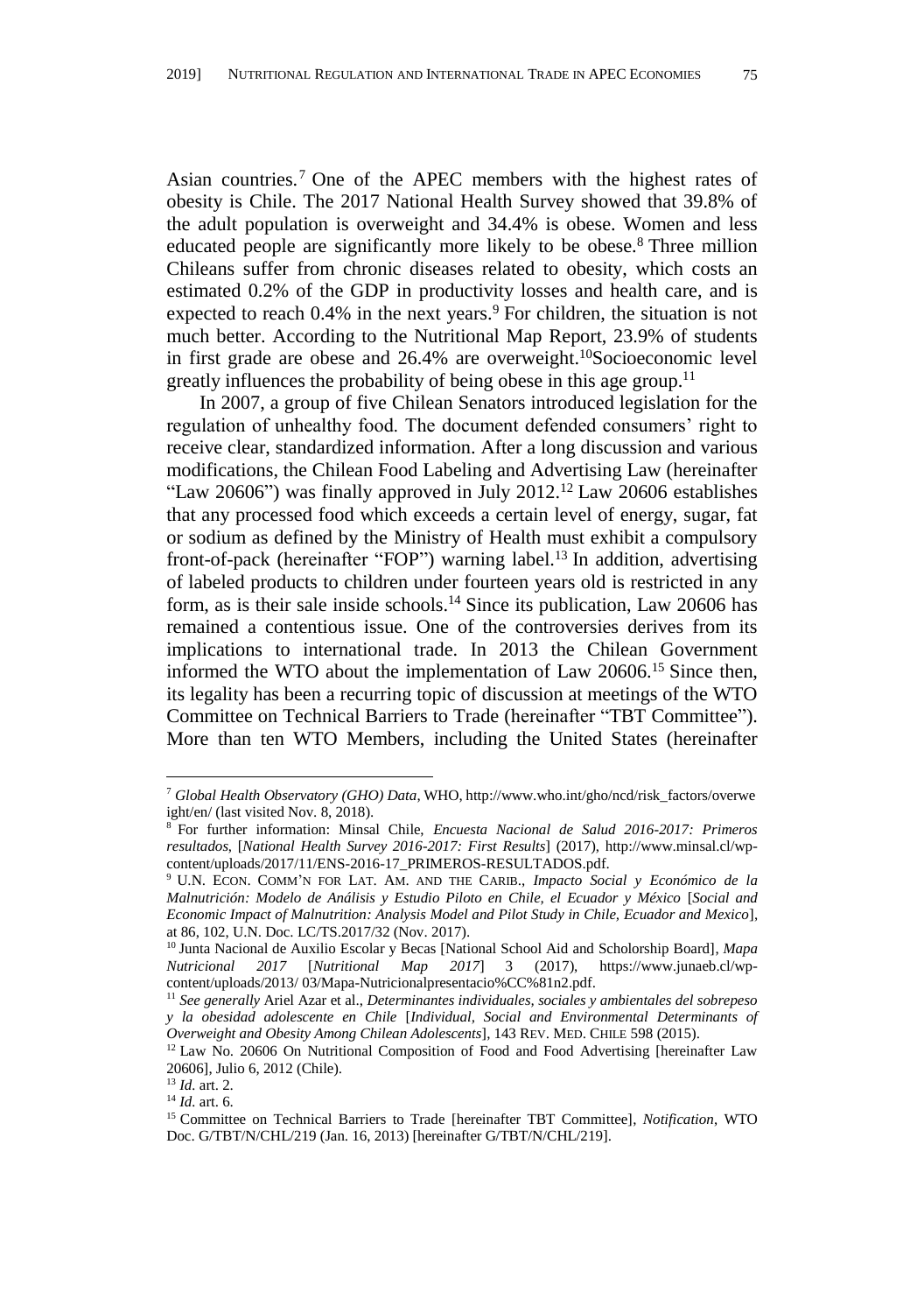Asian countries. <sup>7</sup> One of the APEC members with the highest rates of obesity is Chile. The 2017 National Health Survey showed that 39.8% of the adult population is overweight and 34.4% is obese. Women and less educated people are significantly more likely to be obese.<sup>8</sup> Three million Chileans suffer from chronic diseases related to obesity, which costs an estimated 0.2% of the GDP in productivity losses and health care, and is expected to reach  $0.4\%$  in the next years.<sup>9</sup> For children, the situation is not much better. According to the Nutritional Map Report, 23.9% of students in first grade are obese and 26.4% are overweight. <sup>10</sup>Socioeconomic level greatly influences the probability of being obese in this age group.<sup>11</sup>

<span id="page-2-0"></span>In 2007, a group of five Chilean Senators introduced legislation for the regulation of unhealthy food. The document defended consumers' right to receive clear, standardized information. After a long discussion and various modifications, the Chilean Food Labeling and Advertising Law (hereinafter "Law 20606") was finally approved in July 2012.<sup>12</sup> Law 20606 establishes that any processed food which exceeds a certain level of energy, sugar, fat or sodium as defined by the Ministry of Health must exhibit a compulsory front-of-pack (hereinafter "FOP") warning label.<sup>13</sup> In addition, advertising of labeled products to children under fourteen years old is restricted in any form, as is their sale inside schools.<sup>14</sup> Since its publication, Law 20606 has remained a contentious issue. One of the controversies derives from its implications to international trade. In 2013 the Chilean Government informed the WTO about the implementation of Law 20606.<sup>15</sup> Since then, its legality has been a recurring topic of discussion at meetings of the WTO Committee on Technical Barriers to Trade (hereinafter "TBT Committee"). More than ten WTO Members, including the United States (hereinafter

<span id="page-2-1"></span><sup>7</sup> *Global Health Observatory (GHO) Data*, WHO, http://www.who.int/gho/ncd/risk\_factors/overwe ight/en/ (last visited Nov. 8, 2018).

<sup>8</sup> For further information: Minsal Chile, *Encuesta Nacional de Salud 2016-2017: Primeros resultados*, [*National Health Survey 2016-2017: First Results*] (2017), http://www.minsal.cl/wpcontent/uploads/2017/11/ENS-2016-17\_PRIMEROS-RESULTADOS.pdf.

<sup>9</sup> U.N. ECON. COMM'N FOR LAT. AM. AND THE CARIB., *Impacto Social y Económico de la Malnutrición: Modelo de Análisis y Estudio Piloto en Chile, el Ecuador y México* [*Social and Economic Impact of Malnutrition: Analysis Model and Pilot Study in Chile, Ecuador and Mexico*], at 86, 102, U.N. Doc. LC/TS.2017/32 (Nov. 2017).

<sup>10</sup> Junta Nacional de Auxilio Escolar y Becas [National School Aid and Scholorship Board], *Mapa Nutricional 2017* [*Nutritional Map 2017*] 3 (2017), https://www.junaeb.cl/wpcontent/uploads/2013/ 03/Mapa-Nutricionalpresentacio%CC%81n2.pdf.

<sup>11</sup> *See generally* Ariel Azar et al., *Determinantes individuales, sociales y ambientales del sobrepeso y la obesidad adolescente en Chile* [*Individual, Social and Environmental Determinants of Overweight and Obesity Among Chilean Adolescents*], 143 REV. MED. CHILE 598 (2015).

<sup>&</sup>lt;sup>12</sup> Law No. 20606 On Nutritional Composition of Food and Food Advertising [hereinafter Law 20606], Julio 6, 2012 (Chile).

<sup>13</sup> *Id.* art. 2.

<sup>14</sup> *Id.* art. 6.

<sup>15</sup> Committee on Technical Barriers to Trade [hereinafter TBT Committee], *Notification*, WTO Doc. G/TBT/N/CHL/219 (Jan. 16, 2013) [hereinafter G/TBT/N/CHL/219].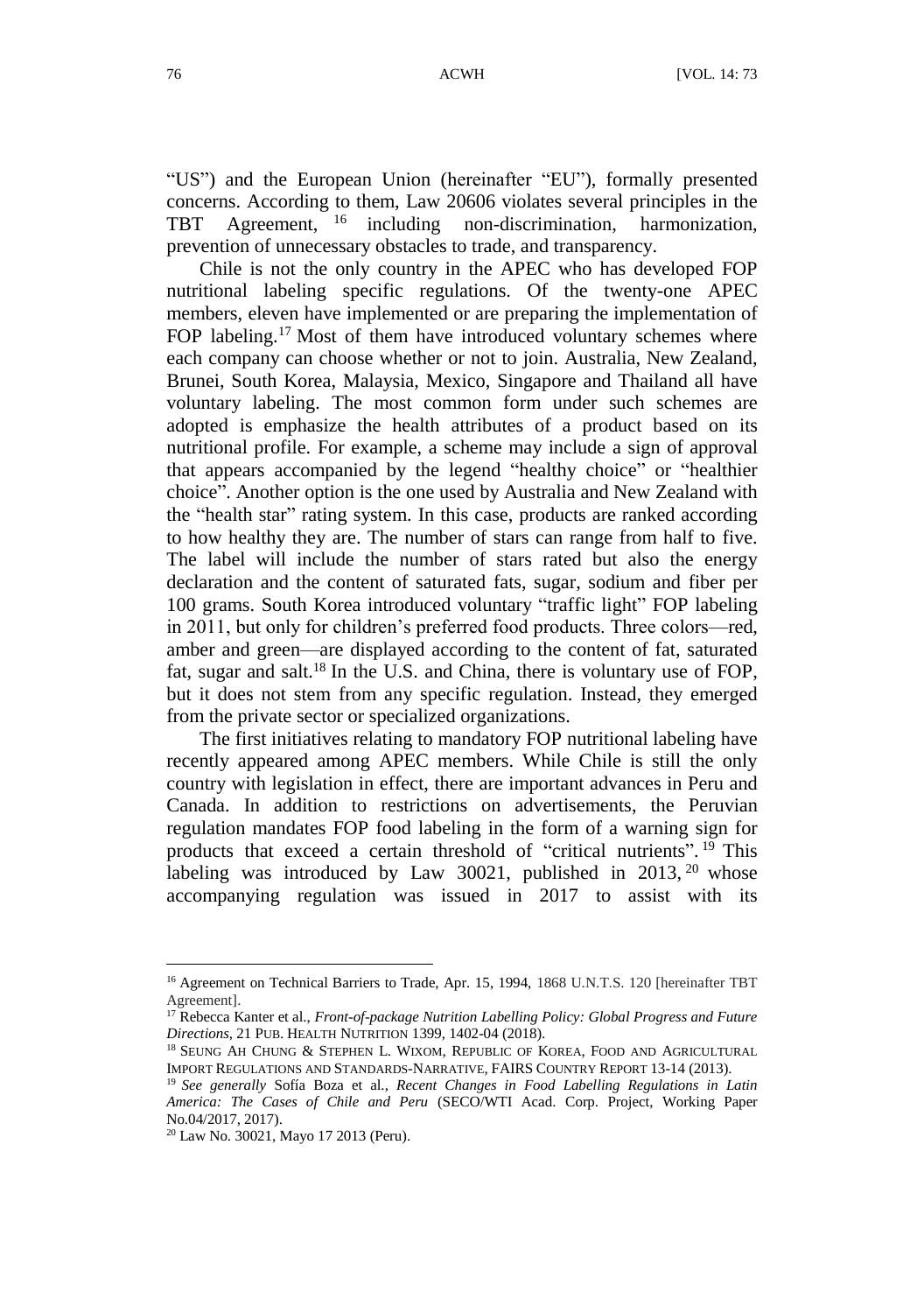<span id="page-3-1"></span>"US") and the European Union (hereinafter "EU"), formally presented concerns. According to them, Law 20606 violates several principles in the TBT Agreement, <sup>16</sup> including non-discrimination, harmonization, prevention of unnecessary obstacles to trade, and transparency.

<span id="page-3-0"></span>Chile is not the only country in the APEC who has developed FOP nutritional labeling specific regulations. Of the twenty-one APEC members, eleven have implemented or are preparing the implementation of FOP labeling.<sup>17</sup> Most of them have introduced voluntary schemes where each company can choose whether or not to join. Australia, New Zealand, Brunei, South Korea, Malaysia, Mexico, Singapore and Thailand all have voluntary labeling. The most common form under such schemes are adopted is emphasize the health attributes of a product based on its nutritional profile. For example, a scheme may include a sign of approval that appears accompanied by the legend "healthy choice" or "healthier choice". Another option is the one used by Australia and New Zealand with the "health star" rating system. In this case, products are ranked according to how healthy they are. The number of stars can range from half to five. The label will include the number of stars rated but also the energy declaration and the content of saturated fats, sugar, sodium and fiber per 100 grams. South Korea introduced voluntary "traffic light" FOP labeling in 2011, but only for children's preferred food products. Three colors—red, amber and green—are displayed according to the content of fat, saturated fat, sugar and salt.<sup>18</sup> In the U.S. and China, there is voluntary use of FOP, but it does not stem from any specific regulation. Instead, they emerged from the private sector or specialized organizations.

The first initiatives relating to mandatory FOP nutritional labeling have recently appeared among APEC members. While Chile is still the only country with legislation in effect, there are important advances in Peru and Canada. In addition to restrictions on advertisements, the Peruvian regulation mandates FOP food labeling in the form of a warning sign for products that exceed a certain threshold of "critical nutrients".<sup>19</sup> This labeling was introduced by Law 30021, published in  $2013$ ,  $20$  whose accompanying regulation was issued in 2017 to assist with its

<sup>&</sup>lt;sup>16</sup> Agreement on Technical Barriers to Trade, Apr. 15, 1994, 1868 U.N.T.S. 120 [hereinafter TBT Agreement].

<sup>17</sup> Rebecca Kanter et al., *Front-of-package Nutrition Labelling Policy: Global Progress and Future Directions*, 21 PUB. HEALTH NUTRITION 1399, 1402-04 (2018).

<sup>&</sup>lt;sup>18</sup> SEUNG AH CHUNG & STEPHEN L. WIXOM, REPUBLIC OF KOREA, FOOD AND AGRICULTURAL IMPORT REGULATIONS AND STANDARDS-NARRATIVE, FAIRS COUNTRY REPORT 13-14 (2013).

<sup>19</sup> *See generally* Sofía Boza et al., *Recent Changes in Food Labelling Regulations in Latin America: The Cases of Chile and Peru* (SECO/WTI Acad. Corp. Project, Working Paper No.04/2017, 2017).

<sup>20</sup> Law No. 30021, Mayo 17 2013 (Peru).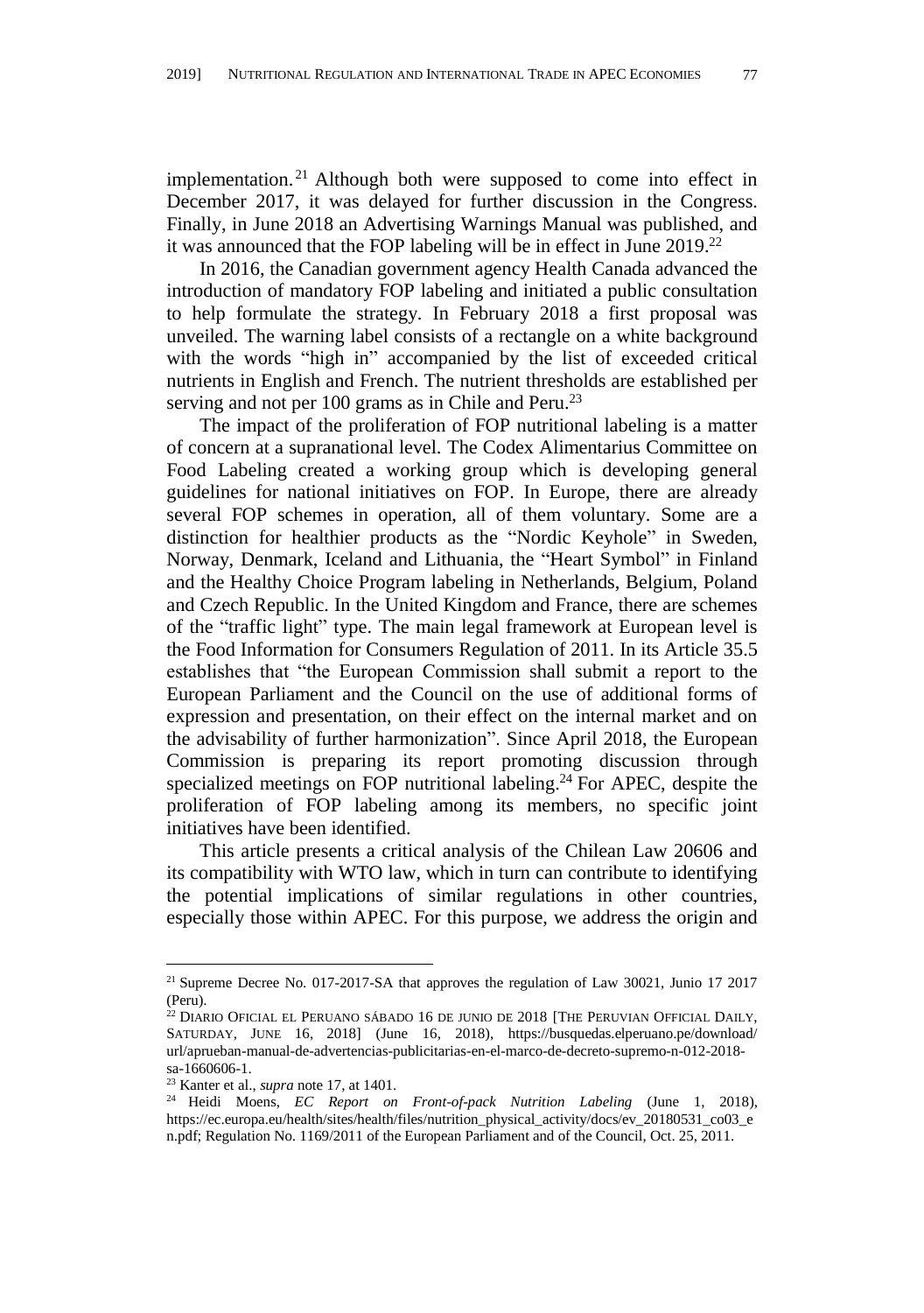implementation. <sup>21</sup> Although both were supposed to come into effect in December 2017, it was delayed for further discussion in the Congress. Finally, in June 2018 an Advertising Warnings Manual was published, and it was announced that the FOP labeling will be in effect in June 2019.<sup>22</sup>

In 2016, the Canadian government agency Health Canada advanced the introduction of mandatory FOP labeling and initiated a public consultation to help formulate the strategy. In February 2018 a first proposal was unveiled. The warning label consists of a rectangle on a white background with the words "high in" accompanied by the list of exceeded critical nutrients in English and French. The nutrient thresholds are established per serving and not per 100 grams as in Chile and Peru.<sup>23</sup>

The impact of the proliferation of FOP nutritional labeling is a matter of concern at a supranational level. The Codex Alimentarius Committee on Food Labeling created a working group which is developing general guidelines for national initiatives on FOP. In Europe, there are already several FOP schemes in operation, all of them voluntary. Some are a distinction for healthier products as the "Nordic Keyhole" in Sweden, Norway, Denmark, Iceland and Lithuania, the "Heart Symbol" in Finland and the Healthy Choice Program labeling in Netherlands, Belgium, Poland and Czech Republic. In the United Kingdom and France, there are schemes of the "traffic light" type. The main legal framework at European level is the Food Information for Consumers Regulation of 2011. In its Article 35.5 establishes that "the European Commission shall submit a report to the European Parliament and the Council on the use of additional forms of expression and presentation, on their effect on the internal market and on the advisability of further harmonization". Since April 2018, the European Commission is preparing its report promoting discussion through specialized meetings on FOP nutritional labeling. <sup>24</sup> For APEC, despite the proliferation of FOP labeling among its members, no specific joint initiatives have been identified.

This article presents a critical analysis of the Chilean Law 20606 and its compatibility with WTO law, which in turn can contribute to identifying the potential implications of similar regulations in other countries, especially those within APEC. For this purpose, we address the origin and

<sup>21</sup> Supreme Decree No. 017-2017-SA that approves the regulation of Law 30021, Junio 17 2017 (Peru).

 $^{22}$  DIARIO OFICIAL EL PERUANO SÁ BADO 16 DE JUNIO DE 2018 [THE PERUVIAN OFFICIAL DAILY, SATURDAY, JUNE 16, 2018] (June 16, 2018), https://busquedas.elperuano.pe/download/ url/aprueban-manual-de-advertencias-publicitarias-en-el-marco-de-decreto-supremo-n-012-2018 sa-1660606-1.

<sup>23</sup> Kanter et al., *supra* not[e 17,](#page-3-0) at 1401.

<sup>24</sup> Heidi Moens, *EC Report on Front-of-pack Nutrition Labeling* (June 1, 2018), https://ec.europa.eu/health/sites/health/files/nutrition\_physical\_activity/docs/ev\_20180531\_co03\_e n.pdf; Regulation No. 1169/2011 of the European Parliament and of the Council, Oct. 25, 2011.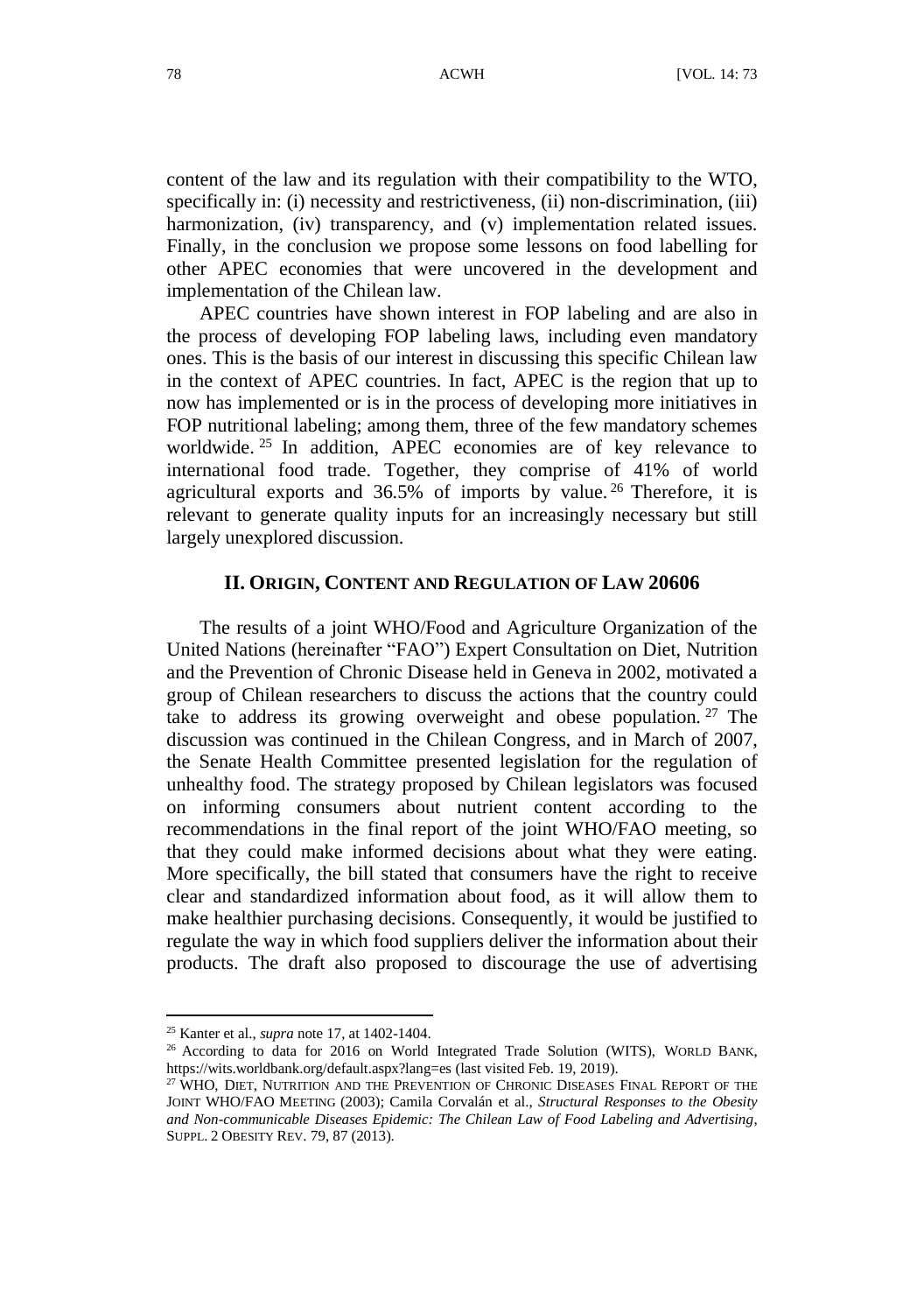content of the law and its regulation with their compatibility to the WTO, specifically in: (i) necessity and restrictiveness, (ii) non-discrimination, (iii) harmonization, (iv) transparency, and (v) implementation related issues. Finally, in the conclusion we propose some lessons on food labelling for other APEC economies that were uncovered in the development and implementation of the Chilean law.

APEC countries have shown interest in FOP labeling and are also in the process of developing FOP labeling laws, including even mandatory ones. This is the basis of our interest in discussing this specific Chilean law in the context of APEC countries. In fact, APEC is the region that up to now has implemented or is in the process of developing more initiatives in FOP nutritional labeling; among them, three of the few mandatory schemes worldwide.<sup>25</sup> In addition, APEC economies are of key relevance to international food trade. Together, they comprise of 41% of world agricultural exports and  $36.5\%$  of imports by value. <sup>26</sup> Therefore, it is relevant to generate quality inputs for an increasingly necessary but still largely unexplored discussion.

#### **II. ORIGIN, CONTENT AND REGULATION OF LAW 20606**

The results of a joint WHO/Food and Agriculture Organization of the United Nations (hereinafter "FAO") Expert Consultation on Diet, Nutrition and the Prevention of Chronic Disease held in Geneva in 2002, motivated a group of Chilean researchers to discuss the actions that the country could take to address its growing overweight and obese population.<sup>27</sup> The discussion was continued in the Chilean Congress, and in March of 2007, the Senate Health Committee presented legislation for the regulation of unhealthy food. The strategy proposed by Chilean legislators was focused on informing consumers about nutrient content according to the recommendations in the final report of the joint WHO/FAO meeting, so that they could make informed decisions about what they were eating. More specifically, the bill stated that consumers have the right to receive clear and standardized information about food, as it will allow them to make healthier purchasing decisions. Consequently, it would be justified to regulate the way in which food suppliers deliver the information about their products. The draft also proposed to discourage the use of advertising

<sup>25</sup> Kanter et al., *supra* not[e 17,](#page-3-0) at 1402-1404.

<sup>26</sup> According to data for 2016 on World Integrated Trade Solution (WITS), WORLD BANK, https://wits.worldbank.org/default.aspx?lang=es (last visited Feb. 19, 2019).

<sup>&</sup>lt;sup>27</sup> WHO, DIET, NUTRITION AND THE PREVENTION OF CHRONIC DISEASES FINAL REPORT OF THE JOINT WHO/FAO MEETING (2003); Camila Corvalán et al., *Structural Responses to the Obesity and Non-communicable Diseases Epidemic: The Chilean Law of Food Labeling and Advertising*, SUPPL. 2 OBESITY REV. 79, 87 (2013).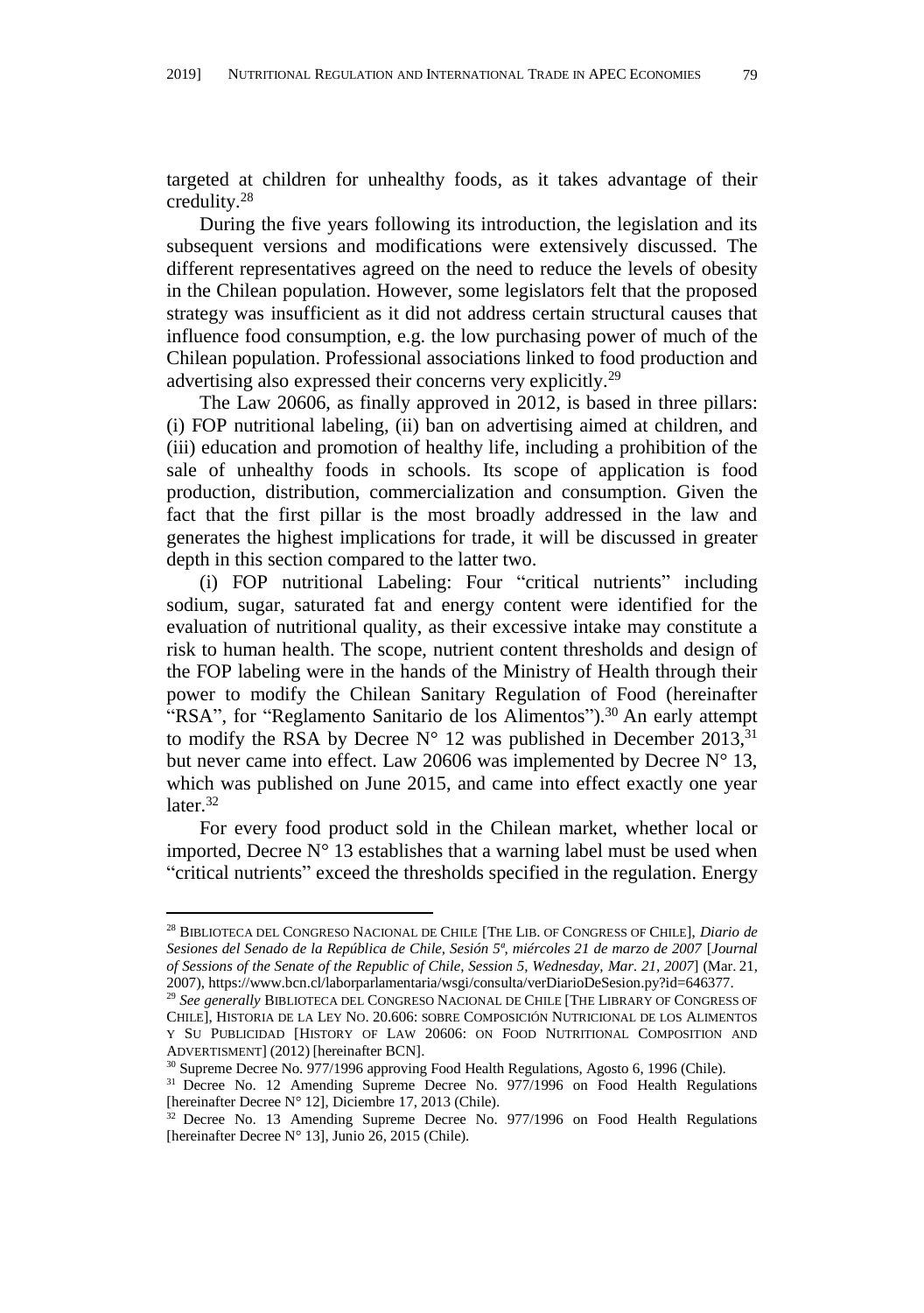targeted at children for unhealthy foods, as it takes advantage of their credulity.<sup>28</sup>

During the five years following its introduction, the legislation and its subsequent versions and modifications were extensively discussed. The different representatives agreed on the need to reduce the levels of obesity in the Chilean population. However, some legislators felt that the proposed strategy was insufficient as it did not address certain structural causes that influence food consumption, e.g. the low purchasing power of much of the Chilean population. Professional associations linked to food production and advertising also expressed their concerns very explicitly.<sup>29</sup>

<span id="page-6-1"></span>The Law 20606, as finally approved in 2012, is based in three pillars: (i) FOP nutritional labeling, (ii) ban on advertising aimed at children, and (iii) education and promotion of healthy life, including a prohibition of the sale of unhealthy foods in schools. Its scope of application is food production, distribution, commercialization and consumption. Given the fact that the first pillar is the most broadly addressed in the law and generates the highest implications for trade, it will be discussed in greater depth in this section compared to the latter two.

(i) FOP nutritional Labeling: Four "critical nutrients" including sodium, sugar, saturated fat and energy content were identified for the evaluation of nutritional quality, as their excessive intake may constitute a risk to human health. The scope, nutrient content thresholds and design of the FOP labeling were in the hands of the Ministry of Health through their power to modify the Chilean Sanitary Regulation of Food (hereinafter "RSA", for "Reglamento Sanitario de los Alimentos").<sup>30</sup> An early attempt to modify the RSA by Decree  $N^{\circ}$  12 was published in December 2013, <sup>31</sup> but never came into effect. Law 20606 was implemented by Decree  $N^{\circ}$  13, which was published on June 2015, and came into effect exactly one year later.<sup>32</sup>

<span id="page-6-0"></span>For every food product sold in the Chilean market, whether local or imported, Decree  $N^{\circ}$  13 establishes that a warning label must be used when "critical nutrients" exceed the thresholds specified in the regulation. Energy

1

<sup>28</sup> BIBLIOTECA DEL CONGRESO NACIONAL DE CHILE [THE LIB. OF CONGRESS OF CHILE], *Diario de Sesiones del Senado de la República de Chile, Sesión 5ª, miércoles 21 de marzo de 2007* [*Journal of Sessions of the Senate of the Republic of Chile, Session 5, Wednesday, Mar. 21, 2007*] (Mar. 21, 2007), https://www.bcn.cl/laborparlamentaria/wsgi/consulta/verDiarioDeSesion.py?id=646377.

<sup>29</sup> *See generally* BIBLIOTECA DEL CONGRESO NACIONAL DE CHILE [THE LIBRARY OF CONGRESS OF CHILE], HISTORIA DE LA LEY NO. 20.606: SOBRE COMPOSICIÓ N NUTRICIONAL DE LOS ALIMENTOS Y SU PUBLICIDAD [HISTORY OF LAW 20606: ON FOOD NUTRITIONAL COMPOSITION AND ADVERTISMENT] (2012) [hereinafter BCN].

<sup>&</sup>lt;sup>30</sup> Supreme Decree No. 977/1996 approving Food Health Regulations, Agosto 6, 1996 (Chile).

<sup>&</sup>lt;sup>31</sup> Decree No. 12 Amending Supreme Decree No. 977/1996 on Food Health Regulations [hereinafter Decree N° 12], Diciembre 17, 2013 (Chile).

<sup>&</sup>lt;sup>32</sup> Decree No. 13 Amending Supreme Decree No. 977/1996 on Food Health Regulations [hereinafter Decree N° 13], Junio 26, 2015 (Chile).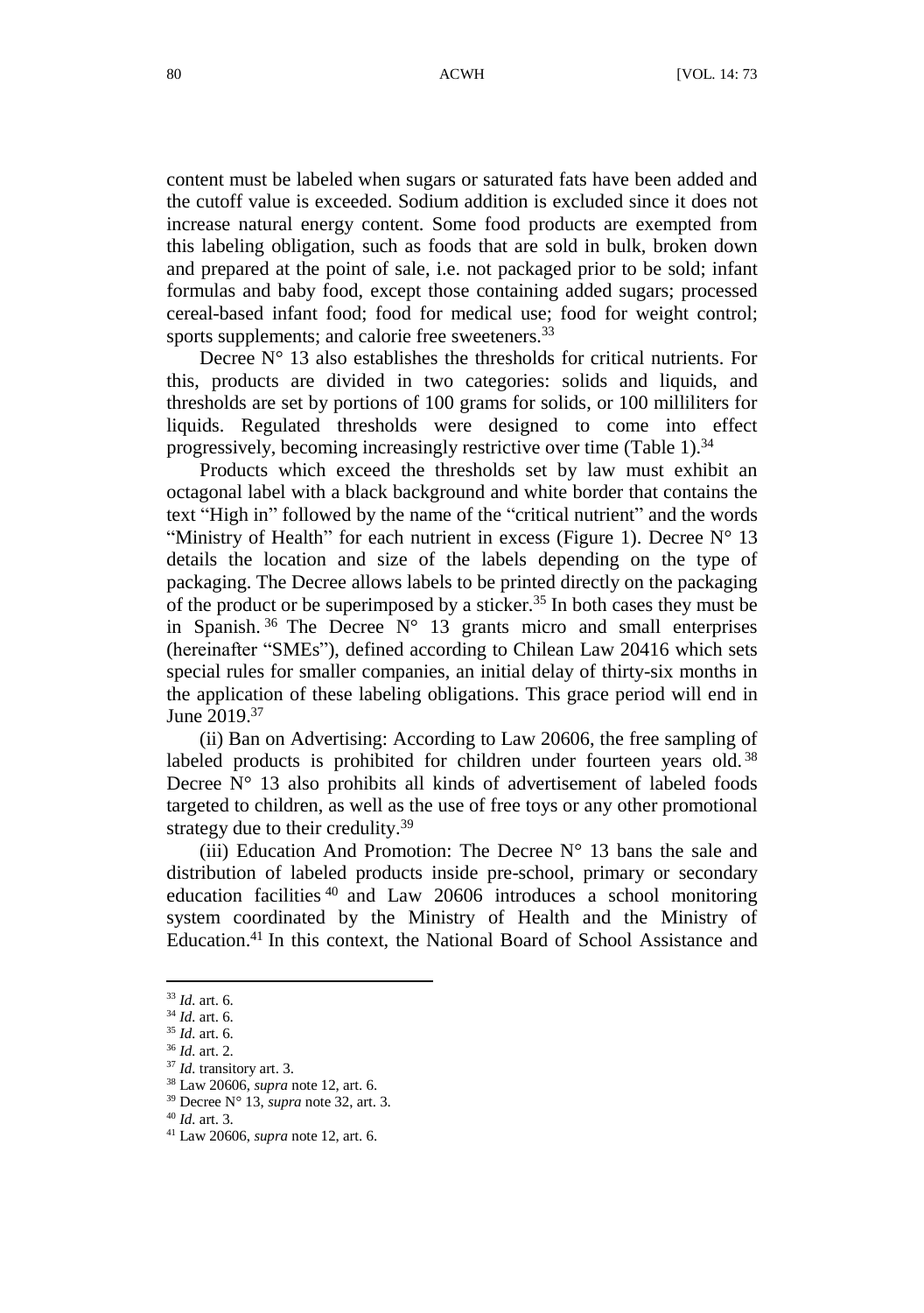content must be labeled when sugars or saturated fats have been added and the cutoff value is exceeded. Sodium addition is excluded since it does not increase natural energy content. Some food products are exempted from this labeling obligation, such as foods that are sold in bulk, broken down and prepared at the point of sale, i.e. not packaged prior to be sold; infant formulas and baby food, except those containing added sugars; processed cereal-based infant food; food for medical use; food for weight control; sports supplements; and calorie free sweeteners.<sup>33</sup>

Decree  $N^{\circ}$  13 also establishes the thresholds for critical nutrients. For this, products are divided in two categories: solids and liquids, and thresholds are set by portions of 100 grams for solids, or 100 milliliters for liquids. Regulated thresholds were designed to come into effect progressively, becoming increasingly restrictive over time (Table 1). $34$ 

Products which exceed the thresholds set by law must exhibit an octagonal label with a black background and white border that contains the text "High in" followed by the name of the "critical nutrient" and the words "Ministry of Health" for each nutrient in excess (Figure 1). Decree  $N^{\circ}$  13 details the location and size of the labels depending on the type of packaging. The Decree allows labels to be printed directly on the packaging of the product or be superimposed by a sticker.<sup>35</sup> In both cases they must be in Spanish.  $36$  The Decree N° 13 grants micro and small enterprises (hereinafter "SMEs"), defined according to Chilean Law 20416 which sets special rules for smaller companies, an initial delay of thirty-six months in the application of these labeling obligations. This grace period will end in June 2019.<sup>37</sup>

(ii) Ban on Advertising: According to Law 20606, the free sampling of labeled products is prohibited for children under fourteen years old.<sup>38</sup> Decree  $N^{\circ}$  13 also prohibits all kinds of advertisement of labeled foods targeted to children, as well as the use of free toys or any other promotional strategy due to their credulity.<sup>39</sup>

(iii) Education And Promotion: The Decree  $N^{\circ}$  13 bans the sale and distribution of labeled products inside pre-school, primary or secondary education facilities <sup>40</sup> and Law 20606 introduces a school monitoring system coordinated by the Ministry of Health and the Ministry of Education.<sup>41</sup> In this context, the National Board of School Assistance and

<sup>33</sup> *Id.* art. 6.

<sup>34</sup> *Id.* art. 6.

<sup>35</sup> *Id.* art. 6.

<sup>36</sup> *Id.* art. 2.

<sup>37</sup> *Id.* transitory art. 3.

<sup>38</sup> Law 20606, *supra* not[e 12,](#page-2-0) art. 6.

<sup>39</sup> Decree N° 13, *supra* not[e 32,](#page-6-0) art. 3.

<sup>40</sup> *Id.* art. 3.

<sup>41</sup> Law 20606, *supra* not[e 12,](#page-2-0) art. 6.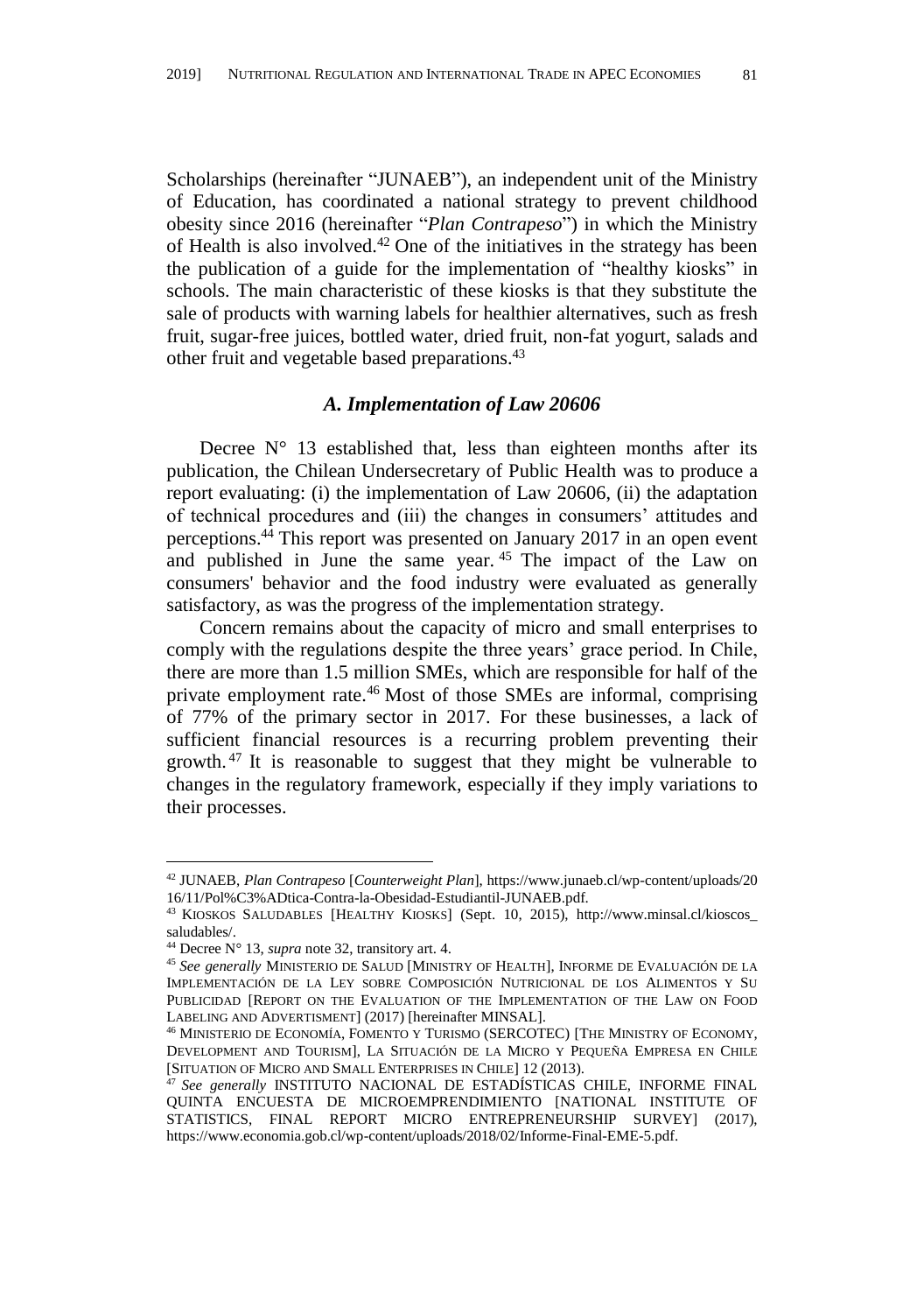Scholarships (hereinafter "JUNAEB"), an independent unit of the Ministry of Education, has coordinated a national strategy to prevent childhood obesity since 2016 (hereinafter "*Plan Contrapeso*") in which the Ministry of Health is also involved. $42$  One of the initiatives in the strategy has been the publication of a guide for the implementation of "healthy kiosks" in schools. The main characteristic of these kiosks is that they substitute the sale of products with warning labels for healthier alternatives, such as fresh fruit, sugar-free juices, bottled water, dried fruit, non-fat yogurt, salads and other fruit and vegetable based preparations.<sup>43</sup>

### <span id="page-8-0"></span>*A. Implementation of Law 20606*

Decree  $N^{\circ}$  13 established that, less than eighteen months after its publication, the Chilean Undersecretary of Public Health was to produce a report evaluating: (i) the implementation of Law 20606, (ii) the adaptation of technical procedures and (iii) the changes in consumers' attitudes and perceptions.<sup>44</sup> This report was presented on January 2017 in an open event and published in June the same year. <sup>45</sup> The impact of the Law on consumers' behavior and the food industry were evaluated as generally satisfactory, as was the progress of the implementation strategy.

Concern remains about the capacity of micro and small enterprises to comply with the regulations despite the three years' grace period. In Chile, there are more than 1.5 million SMEs, which are responsible for half of the private employment rate.<sup>46</sup> Most of those SMEs are informal, comprising of 77% of the primary sector in 2017. For these businesses, a lack of sufficient financial resources is a recurring problem preventing their growth. <sup>47</sup> It is reasonable to suggest that they might be vulnerable to changes in the regulatory framework, especially if they imply variations to their processes.

<sup>42</sup> JUNAEB, *Plan Contrapeso* [*Counterweight Plan*], https://www.junaeb.cl/wp-content/uploads/20 16/11/Pol%C3%ADtica-Contra-la-Obesidad-Estudiantil-JUNAEB.pdf.

<sup>43</sup> KIOSKOS SALUDABLES [HEALTHY KIOSKS] (Sept. 10, 2015), http://www.minsal.cl/kioscos\_ saludables/.

<sup>44</sup> Decree N° 13, *supra* not[e 32,](#page-6-0) transitory art. 4.

<sup>45</sup> *See generally* MINISTERIO DE SALUD [MINISTRY OF HEALTH], INFORME DE EVALUACIÓ N DE LA IMPLEMENTACIÓ N DE LA LEY SOBRE COMPOSICIÓ N NUTRICIONAL DE LOS ALIMENTOS Y SU PUBLICIDAD [REPORT ON THE EVALUATION OF THE IMPLEMENTATION OF THE LAW ON FOOD LABELING AND ADVERTISMENT] (2017) [hereinafter MINSAL].

<sup>46</sup> MINISTERIO DE ECONOMÍA, FOMENTO Y TURISMO (SERCOTEC) [THE MINISTRY OF ECONOMY, DEVELOPMENT AND TOURISM], LA SITUACIÓ N DE LA MICRO Y PEQUEÑ A EMPRESA EN CHILE [SITUATION OF MICRO AND SMALL ENTERPRISES IN CHILE] 12 (2013).

<sup>47</sup> *See generally* INSTITUTO NACIONAL DE ESTADÍSTICAS CHILE, INFORME FINAL QUINTA ENCUESTA DE MICROEMPRENDIMIENTO [NATIONAL INSTITUTE OF STATISTICS, FINAL REPORT MICRO ENTREPRENEURSHIP SURVEY] (2017), https://www.economia.gob.cl/wp-content/uploads/2018/02/Informe-Final-EME-5.pdf.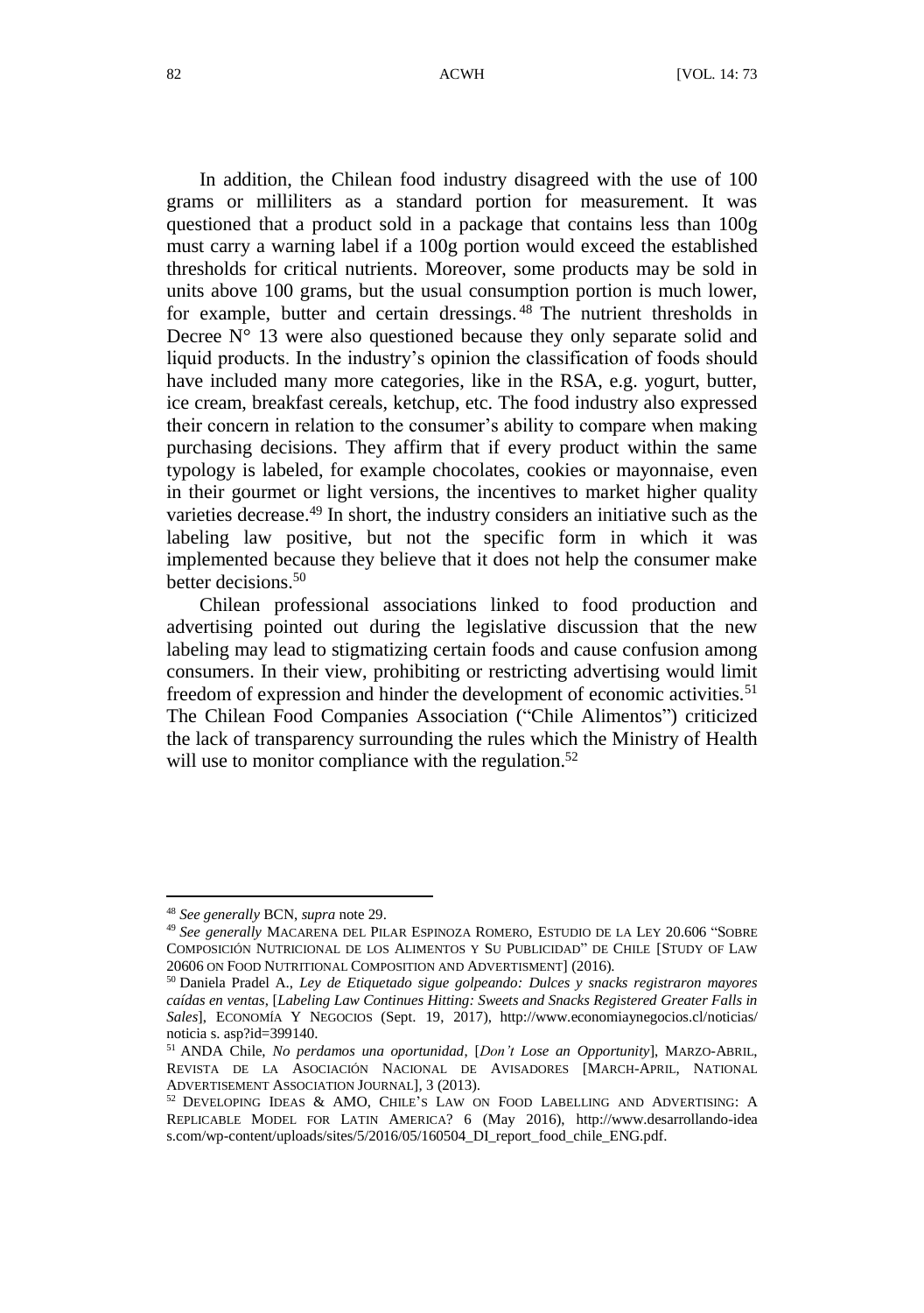In addition, the Chilean food industry disagreed with the use of 100 grams or milliliters as a standard portion for measurement. It was questioned that a product sold in a package that contains less than 100g must carry a warning label if a 100g portion would exceed the established thresholds for critical nutrients. Moreover, some products may be sold in units above 100 grams, but the usual consumption portion is much lower, for example, butter and certain dressings.<sup>48</sup> The nutrient thresholds in Decree  $N^{\circ}$  13 were also questioned because they only separate solid and liquid products. In the industry's opinion the classification of foods should have included many more categories, like in the RSA, e.g. yogurt, butter, ice cream, breakfast cereals, ketchup, etc. The food industry also expressed their concern in relation to the consumer's ability to compare when making purchasing decisions. They affirm that if every product within the same typology is labeled, for example chocolates, cookies or mayonnaise, even in their gourmet or light versions, the incentives to market higher quality varieties decrease.<sup>49</sup> In short, the industry considers an initiative such as the labeling law positive, but not the specific form in which it was implemented because they believe that it does not help the consumer make better decisions.<sup>50</sup>

Chilean professional associations linked to food production and advertising pointed out during the legislative discussion that the new labeling may lead to stigmatizing certain foods and cause confusion among consumers. In their view, prohibiting or restricting advertising would limit freedom of expression and hinder the development of economic activities.<sup>51</sup> The Chilean Food Companies Association ("Chile Alimentos") criticized the lack of transparency surrounding the rules which the Ministry of Health will use to monitor compliance with the regulation.<sup>52</sup>

<sup>48</sup> *See generally* BCN, *supra* not[e 29.](#page-6-1)

<sup>49</sup> *See generally* MACARENA DEL PILAR ESPINOZA ROMERO, ESTUDIO DE LA LEY 20.606 "SOBRE COMPOSICIÓ N NUTRICIONAL DE LOS ALIMENTOS Y SU PUBLICIDAD" DE CHILE [STUDY OF LAW 20606 ON FOOD NUTRITIONAL COMPOSITION AND ADVERTISMENT] (2016).

<sup>50</sup> Daniela Pradel A., *Ley de Etiquetado sigue golpeando: Dulces y snacks registraron mayores caídas en ventas*, [*Labeling Law Continues Hitting: Sweets and Snacks Registered Greater Falls in Sales*], ECONOMÍA Y NEGOCIOS (Sept. 19, 2017), http://www.economiaynegocios.cl/noticias/ noticia s. asp?id=399140.

<sup>51</sup> ANDA Chile, *No perdamos una oportunidad*, [*Don't Lose an Opportunity*], MARZO-ABRIL, REVISTA DE LA ASOCIACIÓ N NACIONAL DE AVISADORES [MARCH-APRIL, NATIONAL ADVERTISEMENT ASSOCIATION JOURNAL], 3 (2013).

<sup>52</sup> DEVELOPING IDEAS & AMO, CHILE'S LAW ON FOOD LABELLING AND ADVERTISING: A REPLICABLE MODEL FOR LATIN AMERICA? 6 (May 2016), http://www.desarrollando-idea s.com/wp-content/uploads/sites/5/2016/05/160504\_DI\_report\_food\_chile\_ENG.pdf.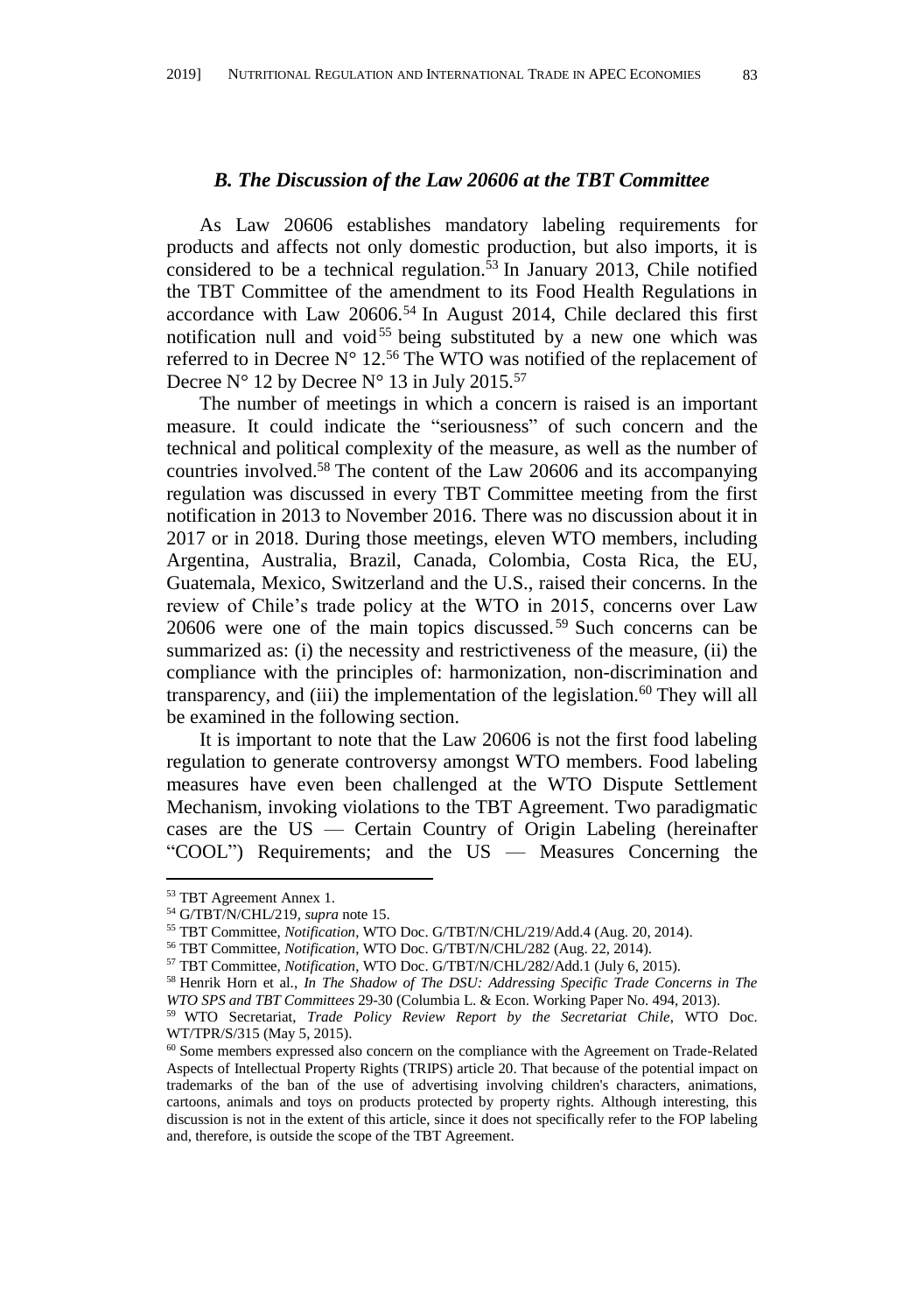#### *B. The Discussion of the Law 20606 at the TBT Committee*

As Law 20606 establishes mandatory labeling requirements for products and affects not only domestic production, but also imports, it is considered to be a technical regulation.<sup>53</sup> In January 2013, Chile notified the TBT Committee of the amendment to its Food Health Regulations in accordance with Law 20606.<sup>54</sup> In August 2014, Chile declared this first notification null and void<sup>55</sup> being substituted by a new one which was referred to in Decree  $N^{\circ}$  12.<sup>56</sup> The WTO was notified of the replacement of Decree N° 12 by Decree N° 13 in July 2015.<sup>57</sup>

The number of meetings in which a concern is raised is an important measure. It could indicate the "seriousness" of such concern and the technical and political complexity of the measure, as well as the number of countries involved.<sup>58</sup> The content of the Law 20606 and its accompanying regulation was discussed in every TBT Committee meeting from the first notification in 2013 to November 2016. There was no discussion about it in 2017 or in 2018. During those meetings, eleven WTO members, including Argentina, Australia, Brazil, Canada, Colombia, Costa Rica, the EU, Guatemala, Mexico, Switzerland and the U.S., raised their concerns. In the review of Chile's trade policy at the WTO in 2015, concerns over Law 20606 were one of the main topics discussed.<sup>59</sup> Such concerns can be summarized as: (i) the necessity and restrictiveness of the measure, (ii) the compliance with the principles of: harmonization, non-discrimination and transparency, and (iii) the implementation of the legislation. $60$  They will all be examined in the following section.

<span id="page-10-0"></span>It is important to note that the Law 20606 is not the first food labeling regulation to generate controversy amongst WTO members. Food labeling measures have even been challenged at the WTO Dispute Settlement Mechanism, invoking violations to the TBT Agreement. Two paradigmatic cases are the US — Certain Country of Origin Labeling (hereinafter "COOL") Requirements; and the US — Measures Concerning the

1

<sup>53</sup> TBT Agreement Annex 1.

<sup>54</sup> G/TBT/N/CHL/219, *supra* not[e 15.](#page-2-1)

<sup>55</sup> TBT Committee, *Notification*, WTO Doc. G/TBT/N/CHL/219/Add.4 (Aug. 20, 2014).

<sup>56</sup> TBT Committee, *Notification*, WTO Doc. G/TBT/N/CHL/282 (Aug. 22, 2014).

<sup>57</sup> TBT Committee, *Notification*, WTO Doc. G/TBT/N/CHL/282/Add.1 (July 6, 2015).

<sup>58</sup> Henrik Horn et al., *In The Shadow of The DSU: Addressing Specific Trade Concerns in The WTO SPS and TBT Committees* 29-30 (Columbia L. & Econ. Working Paper No. 494, 2013).

<sup>59</sup> WTO Secretariat, *Trade Policy Review Report by the Secretariat Chile*, WTO Doc. WT/TPR/S/315 (May 5, 2015).

<sup>&</sup>lt;sup>60</sup> Some members expressed also concern on the compliance with the Agreement on Trade-Related Aspects of Intellectual Property Rights (TRIPS) article 20. That because of the potential impact on trademarks of the ban of the use of advertising involving children's characters, animations, cartoons, animals and toys on products protected by property rights. Although interesting, this discussion is not in the extent of this article, since it does not specifically refer to the FOP labeling and, therefore, is outside the scope of the TBT Agreement.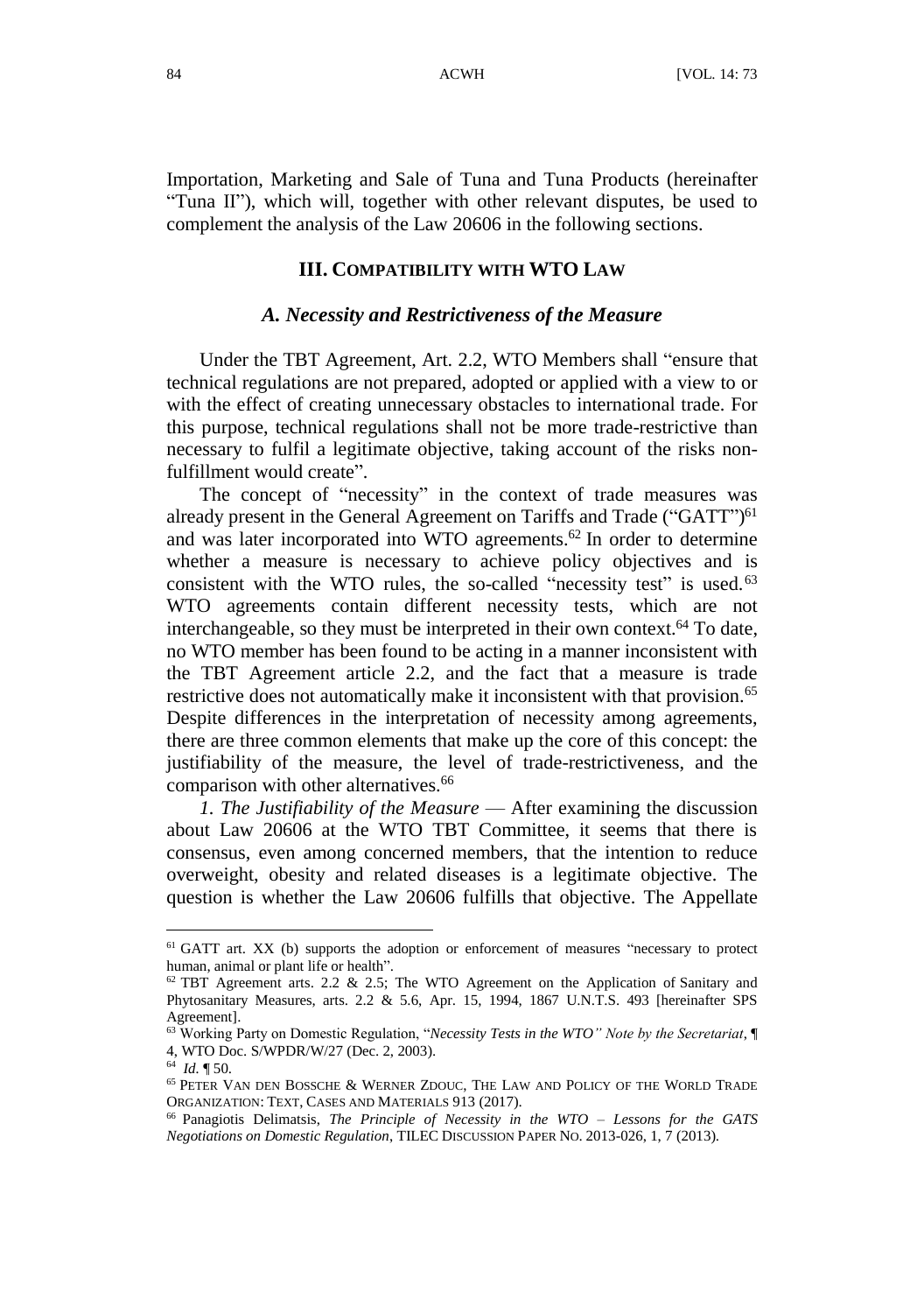Importation, Marketing and Sale of Tuna and Tuna Products (hereinafter "Tuna II"), which will, together with other relevant disputes, be used to complement the analysis of the Law 20606 in the following sections.

#### **III. COMPATIBILITY WITH WTO LAW**

#### *A. Necessity and Restrictiveness of the Measure*

Under the TBT Agreement, Art. 2.2, WTO Members shall "ensure that technical regulations are not prepared, adopted or applied with a view to or with the effect of creating unnecessary obstacles to international trade. For this purpose, technical regulations shall not be more trade-restrictive than necessary to fulfil a legitimate objective, taking account of the risks nonfulfillment would create".

The concept of "necessity" in the context of trade measures was already present in the General Agreement on Tariffs and Trade ("GATT")<sup>61</sup> and was later incorporated into WTO agreements.<sup>62</sup> In order to determine whether a measure is necessary to achieve policy objectives and is consistent with the WTO rules, the so-called "necessity test" is used. $63$ WTO agreements contain different necessity tests, which are not interchangeable, so they must be interpreted in their own context.<sup>64</sup> To date, no WTO member has been found to be acting in a manner inconsistent with the TBT Agreement article 2.2, and the fact that a measure is trade restrictive does not automatically make it inconsistent with that provision.<sup>65</sup> Despite differences in the interpretation of necessity among agreements, there are three common elements that make up the core of this concept: the justifiability of the measure, the level of trade-restrictiveness, and the comparison with other alternatives.<sup>66</sup>

<span id="page-11-0"></span>*1. The Justifiability of the Measure* — After examining the discussion about Law 20606 at the WTO TBT Committee, it seems that there is consensus, even among concerned members, that the intention to reduce overweight, obesity and related diseases is a legitimate objective. The question is whether the Law 20606 fulfills that objective. The Appellate

<sup>&</sup>lt;sup>61</sup> GATT art. XX (b) supports the adoption or enforcement of measures "necessary to protect human, animal or plant life or health".

 $62$  TBT Agreement arts. 2.2 & 2.5; The WTO Agreement on the Application of Sanitary and Phytosanitary Measures, arts. 2.2 & 5.6, Apr. 15, 1994, 1867 U.N.T.S. 493 [hereinafter SPS Agreement].

<sup>63</sup> Working Party on Domestic Regulation, "*Necessity Tests in the WTO" Note by the Secretariat*, ¶ 4, WTO Doc. S/WPDR/W/27 (Dec. 2, 2003).

<sup>64</sup> *Id.* ¶ 50.

<sup>65</sup> PETER VAN DEN BOSSCHE & WERNER ZDOUC, THE LAW AND POLICY OF THE WORLD TRADE ORGANIZATION: TEXT, CASES AND MATERIALS 913 (2017).

<sup>66</sup> Panagiotis Delimatsis, *The Principle of Necessity in the WTO – Lessons for the GATS Negotiations on Domestic Regulation*, TILEC DISCUSSION PAPER NO. 2013-026, 1, 7 (2013).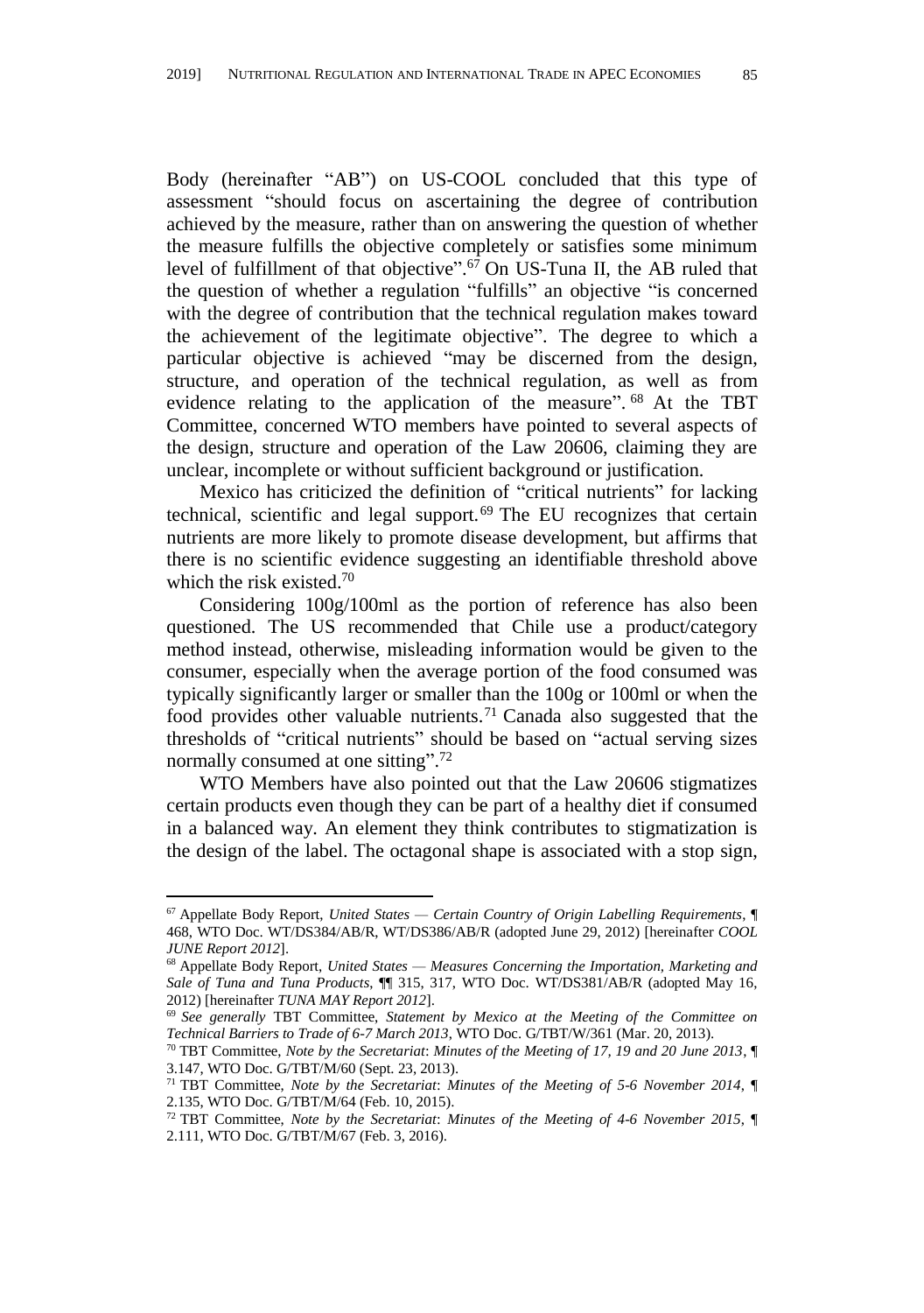Body (hereinafter "AB") on US-COOL concluded that this type of assessment "should focus on ascertaining the degree of contribution achieved by the measure, rather than on answering the question of whether the measure fulfills the objective completely or satisfies some minimum level of fulfillment of that objective".<sup>67</sup> On US-Tuna II, the AB ruled that the question of whether a regulation "fulfills" an objective "is concerned with the degree of contribution that the technical regulation makes toward the achievement of the legitimate objective". The degree to which a particular objective is achieved "may be discerned from the design, structure, and operation of the technical regulation, as well as from evidence relating to the application of the measure". <sup>68</sup> At the TBT Committee, concerned WTO members have pointed to several aspects of the design, structure and operation of the Law 20606, claiming they are unclear, incomplete or without sufficient background or justification.

<span id="page-12-2"></span>Mexico has criticized the definition of "critical nutrients" for lacking technical, scientific and legal support.<sup>69</sup> The EU recognizes that certain nutrients are more likely to promote disease development, but affirms that there is no scientific evidence suggesting an identifiable threshold above which the risk existed.<sup>70</sup>

<span id="page-12-3"></span>Considering 100g/100ml as the portion of reference has also been questioned. The US recommended that Chile use a product/category method instead, otherwise, misleading information would be given to the consumer, especially when the average portion of the food consumed was typically significantly larger or smaller than the 100g or 100ml or when the food provides other valuable nutrients.<sup>71</sup> Canada also suggested that the thresholds of "critical nutrients" should be based on "actual serving sizes normally consumed at one sitting".<sup>72</sup>

<span id="page-12-1"></span><span id="page-12-0"></span>WTO Members have also pointed out that the Law 20606 stigmatizes certain products even though they can be part of a healthy diet if consumed in a balanced way. An element they think contributes to stigmatization is the design of the label. The octagonal shape is associated with a stop sign,

<sup>67</sup> Appellate Body Report, *United States — Certain Country of Origin Labelling Requirements*, ¶ 468, WTO Doc. WT/DS384/AB/R, WT/DS386/AB/R (adopted June 29, 2012) [hereinafter *COOL JUNE Report 2012*].

<sup>68</sup> Appellate Body Report, *United States — Measures Concerning the Importation, Marketing and Sale of Tuna and Tuna Products*, ¶¶ 315, 317, WTO Doc. WT/DS381/AB/R (adopted May 16, 2012) [hereinafter *TUNA MAY Report 2012*].

<sup>69</sup> *See generally* TBT Committee, *Statement by Mexico at the Meeting of the Committee on Technical Barriers to Trade of 6-7 March 2013*, WTO Doc. G/TBT/W/361 (Mar. 20, 2013).

<sup>70</sup> TBT Committee, *Note by the Secretariat*: *Minutes of the Meeting of 17, 19 and 20 June 2013*, ¶ 3.147, WTO Doc. G/TBT/M/60 (Sept. 23, 2013).

<sup>71</sup> TBT Committee, *Note by the Secretariat*: *Minutes of the Meeting of 5-6 November 2014*, ¶ 2.135, WTO Doc. G/TBT/M/64 (Feb. 10, 2015).

<sup>72</sup> TBT Committee, *Note by the Secretariat*: *Minutes of the Meeting of 4-6 November 2015*, ¶ 2.111, WTO Doc. G/TBT/M/67 (Feb. 3, 2016).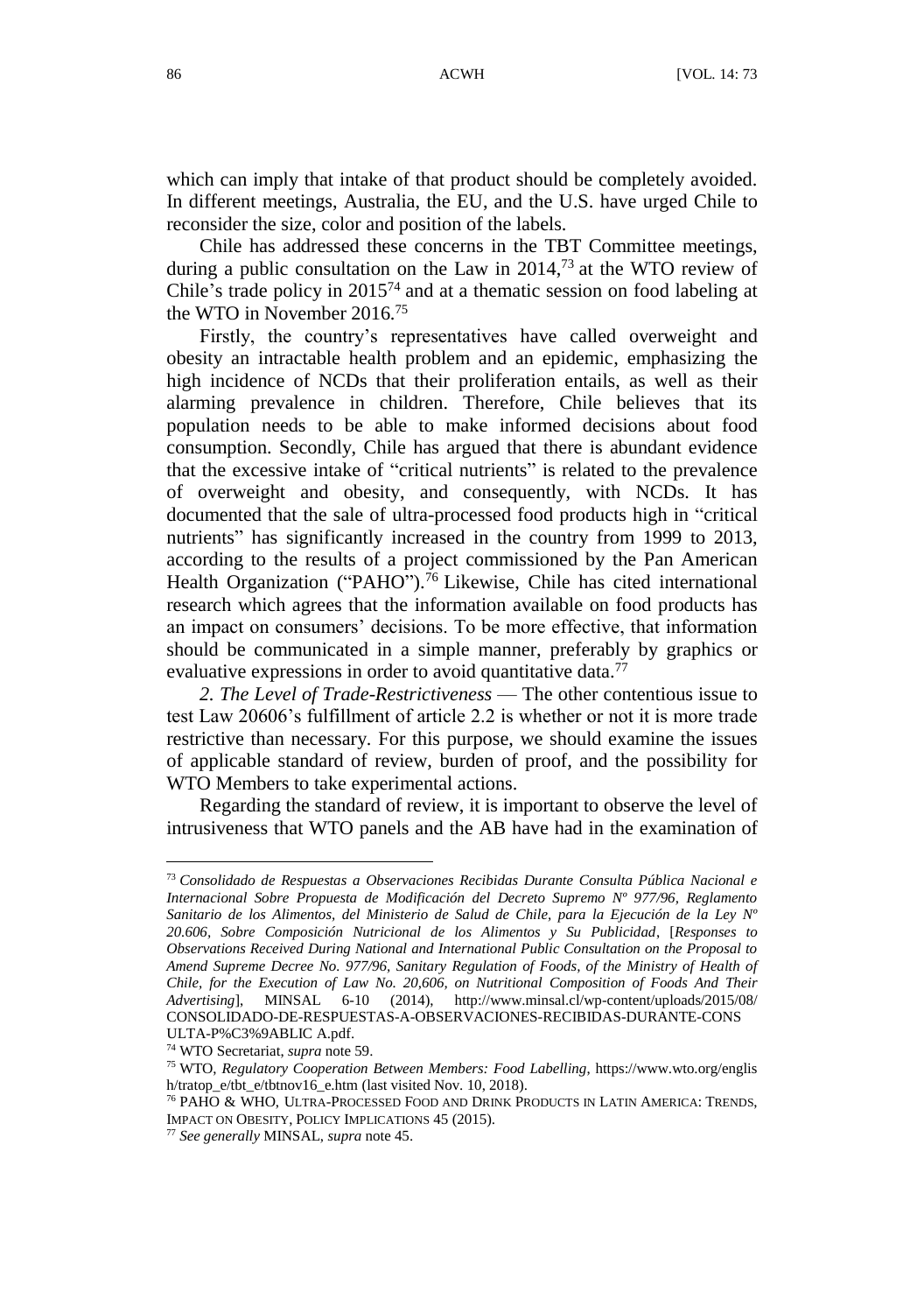which can imply that intake of that product should be completely avoided. In different meetings, Australia, the EU, and the U.S. have urged Chile to reconsider the size, color and position of the labels.

Chile has addressed these concerns in the TBT Committee meetings, during a public consultation on the Law in 2014,<sup>73</sup> at the WTO review of Chile's trade policy in  $2015^{74}$  and at a thematic session on food labeling at the WTO in November 2016.<sup>75</sup>

Firstly, the country's representatives have called overweight and obesity an intractable health problem and an epidemic, emphasizing the high incidence of NCDs that their proliferation entails, as well as their alarming prevalence in children. Therefore, Chile believes that its population needs to be able to make informed decisions about food consumption. Secondly, Chile has argued that there is abundant evidence that the excessive intake of "critical nutrients" is related to the prevalence of overweight and obesity, and consequently, with NCDs. It has documented that the sale of ultra-processed food products high in "critical nutrients" has significantly increased in the country from 1999 to 2013, according to the results of a project commissioned by the Pan American Health Organization ("PAHO"). <sup>76</sup> Likewise, Chile has cited international research which agrees that the information available on food products has an impact on consumers' decisions. To be more effective, that information should be communicated in a simple manner, preferably by graphics or evaluative expressions in order to avoid quantitative data.<sup>77</sup>

*2. The Level of Trade-Restrictiveness* — The other contentious issue to test Law 20606's fulfillment of article 2.2 is whether or not it is more trade restrictive than necessary. For this purpose, we should examine the issues of applicable standard of review, burden of proof, and the possibility for WTO Members to take experimental actions.

Regarding the standard of review, it is important to observe the level of intrusiveness that WTO panels and the AB have had in the examination of

<sup>74</sup> WTO Secretariat, *supra* not[e 59.](#page-10-0)

<sup>73</sup> *Consolidado de Respuestas a Observaciones Recibidas Durante Consulta Pública Nacional e Internacional Sobre Propuesta de Modificación del Decreto Supremo Nº 977/96, Reglamento Sanitario de los Alimentos, del Ministerio de Salud de Chile, para la Ejecución de la Ley Nº 20.606, Sobre Composición Nutricional de los Alimentos y Su Publicidad*, [*Responses to Observations Received During National and International Public Consultation on the Proposal to Amend Supreme Decree No. 977/96, Sanitary Regulation of Foods, of the Ministry of Health of Chile, for the Execution of Law No. 20,606, on Nutritional Composition of Foods And Their Advertising*], MINSAL 6-10 (2014), http://www.minsal.cl/wp-content/uploads/2015/08/ CONSOLIDADO-DE-RESPUESTAS-A-OBSERVACIONES-RECIBIDAS-DURANTE-CONS ULTA-P%C3%9ABLIC A.pdf.

<sup>75</sup> WTO, *Regulatory Cooperation Between Members: Food Labelling*, https://www.wto.org/englis h/tratop\_e/tbt\_e/tbtnov16\_e.htm (last visited Nov. 10, 2018).

<sup>76</sup> PAHO & WHO, ULTRA-PROCESSED FOOD AND DRINK PRODUCTS IN LATIN AMERICA: TRENDS, IMPACT ON OBESITY, POLICY IMPLICATIONS 45 (2015).

<sup>77</sup> *See generally* MINSAL, *supra* not[e 45.](#page-8-0)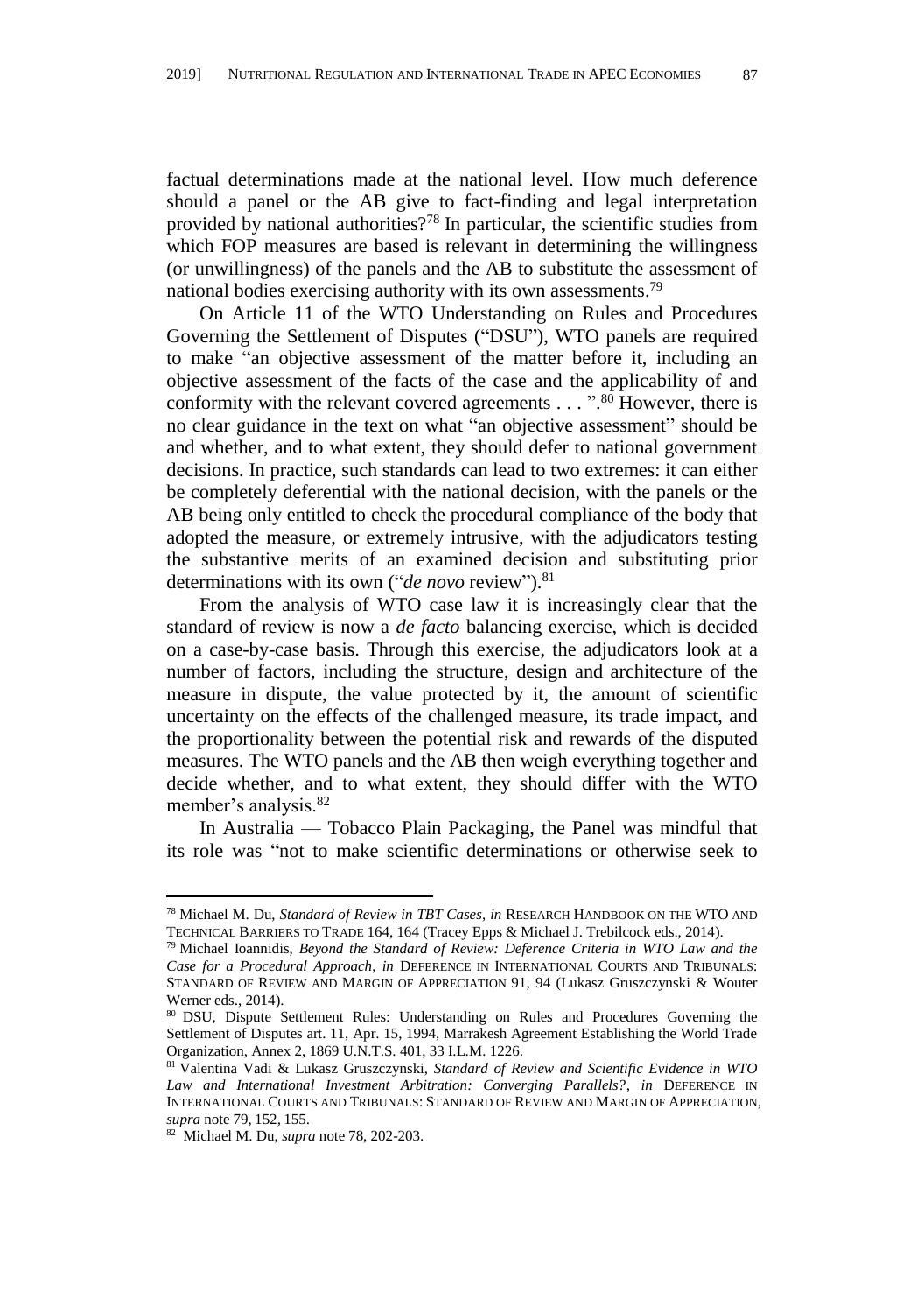factual determinations made at the national level. How much deference should a panel or the AB give to fact-finding and legal interpretation provided by national authorities?<sup>78</sup> In particular, the scientific studies from which FOP measures are based is relevant in determining the willingness (or unwillingness) of the panels and the AB to substitute the assessment of national bodies exercising authority with its own assessments.<sup>79</sup>

<span id="page-14-0"></span>On Article 11 of the WTO Understanding on Rules and Procedures Governing the Settlement of Disputes ("DSU"), WTO panels are required to make "an objective assessment of the matter before it, including an objective assessment of the facts of the case and the applicability of and conformity with the relevant covered agreements . . . ". <sup>80</sup> However, there is no clear guidance in the text on what "an objective assessment" should be and whether, and to what extent, they should defer to national government decisions. In practice, such standards can lead to two extremes: it can either be completely deferential with the national decision, with the panels or the AB being only entitled to check the procedural compliance of the body that adopted the measure, or extremely intrusive, with the adjudicators testing the substantive merits of an examined decision and substituting prior determinations with its own ("*de novo* review").<sup>81</sup>

From the analysis of WTO case law it is increasingly clear that the standard of review is now a *de facto* balancing exercise, which is decided on a case-by-case basis. Through this exercise, the adjudicators look at a number of factors, including the structure, design and architecture of the measure in dispute, the value protected by it, the amount of scientific uncertainty on the effects of the challenged measure, its trade impact, and the proportionality between the potential risk and rewards of the disputed measures. The WTO panels and the AB then weigh everything together and decide whether, and to what extent, they should differ with the WTO member's analysis.<sup>82</sup>

In Australia — Tobacco Plain Packaging, the Panel was mindful that its role was "not to make scientific determinations or otherwise seek to

<sup>78</sup> Michael M. Du, *Standard of Review in TBT Cases*, *in* RESEARCH HANDBOOK ON THE WTO AND TECHNICAL BARRIERS TO TRADE 164, 164 (Tracey Epps & Michael J. Trebilcock eds., 2014).

<sup>79</sup> Michael Ioannidis, *Beyond the Standard of Review: Deference Criteria in WTO Law and the Case for a Procedural Approach*, *in* DEFERENCE IN INTERNATIONAL COURTS AND TRIBUNALS: STANDARD OF REVIEW AND MARGIN OF APPRECIATION 91, 94 (Lukasz Gruszczynski & Wouter Werner eds., 2014).

<sup>80</sup> DSU, Dispute Settlement Rules: Understanding on Rules and Procedures Governing the Settlement of Disputes art. 11, Apr. 15, 1994, Marrakesh Agreement Establishing the World Trade Organization, Annex 2, 1869 U.N.T.S. 401, 33 I.L.M. 1226.

<sup>81</sup> Valentina Vadi & Lukasz Gruszczynski, *Standard of Review and Scientific Evidence in WTO Law and International Investment Arbitration: Converging Parallels?*, *in* DEFERENCE IN INTERNATIONAL COURTS AND TRIBUNALS: STANDARD OF REVIEW AND MARGIN OF APPRECIATION, *supra* not[e 79,](#page-14-0) 152, 155.

<sup>82</sup> Michael M. Du, *supra* note 78, 202-203.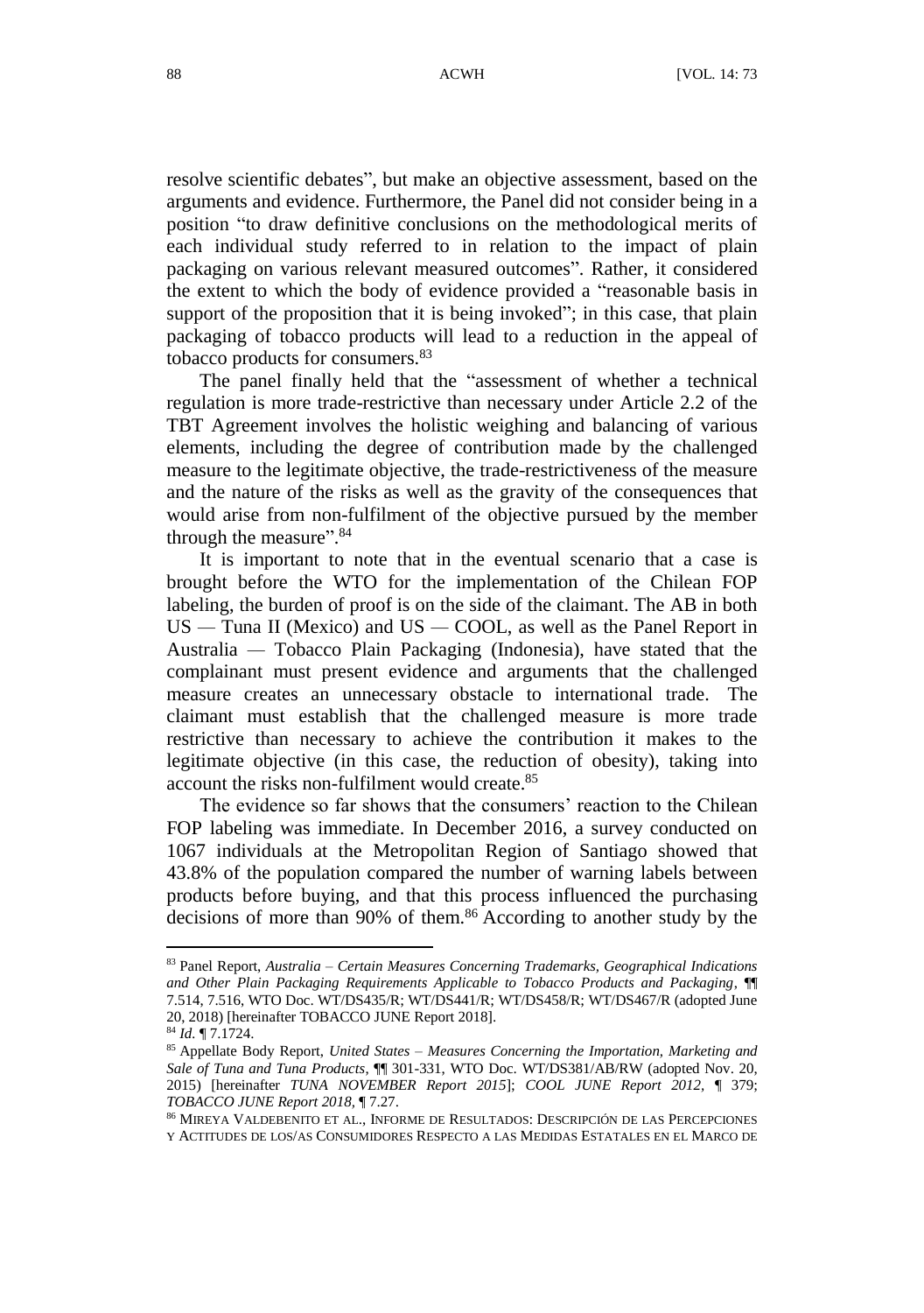resolve scientific debates", but make an objective assessment, based on the arguments and evidence. Furthermore, the Panel did not consider being in a position "to draw definitive conclusions on the methodological merits of each individual study referred to in relation to the impact of plain packaging on various relevant measured outcomes". Rather, it considered the extent to which the body of evidence provided a "reasonable basis in support of the proposition that it is being invoked"; in this case, that plain packaging of tobacco products will lead to a reduction in the appeal of tobacco products for consumers.<sup>83</sup>

The panel finally held that the "assessment of whether a technical regulation is more trade-restrictive than necessary under Article 2.2 of the TBT Agreement involves the holistic weighing and balancing of various elements, including the degree of contribution made by the challenged measure to the legitimate objective, the trade-restrictiveness of the measure and the nature of the risks as well as the gravity of the consequences that would arise from non-fulfilment of the objective pursued by the member through the measure".<sup>84</sup>

It is important to note that in the eventual scenario that a case is brought before the WTO for the implementation of the Chilean FOP labeling, the burden of proof is on the side of the claimant. The AB in both US *—* Tuna II (Mexico) and US *—* COOL, as well as the Panel Report in Australia *—* Tobacco Plain Packaging (Indonesia), have stated that the complainant must present evidence and arguments that the challenged measure creates an unnecessary obstacle to international trade. The claimant must establish that the challenged measure is more trade restrictive than necessary to achieve the contribution it makes to the legitimate objective (in this case, the reduction of obesity), taking into account the risks non-fulfilment would create.<sup>85</sup>

The evidence so far shows that the consumers' reaction to the Chilean FOP labeling was immediate. In December 2016, a survey conducted on 1067 individuals at the Metropolitan Region of Santiago showed that 43.8% of the population compared the number of warning labels between products before buying, and that this process influenced the purchasing decisions of more than 90% of them.<sup>86</sup> According to another study by the

<sup>83</sup> Panel Report, *Australia – Certain Measures Concerning Trademarks, Geographical Indications and Other Plain Packaging Requirements Applicable to Tobacco Products and Packaging*, ¶¶ 7.514, 7.516, WTO Doc. WT/DS435/R; WT/DS441/R; WT/DS458/R; WT/DS467/R (adopted June 20, 2018) [hereinafter TOBACCO JUNE Report 2018].

<sup>84</sup> *Id.* ¶ 7.1724.

<sup>85</sup> Appellate Body Report, *United States – Measures Concerning the Importation, Marketing and Sale of Tuna and Tuna Products*, ¶¶ 301-331, WTO Doc. WT/DS381/AB/RW (adopted Nov. 20, 2015) [hereinafter *TUNA NOVEMBER Report 2015*]; *COOL JUNE Report 2012,* ¶ 379; *TOBACCO JUNE Report 2018,* ¶ 7.27.

<sup>86</sup> MIREYA VALDEBENITO ET AL., INFORME DE RESULTADOS: DESCRIPCIÓ N DE LAS PERCEPCIONES Y ACTITUDES DE LOS/AS CONSUMIDORES RESPECTO A LAS MEDIDAS ESTATALES EN EL MARCO DE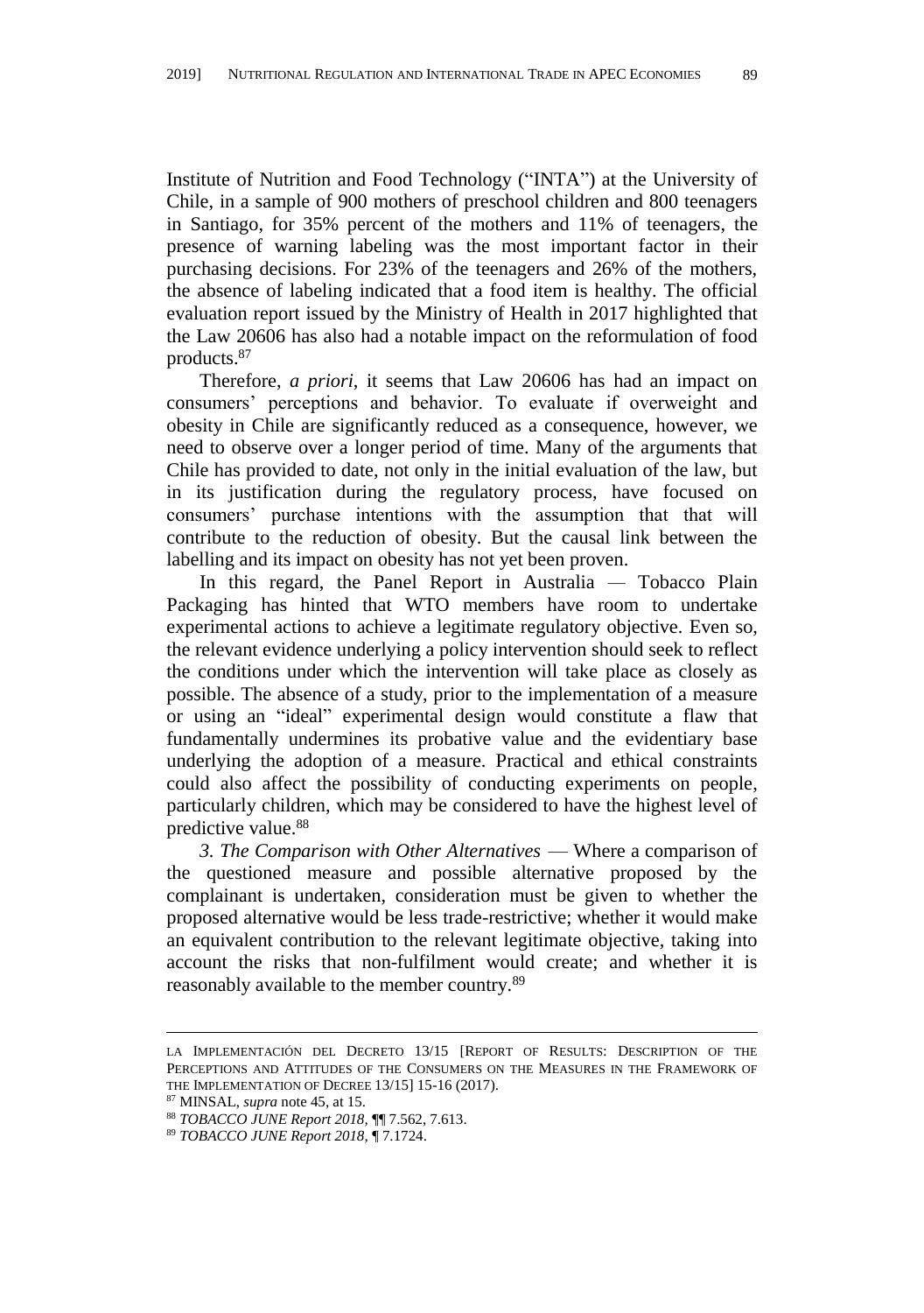Institute of Nutrition and Food Technology ("INTA") at the University of Chile, in a sample of 900 mothers of preschool children and 800 teenagers in Santiago, for 35% percent of the mothers and 11% of teenagers, the presence of warning labeling was the most important factor in their purchasing decisions. For 23% of the teenagers and 26% of the mothers, the absence of labeling indicated that a food item is healthy. The official evaluation report issued by the Ministry of Health in 2017 highlighted that the Law 20606 has also had a notable impact on the reformulation of food products.<sup>87</sup>

Therefore, *a priori*, it seems that Law 20606 has had an impact on consumers' perceptions and behavior. To evaluate if overweight and obesity in Chile are significantly reduced as a consequence, however, we need to observe over a longer period of time. Many of the arguments that Chile has provided to date, not only in the initial evaluation of the law, but in its justification during the regulatory process, have focused on consumers' purchase intentions with the assumption that that will contribute to the reduction of obesity. But the causal link between the labelling and its impact on obesity has not yet been proven.

In this regard, the Panel Report in Australia *—* Tobacco Plain Packaging has hinted that WTO members have room to undertake experimental actions to achieve a legitimate regulatory objective. Even so, the relevant evidence underlying a policy intervention should seek to reflect the conditions under which the intervention will take place as closely as possible. The absence of a study, prior to the implementation of a measure or using an "ideal" experimental design would constitute a flaw that fundamentally undermines its probative value and the evidentiary base underlying the adoption of a measure. Practical and ethical constraints could also affect the possibility of conducting experiments on people, particularly children, which may be considered to have the highest level of predictive value.<sup>88</sup>

*3. The Comparison with Other Alternatives* — Where a comparison of the questioned measure and possible alternative proposed by the complainant is undertaken, consideration must be given to whether the proposed alternative would be less trade-restrictive; whether it would make an equivalent contribution to the relevant legitimate objective, taking into account the risks that non-fulfilment would create; and whether it is reasonably available to the member country.<sup>89</sup>

1

LA IMPLEMENTACIÓ N DEL DECRETO 13/15 [REPORT OF RESULTS: DESCRIPTION OF THE PERCEPTIONS AND ATTITUDES OF THE CONSUMERS ON THE MEASURES IN THE FRAMEWORK OF THE IMPLEMENTATION OF DECREE 13/15] 15-16 (2017).

<sup>87</sup> MINSAL, *supra* not[e 45,](#page-8-0) at 15.

<sup>88</sup> *TOBACCO JUNE Report 2018,* ¶¶ 7.562, 7.613.

<sup>89</sup> *TOBACCO JUNE Report 2018,* ¶ 7.1724.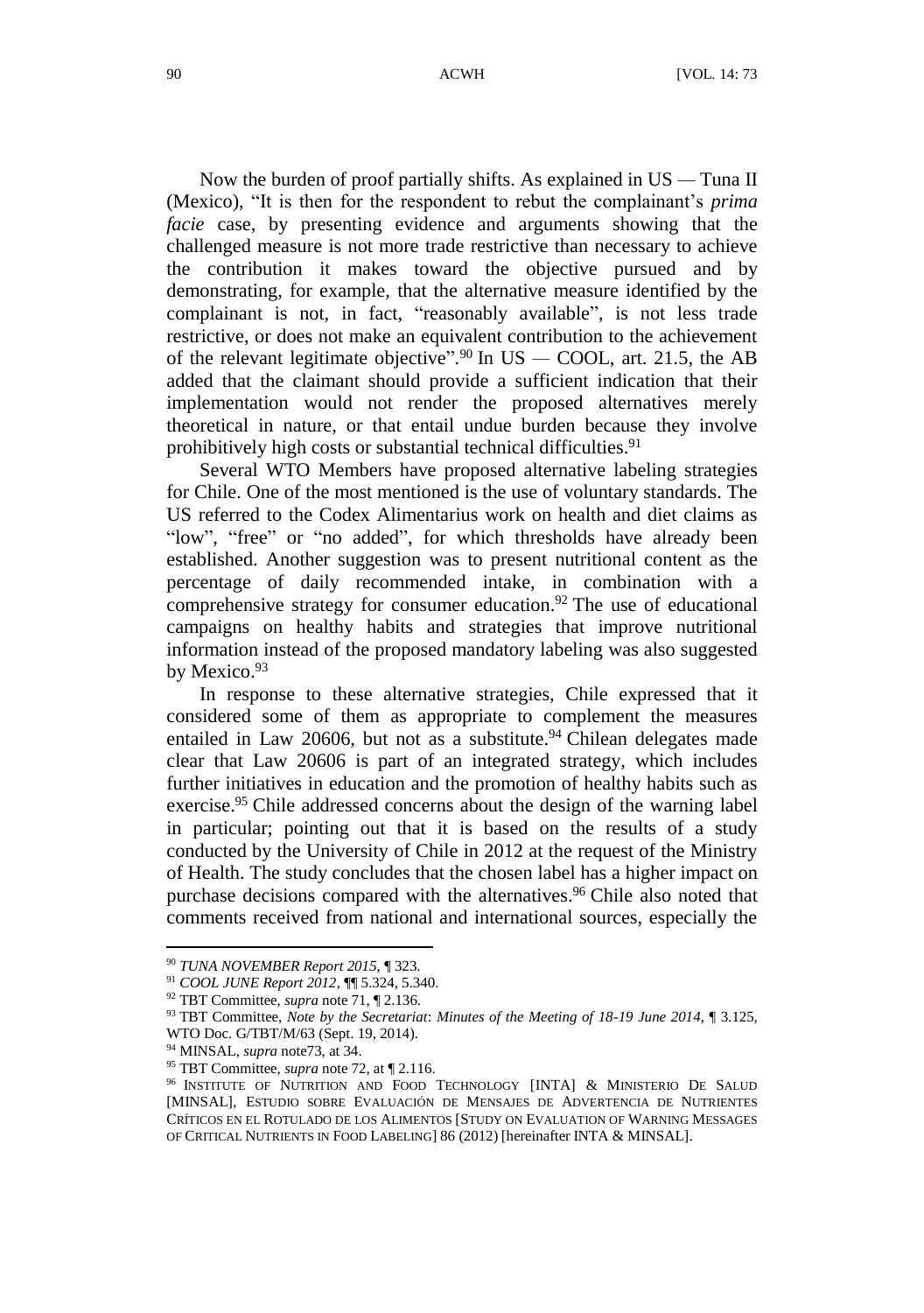Now the burden of proof partially shifts. As explained in US *—* Tuna II (Mexico), "It is then for the respondent to rebut the complainant's *prima facie* case, by presenting evidence and arguments showing that the challenged measure is not more trade restrictive than necessary to achieve the contribution it makes toward the objective pursued and by demonstrating, for example, that the alternative measure identified by the complainant is not, in fact, "reasonably available", is not less trade restrictive, or does not make an equivalent contribution to the achievement of the relevant legitimate objective". <sup>90</sup> In US *—* COOL, art. 21.5, the AB added that the claimant should provide a sufficient indication that their implementation would not render the proposed alternatives merely theoretical in nature, or that entail undue burden because they involve prohibitively high costs or substantial technical difficulties.<sup>91</sup>

Several WTO Members have proposed alternative labeling strategies for Chile. One of the most mentioned is the use of voluntary standards. The US referred to the Codex Alimentarius work on health and diet claims as "low", "free" or "no added", for which thresholds have already been established. Another suggestion was to present nutritional content as the percentage of daily recommended intake, in combination with a comprehensive strategy for consumer education.<sup>92</sup> The use of educational campaigns on healthy habits and strategies that improve nutritional information instead of the proposed mandatory labeling was also suggested by Mexico.<sup>93</sup>

<span id="page-17-1"></span>In response to these alternative strategies, Chile expressed that it considered some of them as appropriate to complement the measures entailed in Law 20606, but not as a substitute.<sup>94</sup> Chilean delegates made clear that Law 20606 is part of an integrated strategy, which includes further initiatives in education and the promotion of healthy habits such as exercise.<sup>95</sup> Chile addressed concerns about the design of the warning label in particular; pointing out that it is based on the results of a study conducted by the University of Chile in 2012 at the request of the Ministry of Health. The study concludes that the chosen label has a higher impact on purchase decisions compared with the alternatives. <sup>96</sup> Chile also noted that comments received from national and international sources, especially the

<span id="page-17-0"></span><sup>90</sup> *TUNA NOVEMBER Report 2015*, ¶ 323.

<sup>91</sup> *COOL JUNE Report 2012*, ¶¶ 5.324, 5.340.

<sup>92</sup> TBT Committee, *supra* not[e 71,](#page-12-0) ¶ 2.136.

<sup>93</sup> TBT Committee, *Note by the Secretariat*: *Minutes of the Meeting of 18-19 June 2014*, ¶ 3.125, WTO Doc. G/TBT/M/63 (Sept. 19, 2014).

<sup>94</sup> MINSAL, *supra* note73, at 34.

<sup>95</sup> TBT Committee, *supra* not[e 72,](#page-12-1) at ¶ 2.116.

<sup>&</sup>lt;sup>96</sup> INSTITUTE OF NUTRITION AND FOOD TECHNOLOGY [INTA] & MINISTERIO DE SALUD [MINSAL], ESTUDIO SOBRE EVALUACIÓ N DE MENSAJES DE ADVERTENCIA DE NUTRIENTES CRÍTICOS EN EL ROTULADO DE LOS ALIMENTOS [STUDY ON EVALUATION OF WARNING MESSAGES OF CRITICAL NUTRIENTS IN FOOD LABELING] 86 (2012) [hereinafter INTA & MINSAL].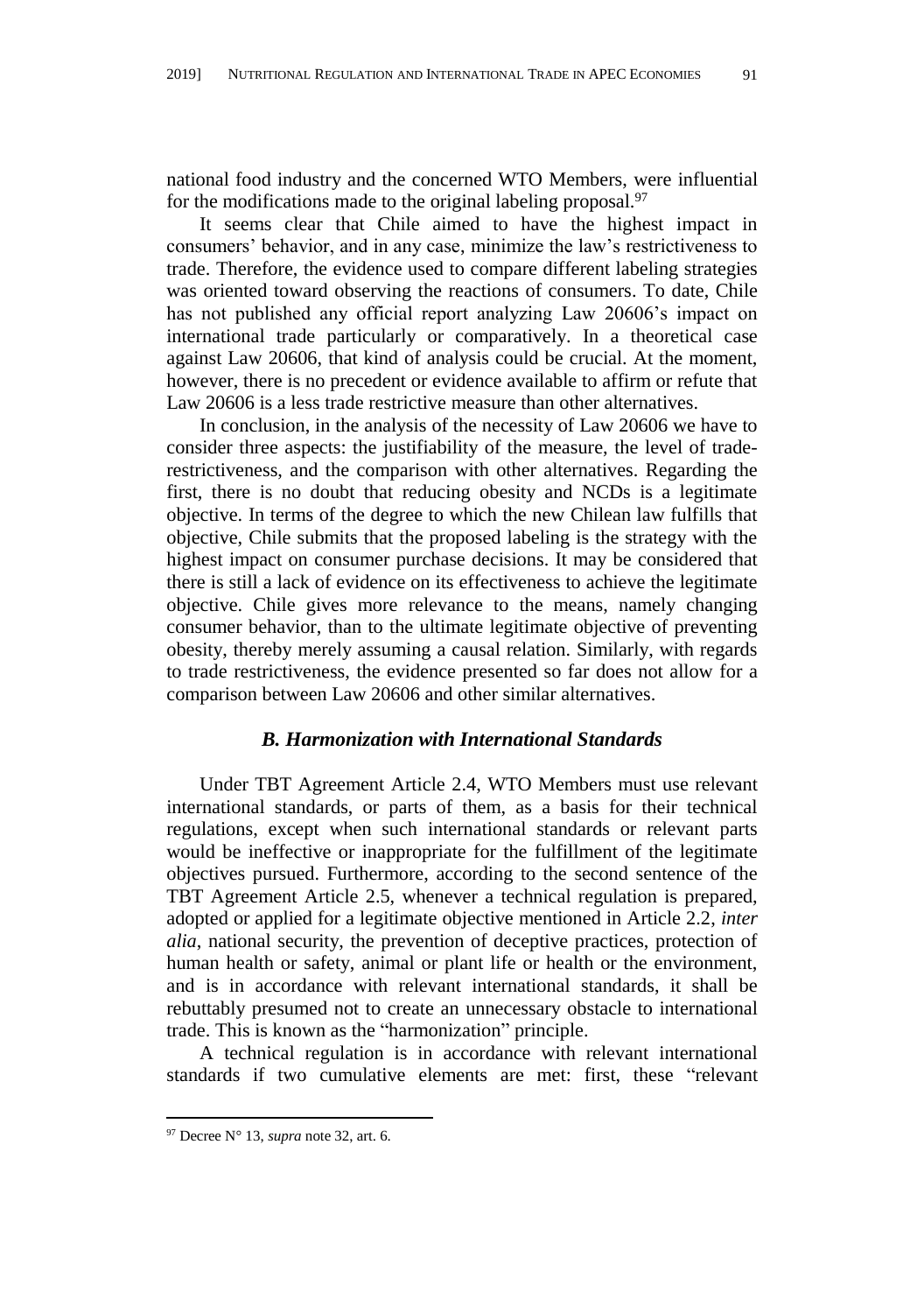national food industry and the concerned WTO Members, were influential for the modifications made to the original labeling proposal.<sup>97</sup>

It seems clear that Chile aimed to have the highest impact in consumers' behavior, and in any case, minimize the law's restrictiveness to trade. Therefore, the evidence used to compare different labeling strategies was oriented toward observing the reactions of consumers. To date, Chile has not published any official report analyzing Law 20606's impact on international trade particularly or comparatively. In a theoretical case against Law 20606, that kind of analysis could be crucial. At the moment, however, there is no precedent or evidence available to affirm or refute that Law 20606 is a less trade restrictive measure than other alternatives.

In conclusion, in the analysis of the necessity of Law 20606 we have to consider three aspects: the justifiability of the measure, the level of traderestrictiveness, and the comparison with other alternatives. Regarding the first, there is no doubt that reducing obesity and NCDs is a legitimate objective. In terms of the degree to which the new Chilean law fulfills that objective, Chile submits that the proposed labeling is the strategy with the highest impact on consumer purchase decisions. It may be considered that there is still a lack of evidence on its effectiveness to achieve the legitimate objective. Chile gives more relevance to the means, namely changing consumer behavior, than to the ultimate legitimate objective of preventing obesity, thereby merely assuming a causal relation. Similarly, with regards to trade restrictiveness, the evidence presented so far does not allow for a comparison between Law 20606 and other similar alternatives.

#### *B. Harmonization with International Standards*

Under TBT Agreement Article 2.4, WTO Members must use relevant international standards, or parts of them, as a basis for their technical regulations, except when such international standards or relevant parts would be ineffective or inappropriate for the fulfillment of the legitimate objectives pursued. Furthermore, according to the second sentence of the TBT Agreement Article 2.5, whenever a technical regulation is prepared, adopted or applied for a legitimate objective mentioned in Article 2.2, *inter alia*, national security, the prevention of deceptive practices, protection of human health or safety, animal or plant life or health or the environment, and is in accordance with relevant international standards, it shall be rebuttably presumed not to create an unnecessary obstacle to international trade. This is known as the "harmonization" principle.

A technical regulation is in accordance with relevant international standards if two cumulative elements are met: first, these "relevant

<sup>97</sup> Decree N° 13, *supra* not[e 32,](#page-6-0) art. 6.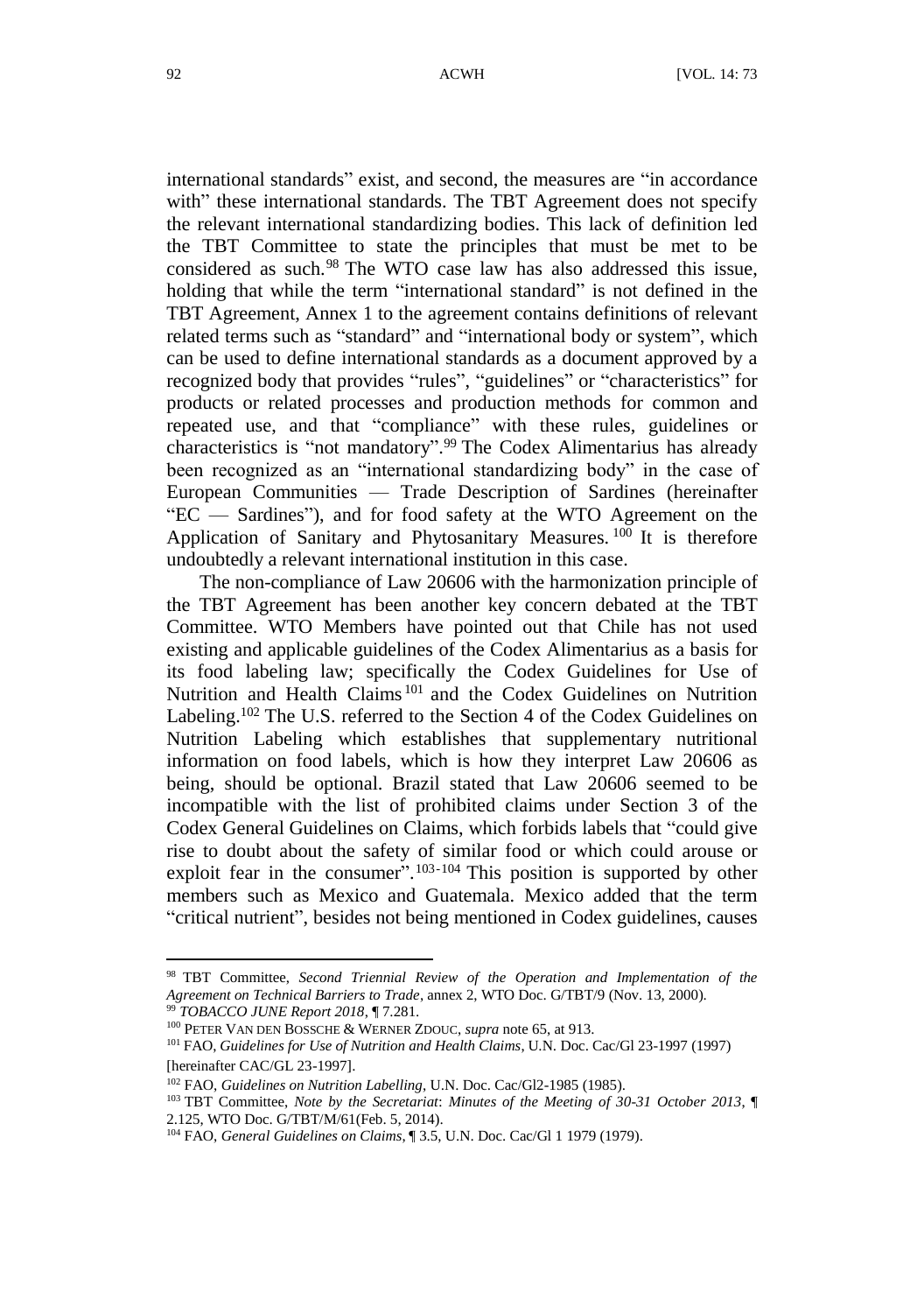international standards" exist, and second, the measures are "in accordance with" these international standards. The TBT Agreement does not specify the relevant international standardizing bodies. This lack of definition led the TBT Committee to state the principles that must be met to be considered as such.<sup>98</sup> The WTO case law has also addressed this issue, holding that while the term "international standard" is not defined in the TBT Agreement, Annex 1 to the agreement contains definitions of relevant related terms such as "standard" and "international body or system", which can be used to define international standards as a document approved by a recognized body that provides "rules", "guidelines" or "characteristics" for products or related processes and production methods for common and repeated use, and that "compliance" with these rules, guidelines or characteristics is "not mandatory". <sup>99</sup> The Codex Alimentarius has already been recognized as an "international standardizing body" in the case of European Communities — Trade Description of Sardines (hereinafter "EC — Sardines"), and for food safety at the WTO Agreement on the Application of Sanitary and Phytosanitary Measures.<sup>100</sup> It is therefore undoubtedly a relevant international institution in this case.

<span id="page-19-0"></span>The non-compliance of Law 20606 with the harmonization principle of the TBT Agreement has been another key concern debated at the TBT Committee. WTO Members have pointed out that Chile has not used existing and applicable guidelines of the Codex Alimentarius as a basis for its food labeling law; specifically the Codex Guidelines for Use of Nutrition and Health Claims<sup>101</sup> and the Codex Guidelines on Nutrition Labeling.<sup>102</sup> The U.S. referred to the Section 4 of the Codex Guidelines on Nutrition Labeling which establishes that supplementary nutritional information on food labels, which is how they interpret Law 20606 as being, should be optional. Brazil stated that Law 20606 seemed to be incompatible with the list of prohibited claims under Section 3 of the Codex General Guidelines on Claims, which forbids labels that "could give rise to doubt about the safety of similar food or which could arouse or exploit fear in the consumer".<sup>103-104</sup> This position is supported by other members such as Mexico and Guatemala. Mexico added that the term "critical nutrient", besides not being mentioned in Codex guidelines, causes

<span id="page-19-1"></span><sup>98</sup> TBT Committee, *Second Triennial Review of the Operation and Implementation of the Agreement on Technical Barriers to Trade*, annex 2, WTO Doc. G/TBT/9 (Nov. 13, 2000). <sup>99</sup> *TOBACCO JUNE Report 2018*, ¶ 7.281.

<sup>100</sup> PETER VAN DEN BOSSCHE & WERNER ZDOUC, *supra* not[e 65,](#page-11-0) at 913.

<sup>101</sup> FAO, *Guidelines for Use of Nutrition and Health Claims*, U.N. Doc. Cac/Gl 23-1997 (1997) [hereinafter CAC/GL 23-1997].

<sup>102</sup> FAO, *Guidelines on Nutrition Labelling*, U.N. Doc. Cac/Gl2-1985 (1985).

<sup>103</sup> TBT Committee, *Note by the Secretariat*: *Minutes of the Meeting of 30-31 October 2013*, ¶

<sup>2.125,</sup> WTO Doc. G/TBT/M/61(Feb. 5, 2014).

<sup>104</sup> FAO, *General Guidelines on Claims*, ¶ 3.5, U.N. Doc. Cac/Gl 1 1979 (1979).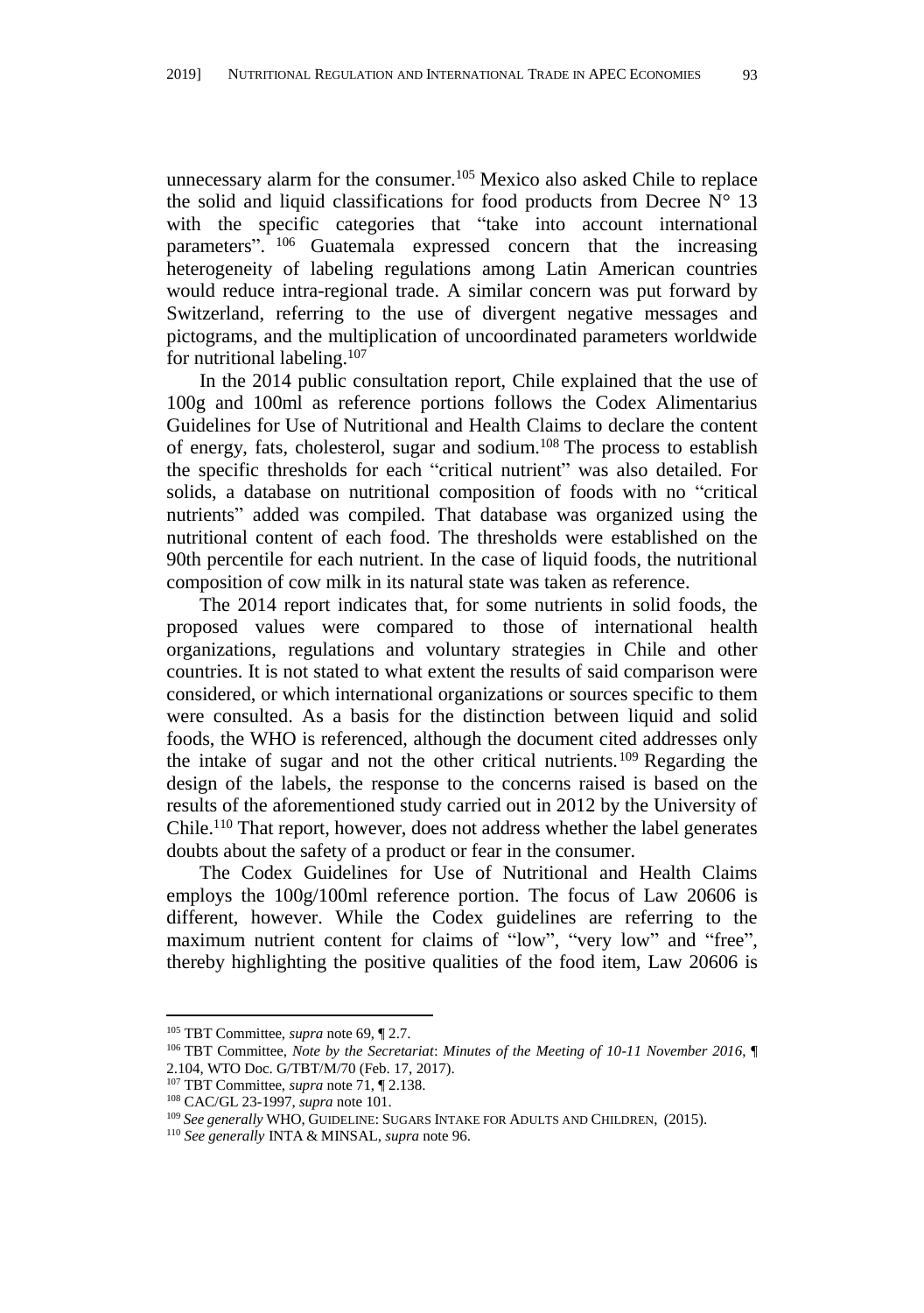unnecessary alarm for the consumer.<sup>105</sup> Mexico also asked Chile to replace the solid and liquid classifications for food products from Decree  $N^{\circ}$  13 with the specific categories that "take into account international parameters". <sup>106</sup> Guatemala expressed concern that the increasing heterogeneity of labeling regulations among Latin American countries would reduce intra-regional trade. A similar concern was put forward by Switzerland, referring to the use of divergent negative messages and pictograms, and the multiplication of uncoordinated parameters worldwide for nutritional labeling.<sup>107</sup>

In the 2014 public consultation report, Chile explained that the use of 100g and 100ml as reference portions follows the Codex Alimentarius Guidelines for Use of Nutritional and Health Claims to declare the content of energy, fats, cholesterol, sugar and sodium.<sup>108</sup> The process to establish the specific thresholds for each "critical nutrient" was also detailed. For solids, a database on nutritional composition of foods with no "critical nutrients" added was compiled. That database was organized using the nutritional content of each food. The thresholds were established on the 90th percentile for each nutrient. In the case of liquid foods, the nutritional composition of cow milk in its natural state was taken as reference.

The 2014 report indicates that, for some nutrients in solid foods, the proposed values were compared to those of international health organizations, regulations and voluntary strategies in Chile and other countries. It is not stated to what extent the results of said comparison were considered, or which international organizations or sources specific to them were consulted. As a basis for the distinction between liquid and solid foods, the WHO is referenced, although the document cited addresses only the intake of sugar and not the other critical nutrients.<sup>109</sup> Regarding the design of the labels, the response to the concerns raised is based on the results of the aforementioned study carried out in 2012 by the University of Chile.<sup>110</sup> That report, however, does not address whether the label generates doubts about the safety of a product or fear in the consumer.

The Codex Guidelines for Use of Nutritional and Health Claims employs the 100g/100ml reference portion. The focus of Law 20606 is different, however. While the Codex guidelines are referring to the maximum nutrient content for claims of "low", "very low" and "free", thereby highlighting the positive qualities of the food item, Law 20606 is

<sup>105</sup> TBT Committee, *supra* not[e 69,](#page-12-2) ¶ 2.7.

<sup>106</sup> TBT Committee, *Note by the Secretariat*: *Minutes of the Meeting of 10-11 November 2016*, ¶ 2.104, WTO Doc. G/TBT/M/70 (Feb. 17, 2017).

<sup>107</sup> TBT Committee, *supra* not[e 71,](#page-12-0) ¶ 2.138.

<sup>108</sup> CAC/GL 23-1997, *supra* not[e 101.](#page-19-0)

<sup>109</sup> *See generally* WHO, GUIDELINE: SUGARS INTAKE FOR ADULTS AND CHILDREN, (2015).

<sup>110</sup> *See generally* INTA & MINSAL, *supra* not[e 96.](#page-17-0)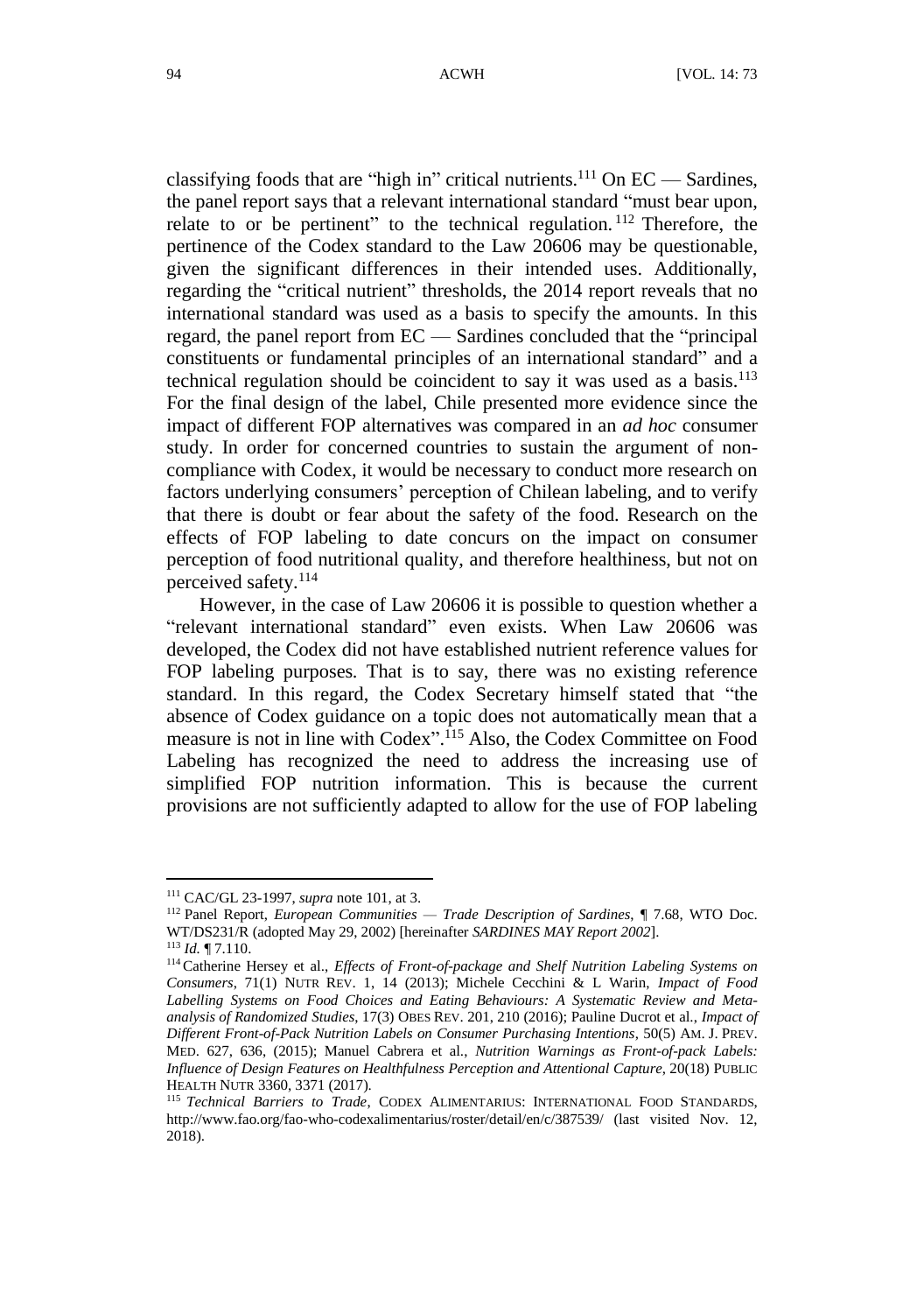classifying foods that are "high in" critical nutrients.<sup>111</sup> On EC - Sardines, the panel report says that a relevant international standard "must bear upon, relate to or be pertinent" to the technical regulation.<sup>112</sup> Therefore, the pertinence of the Codex standard to the Law 20606 may be questionable, given the significant differences in their intended uses. Additionally, regarding the "critical nutrient" thresholds, the 2014 report reveals that no international standard was used as a basis to specify the amounts. In this regard, the panel report from EC — Sardines concluded that the "principal constituents or fundamental principles of an international standard" and a technical regulation should be coincident to say it was used as a basis.<sup>113</sup> For the final design of the label, Chile presented more evidence since the impact of different FOP alternatives was compared in an *ad hoc* consumer study. In order for concerned countries to sustain the argument of noncompliance with Codex, it would be necessary to conduct more research on factors underlying consumers' perception of Chilean labeling, and to verify that there is doubt or fear about the safety of the food. Research on the effects of FOP labeling to date concurs on the impact on consumer perception of food nutritional quality, and therefore healthiness, but not on perceived safety.<sup>114</sup>

However, in the case of Law 20606 it is possible to question whether a "relevant international standard" even exists. When Law 20606 was developed, the Codex did not have established nutrient reference values for FOP labeling purposes. That is to say, there was no existing reference standard. In this regard, the Codex Secretary himself stated that "the absence of Codex guidance on a topic does not automatically mean that a measure is not in line with Codex". <sup>115</sup> Also, the Codex Committee on Food Labeling has recognized the need to address the increasing use of simplified FOP nutrition information. This is because the current provisions are not sufficiently adapted to allow for the use of FOP labeling

<sup>113</sup> *Id.* ¶ 7.110.

1

<sup>111</sup> CAC/GL 23-1997, *supra* not[e 101,](#page-19-0) at 3.

<sup>112</sup> Panel Report, *European Communities — Trade Description of Sardines*, ¶ 7.68, WTO Doc. WT/DS231/R (adopted May 29, 2002) [hereinafter *SARDINES MAY Report 2002*].

<sup>114</sup>Catherine Hersey et al., *Effects of Front-of-package and Shelf Nutrition Labeling Systems on Consumers*, 71(1) NUTR REV. 1, 14 (2013); Michele Cecchini & L Warin, *Impact of Food Labelling Systems on Food Choices and Eating Behaviours: A Systematic Review and Metaanalysis of Randomized Studies*, 17(3) OBES REV. 201, 210 (2016); Pauline Ducrot et al., *Impact of Different Front-of-Pack Nutrition Labels on Consumer Purchasing Intentions*, 50(5) AM. J. PREV. MED. 627, 636, (2015); Manuel Cabrera et al., *Nutrition Warnings as Front-of-pack Labels: Influence of Design Features on Healthfulness Perception and Attentional Capture*, 20(18) PUBLIC HEALTH NUTR 3360, 3371 (2017).

<sup>115</sup> *Technical Barriers to Trade*, CODEX ALIMENTARIUS: INTERNATIONAL FOOD STANDARDS, http://www.fao.org/fao-who-codexalimentarius/roster/detail/en/c/387539/ (last visited Nov. 12, 2018).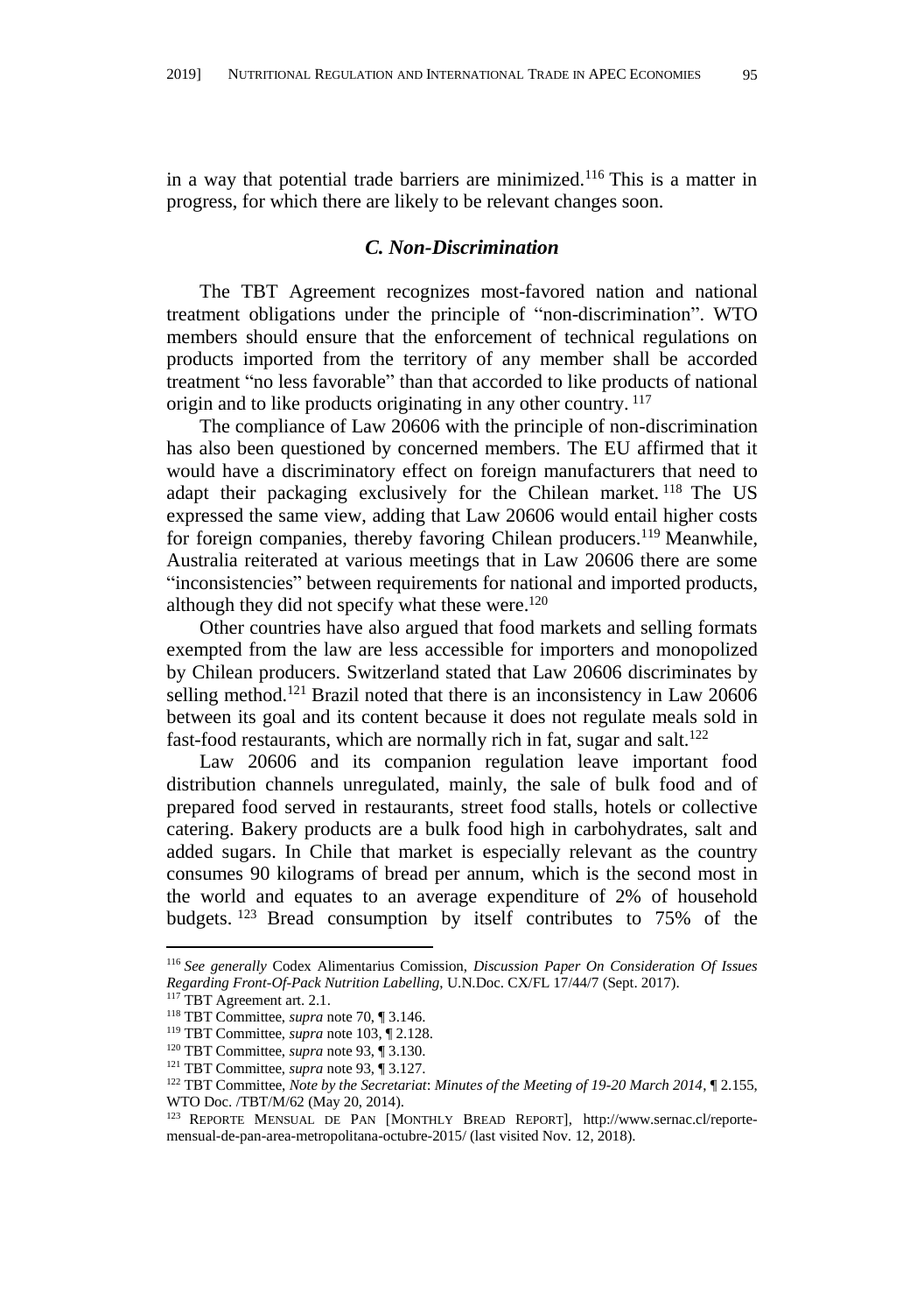in a way that potential trade barriers are minimized.<sup>116</sup> This is a matter in progress, for which there are likely to be relevant changes soon.

### *C. Non-Discrimination*

The TBT Agreement recognizes most-favored nation and national treatment obligations under the principle of "non-discrimination". WTO members should ensure that the enforcement of technical regulations on products imported from the territory of any member shall be accorded treatment "no less favorable" than that accorded to like products of national origin and to like products originating in any other country. <sup>117</sup>

The compliance of Law 20606 with the principle of non-discrimination has also been questioned by concerned members. The EU affirmed that it would have a discriminatory effect on foreign manufacturers that need to adapt their packaging exclusively for the Chilean market.<sup>118</sup> The US expressed the same view, adding that Law 20606 would entail higher costs for foreign companies, thereby favoring Chilean producers.<sup>119</sup> Meanwhile, Australia reiterated at various meetings that in Law 20606 there are some "inconsistencies" between requirements for national and imported products, although they did not specify what these were.<sup>120</sup>

Other countries have also argued that food markets and selling formats exempted from the law are less accessible for importers and monopolized by Chilean producers. Switzerland stated that Law 20606 discriminates by selling method.<sup>121</sup> Brazil noted that there is an inconsistency in Law 20606 between its goal and its content because it does not regulate meals sold in fast-food restaurants, which are normally rich in fat, sugar and salt.<sup>122</sup>

Law 20606 and its companion regulation leave important food distribution channels unregulated, mainly, the sale of bulk food and of prepared food served in restaurants, street food stalls, hotels or collective catering. Bakery products are a bulk food high in carbohydrates, salt and added sugars. In Chile that market is especially relevant as the country consumes 90 kilograms of bread per annum, which is the second most in the world and equates to an average expenditure of 2% of household budgets. <sup>123</sup> Bread consumption by itself contributes to 75% of the

<sup>116</sup> *See generally* Codex Alimentarius Comission, *Discussion Paper On Consideration Of Issues Regarding Front-Of-Pack Nutrition Labelling*, U.N.Doc. CX/FL 17/44/7 (Sept. 2017).

TBT Agreement art. 2.1.

<sup>118</sup> TBT Committee, *supra* not[e 70,](#page-12-3) ¶ 3.146.

<sup>119</sup> TBT Committee, *supra* not[e 103,](#page-19-1) ¶ 2.128.

<sup>120</sup> TBT Committee, *supra* not[e 93,](#page-17-1) ¶ 3.130.

<sup>121</sup> TBT Committee, *supra* not[e 93,](#page-17-1) ¶ 3.127.

<sup>122</sup> TBT Committee, *Note by the Secretariat*: *Minutes of the Meeting of 19-20 March 2014*, ¶ 2.155, WTO Doc. /TBT/M/62 (May 20, 2014).

<sup>123</sup> REPORTE MENSUAL DE PAN [MONTHLY BREAD REPORT], http://www.sernac.cl/reportemensual-de-pan-area-metropolitana-octubre-2015/ (last visited Nov. 12, 2018).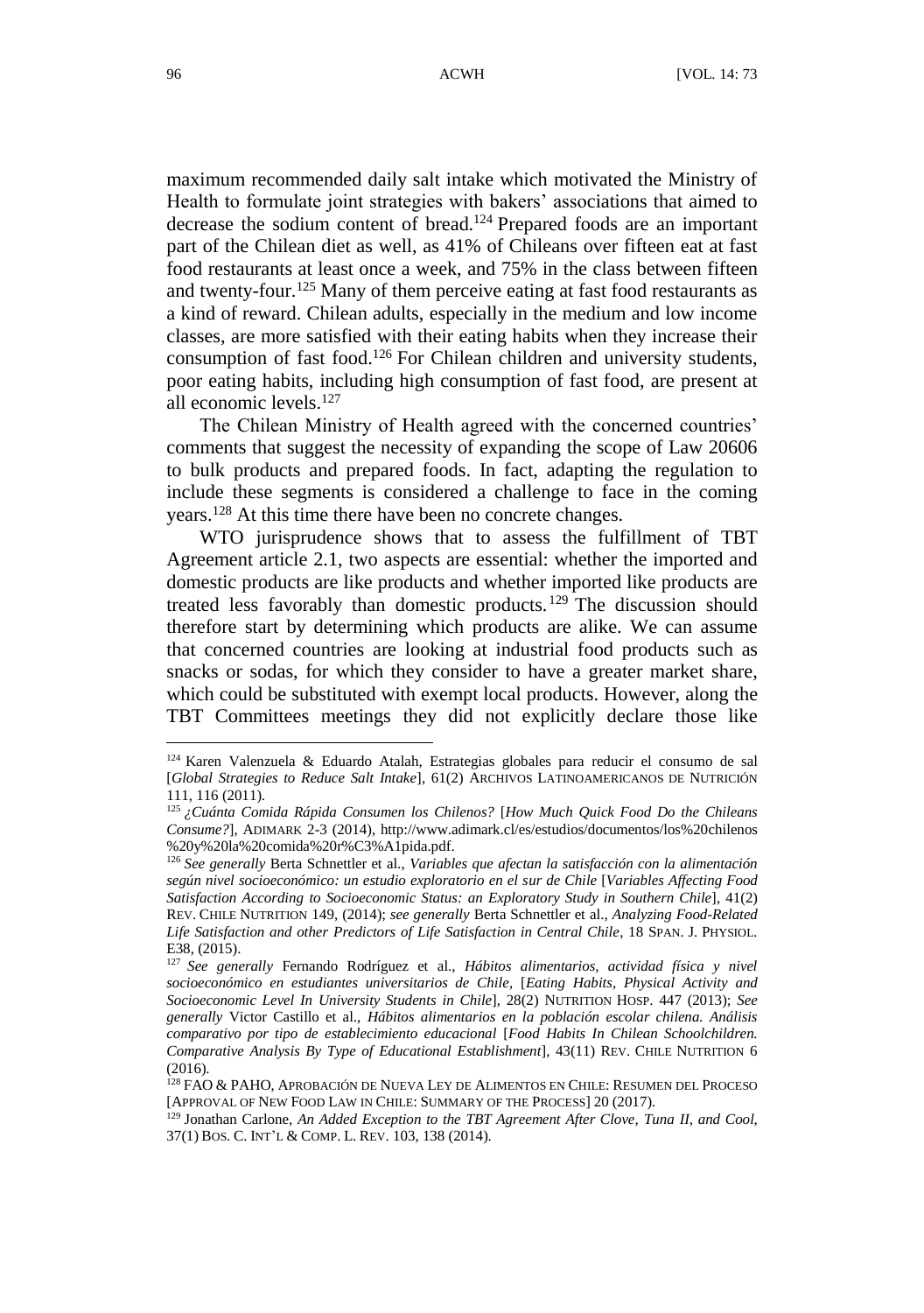maximum recommended daily salt intake which motivated the Ministry of Health to formulate joint strategies with bakers' associations that aimed to decrease the sodium content of bread. <sup>124</sup> Prepared foods are an important part of the Chilean diet as well, as 41% of Chileans over fifteen eat at fast food restaurants at least once a week, and 75% in the class between fifteen and twenty-four. <sup>125</sup> Many of them perceive eating at fast food restaurants as a kind of reward. Chilean adults, especially in the medium and low income classes, are more satisfied with their eating habits when they increase their consumption of fast food.<sup>126</sup> For Chilean children and university students, poor eating habits, including high consumption of fast food, are present at all economic levels.<sup>127</sup>

The Chilean Ministry of Health agreed with the concerned countries' comments that suggest the necessity of expanding the scope of Law 20606 to bulk products and prepared foods. In fact, adapting the regulation to include these segments is considered a challenge to face in the coming years.<sup>128</sup> At this time there have been no concrete changes.

WTO jurisprudence shows that to assess the fulfillment of TBT Agreement article 2.1, two aspects are essential: whether the imported and domestic products are like products and whether imported like products are treated less favorably than domestic products.  $129$  The discussion should therefore start by determining which products are alike. We can assume that concerned countries are looking at industrial food products such as snacks or sodas, for which they consider to have a greater market share, which could be substituted with exempt local products. However, along the TBT Committees meetings they did not explicitly declare those like

1

<sup>124</sup> Karen Valenzuela & Eduardo Atalah, Estrategias globales para reducir el consumo de sal [*Global Strategies to Reduce Salt Intake*], 61(2) ARCHIVOS LATINOAMERICANOS DE NUTRICIÓ N 111, 116 (2011).

<sup>125</sup> *¿Cuánta Comida Rápida Consumen los Chilenos?* [*How Much Quick Food Do the Chileans Consume?*], ADIMARK 2-3 (2014), http://www.adimark.cl/es/estudios/documentos/los%20chilenos %20y%20la%20comida%20r%C3%A1pida.pdf.

<sup>126</sup> *See generally* Berta Schnettler et al., *Variables que afectan la satisfacción con la alimentación según nivel socioeconómico: un estudio exploratorio en el sur de Chile* [*Variables Affecting Food Satisfaction According to Socioeconomic Status: an Exploratory Study in Southern Chile*], 41(2) REV. CHILE NUTRITION 149, (2014); *see generally* Berta Schnettler et al., *Analyzing Food-Related Life Satisfaction and other Predictors of Life Satisfaction in Central Chile*, 18 SPAN. J. PHYSIOL. E38, (2015).

<sup>127</sup> *See generally* Fernando Rodríguez et al., *Hábitos alimentarios, actividad física y nivel socioeconómico en estudiantes universitarios de Chile*, [*Eating Habits, Physical Activity and Socioeconomic Level In University Students in Chile*], 28(2) NUTRITION HOSP. 447 (2013); *See generally* Victor Castillo et al., *Hábitos alimentarios en la población escolar chilena. Análisis comparativo por tipo de establecimiento educacional* [*Food Habits In Chilean Schoolchildren. Comparative Analysis By Type of Educational Establishment*], 43(11) REV. CHILE NUTRITION 6  $(2016)$ 

<sup>&</sup>lt;sup>128</sup> FAO & PAHO, APROBACIÓN DE NUEVA LEY DE ALIMENTOS EN CHILE: RESUMEN DEL PROCESO [APPROVAL OF NEW FOOD LAW IN CHILE: SUMMARY OF THE PROCESS] 20 (2017).

<sup>129</sup> Jonathan Carlone, *An Added Exception to the TBT Agreement After Clove, Tuna II, and Cool*, 37(1) BOS. C. INT'L & COMP. L. REV. 103, 138 (2014).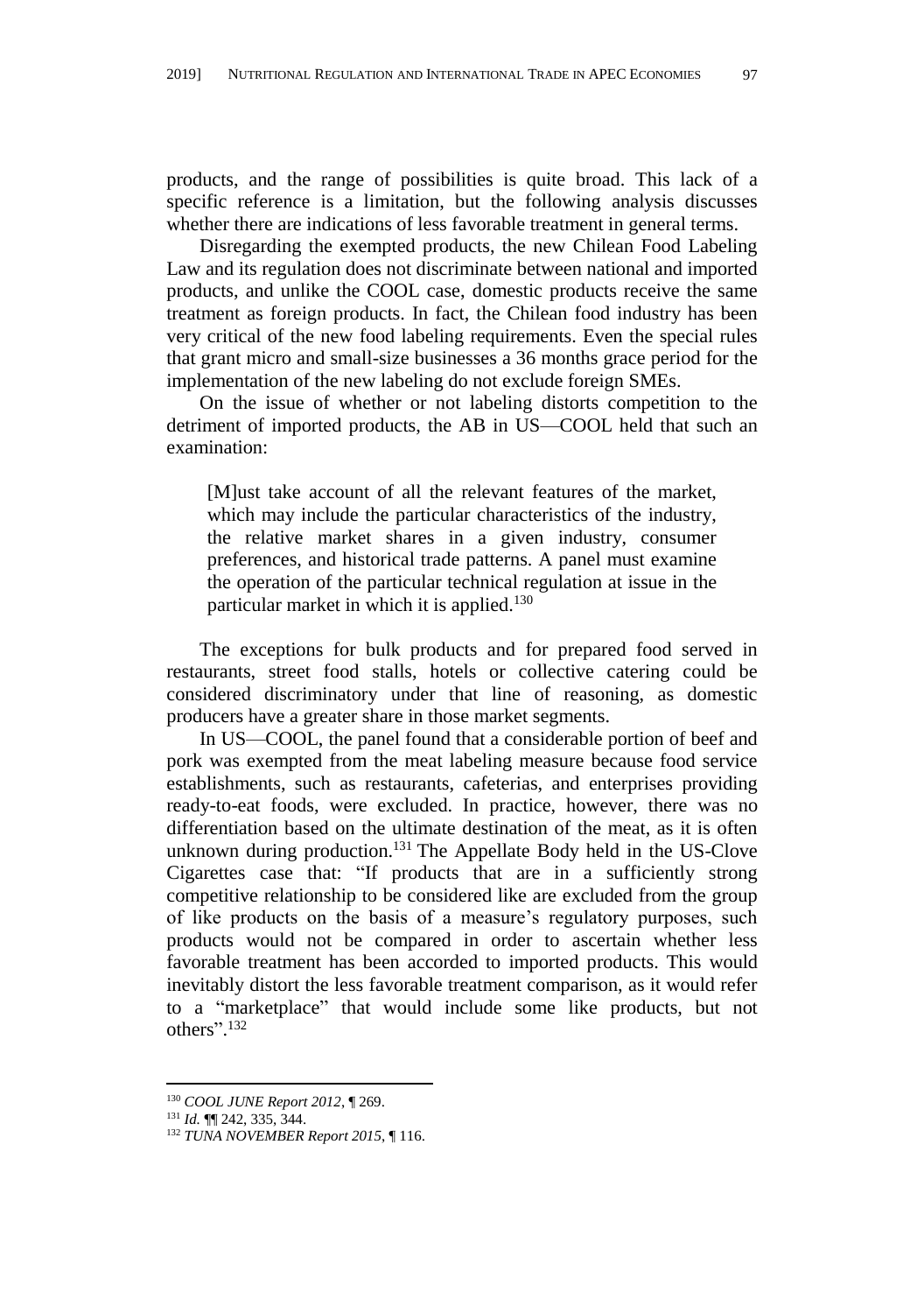products, and the range of possibilities is quite broad. This lack of a specific reference is a limitation, but the following analysis discusses whether there are indications of less favorable treatment in general terms.

Disregarding the exempted products, the new Chilean Food Labeling Law and its regulation does not discriminate between national and imported products, and unlike the COOL case, domestic products receive the same treatment as foreign products. In fact, the Chilean food industry has been very critical of the new food labeling requirements. Even the special rules that grant micro and small-size businesses a 36 months grace period for the implementation of the new labeling do not exclude foreign SMEs.

On the issue of whether or not labeling distorts competition to the detriment of imported products, the AB in US—COOL held that such an examination:

[M]ust take account of all the relevant features of the market, which may include the particular characteristics of the industry, the relative market shares in a given industry, consumer preferences, and historical trade patterns. A panel must examine the operation of the particular technical regulation at issue in the particular market in which it is applied.<sup>130</sup>

The exceptions for bulk products and for prepared food served in restaurants, street food stalls, hotels or collective catering could be considered discriminatory under that line of reasoning, as domestic producers have a greater share in those market segments.

In US—COOL, the panel found that a considerable portion of beef and pork was exempted from the meat labeling measure because food service establishments, such as restaurants, cafeterias, and enterprises providing ready-to-eat foods, were excluded. In practice, however, there was no differentiation based on the ultimate destination of the meat, as it is often unknown during production.<sup>131</sup> The Appellate Body held in the US-Clove Cigarettes case that: "If products that are in a sufficiently strong competitive relationship to be considered like are excluded from the group of like products on the basis of a measure's regulatory purposes, such products would not be compared in order to ascertain whether less favorable treatment has been accorded to imported products. This would inevitably distort the less favorable treatment comparison, as it would refer to a "marketplace" that would include some like products, but not others". 132

<sup>130</sup> *COOL JUNE Report 2012*, ¶ 269.

<sup>131</sup> *Id.* ¶¶ 242, 335, 344.

<sup>132</sup> *TUNA NOVEMBER Report 2015*, ¶ 116.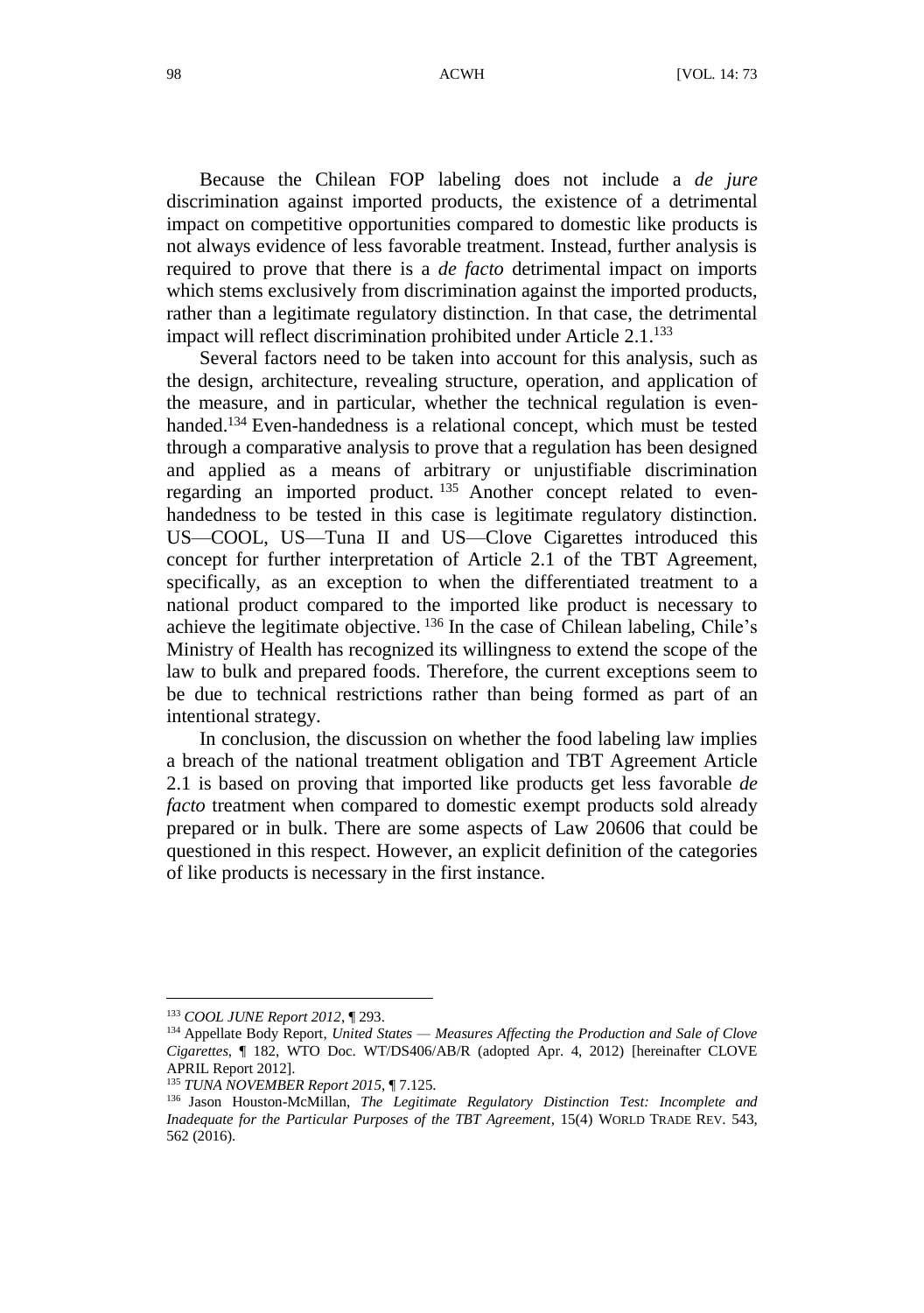Because the Chilean FOP labeling does not include a *de jure* discrimination against imported products, the existence of a detrimental impact on competitive opportunities compared to domestic like products is not always evidence of less favorable treatment. Instead, further analysis is required to prove that there is a *de facto* detrimental impact on imports which stems exclusively from discrimination against the imported products, rather than a legitimate regulatory distinction. In that case, the detrimental impact will reflect discrimination prohibited under Article  $2.1^{133}$ 

Several factors need to be taken into account for this analysis, such as the design, architecture, revealing structure, operation, and application of the measure, and in particular, whether the technical regulation is evenhanded.<sup>134</sup> Even-handedness is a relational concept, which must be tested through a comparative analysis to prove that a regulation has been designed and applied as a means of arbitrary or unjustifiable discrimination regarding an imported product.  $135$  Another concept related to evenhandedness to be tested in this case is legitimate regulatory distinction. US—COOL, US—Tuna II and US—Clove Cigarettes introduced this concept for further interpretation of Article 2.1 of the TBT Agreement, specifically, as an exception to when the differentiated treatment to a national product compared to the imported like product is necessary to achieve the legitimate objective. <sup>136</sup> In the case of Chilean labeling, Chile's Ministry of Health has recognized its willingness to extend the scope of the law to bulk and prepared foods. Therefore, the current exceptions seem to be due to technical restrictions rather than being formed as part of an intentional strategy.

In conclusion, the discussion on whether the food labeling law implies a breach of the national treatment obligation and TBT Agreement Article 2.1 is based on proving that imported like products get less favorable *de facto* treatment when compared to domestic exempt products sold already prepared or in bulk. There are some aspects of Law 20606 that could be questioned in this respect. However, an explicit definition of the categories of like products is necessary in the first instance.

<sup>133</sup> *COOL JUNE Report 2012*, ¶ 293.

<sup>134</sup> Appellate Body Report, *United States — Measures Affecting the Production and Sale of Clove Cigarettes*, ¶ 182, WTO Doc. WT/DS406/AB/R (adopted Apr. 4, 2012) [hereinafter CLOVE APRIL Report 2012].

<sup>135</sup> *TUNA NOVEMBER Report 2015*, ¶ 7.125.

<sup>136</sup> Jason Houston-McMillan, *The Legitimate Regulatory Distinction Test: Incomplete and Inadequate for the Particular Purposes of the TBT Agreement*, 15(4) WORLD TRADE REV. 543, 562 (2016).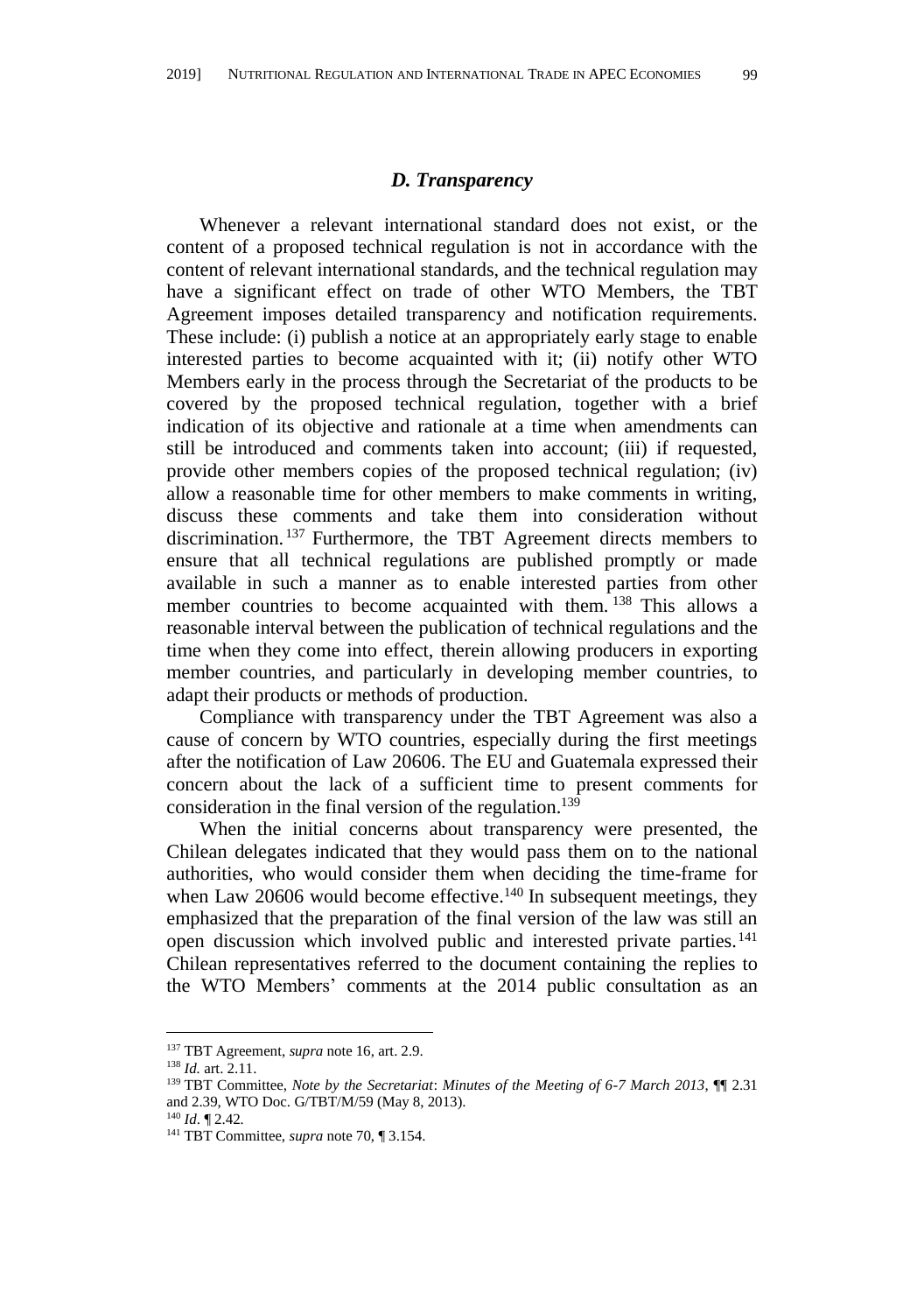#### *D. Transparency*

Whenever a relevant international standard does not exist, or the content of a proposed technical regulation is not in accordance with the content of relevant international standards, and the technical regulation may have a significant effect on trade of other WTO Members, the TBT Agreement imposes detailed transparency and notification requirements. These include: (i) publish a notice at an appropriately early stage to enable interested parties to become acquainted with it; (ii) notify other WTO Members early in the process through the Secretariat of the products to be covered by the proposed technical regulation, together with a brief indication of its objective and rationale at a time when amendments can still be introduced and comments taken into account; (iii) if requested, provide other members copies of the proposed technical regulation; (iv) allow a reasonable time for other members to make comments in writing, discuss these comments and take them into consideration without discrimination. <sup>137</sup> Furthermore, the TBT Agreement directs members to ensure that all technical regulations are published promptly or made available in such a manner as to enable interested parties from other member countries to become acquainted with them. <sup>138</sup> This allows a reasonable interval between the publication of technical regulations and the time when they come into effect, therein allowing producers in exporting member countries, and particularly in developing member countries, to adapt their products or methods of production.

Compliance with transparency under the TBT Agreement was also a cause of concern by WTO countries, especially during the first meetings after the notification of Law 20606. The EU and Guatemala expressed their concern about the lack of a sufficient time to present comments for consideration in the final version of the regulation.<sup>139</sup>

When the initial concerns about transparency were presented, the Chilean delegates indicated that they would pass them on to the national authorities, who would consider them when deciding the time-frame for when Law 20606 would become effective.<sup>140</sup> In subsequent meetings, they emphasized that the preparation of the final version of the law was still an open discussion which involved public and interested private parties.<sup>141</sup> Chilean representatives referred to the document containing the replies to the WTO Members' comments at the 2014 public consultation as an

<sup>137</sup> TBT Agreement, *supra* not[e 16,](#page-3-1) art. 2.9.

<sup>138</sup> *Id.* art. 2.11.

<sup>139</sup> TBT Committee, *Note by the Secretariat*: *Minutes of the Meeting of 6-7 March 2013*, ¶¶ 2.31 and 2.39, WTO Doc. G/TBT/M/59 (May 8, 2013).

<sup>140</sup> *Id*. ¶ 2.42*.*

<sup>141</sup> TBT Committee, *supra* not[e 70,](#page-12-3) ¶ 3.154.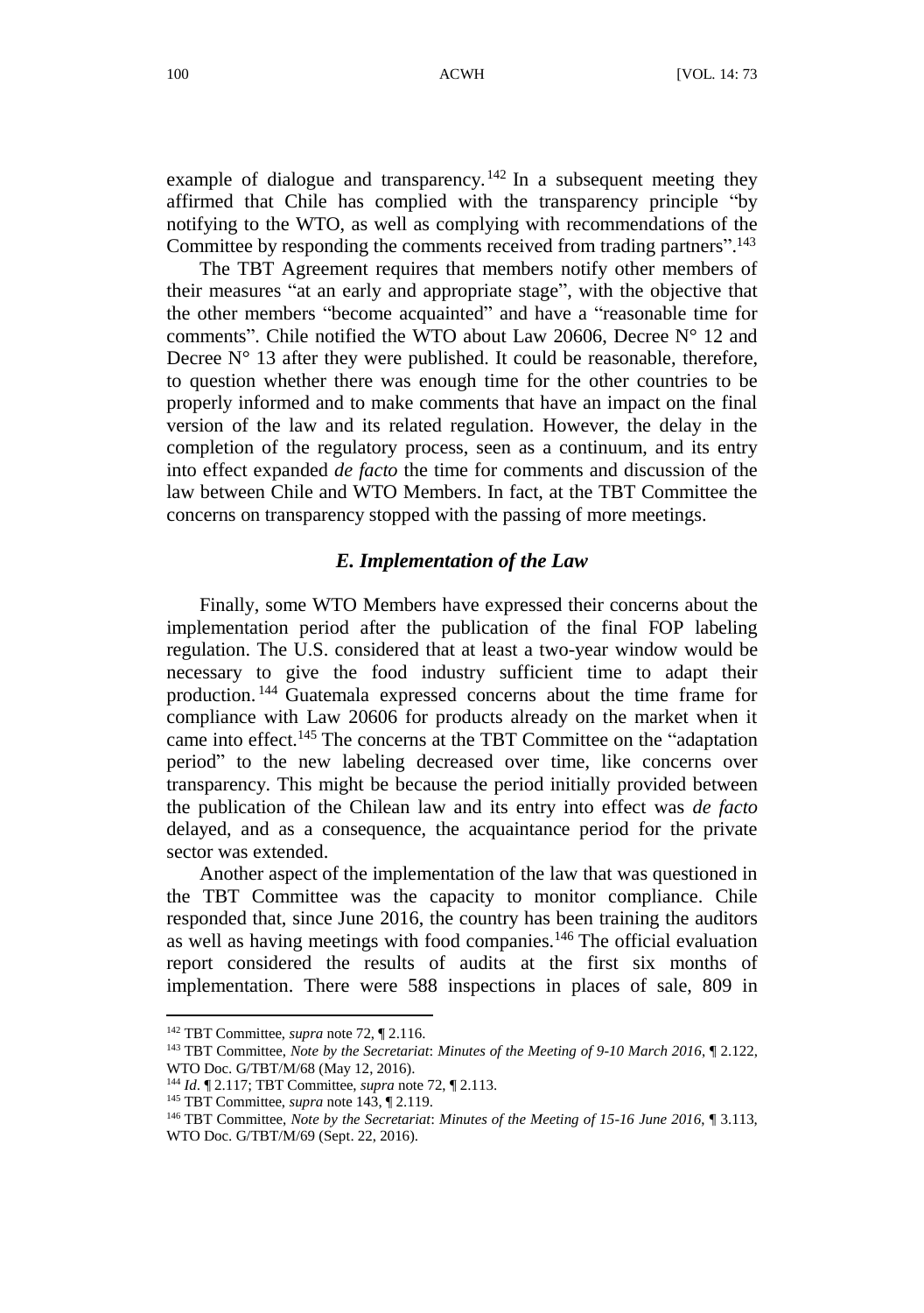example of dialogue and transparency.<sup>142</sup> In a subsequent meeting they affirmed that Chile has complied with the transparency principle "by notifying to the WTO, as well as complying with recommendations of the Committee by responding the comments received from trading partners". 143

The TBT Agreement requires that members notify other members of their measures "at an early and appropriate stage", with the objective that the other members "become acquainted" and have a "reasonable time for comments". Chile notified the WTO about Law 20606, Decree N° 12 and Decree  $N^{\circ}$  13 after they were published. It could be reasonable, therefore, to question whether there was enough time for the other countries to be properly informed and to make comments that have an impact on the final version of the law and its related regulation. However, the delay in the completion of the regulatory process, seen as a continuum, and its entry into effect expanded *de facto* the time for comments and discussion of the law between Chile and WTO Members. In fact, at the TBT Committee the concerns on transparency stopped with the passing of more meetings.

#### <span id="page-27-0"></span>*E. Implementation of the Law*

Finally, some WTO Members have expressed their concerns about the implementation period after the publication of the final FOP labeling regulation. The U.S. considered that at least a two-year window would be necessary to give the food industry sufficient time to adapt their production. <sup>144</sup> Guatemala expressed concerns about the time frame for compliance with Law 20606 for products already on the market when it came into effect.<sup>145</sup> The concerns at the TBT Committee on the "adaptation" period" to the new labeling decreased over time, like concerns over transparency. This might be because the period initially provided between the publication of the Chilean law and its entry into effect was *de facto* delayed, and as a consequence, the acquaintance period for the private sector was extended.

Another aspect of the implementation of the law that was questioned in the TBT Committee was the capacity to monitor compliance. Chile responded that, since June 2016, the country has been training the auditors as well as having meetings with food companies.<sup>146</sup> The official evaluation report considered the results of audits at the first six months of implementation. There were 588 inspections in places of sale, 809 in

<sup>142</sup> TBT Committee, *supra* not[e 72,](#page-12-1) ¶ 2.116.

<sup>143</sup> TBT Committee, *Note by the Secretariat*: *Minutes of the Meeting of 9-10 March 2016*, ¶ 2.122, WTO Doc. G/TBT/M/68 (May 12, 2016).

<sup>144</sup> *Id*. ¶ 2.117; TBT Committee, *supra* not[e 72,](#page-12-1) ¶ 2.113.

<sup>145</sup> TBT Committee, *supra* not[e 143,](#page-27-0) ¶ 2.119.

<sup>146</sup> TBT Committee, *Note by the Secretariat*: *Minutes of the Meeting of 15-16 June 2016*, ¶ 3.113, WTO Doc. G/TBT/M/69 (Sept. 22, 2016).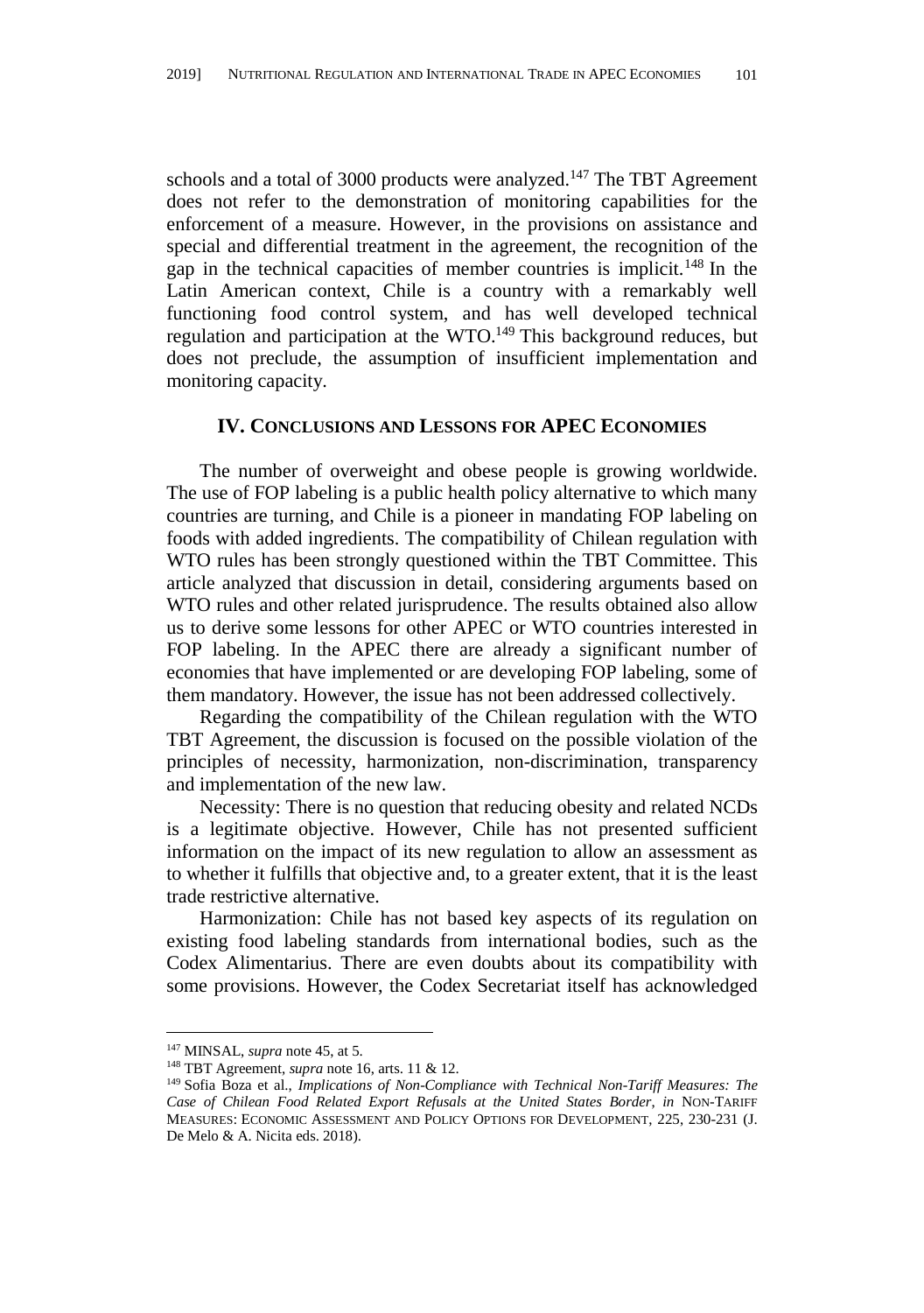schools and a total of 3000 products were analyzed.<sup>147</sup> The TBT Agreement does not refer to the demonstration of monitoring capabilities for the enforcement of a measure. However, in the provisions on assistance and special and differential treatment in the agreement, the recognition of the gap in the technical capacities of member countries is implicit.<sup>148</sup> In the Latin American context, Chile is a country with a remarkably well functioning food control system, and has well developed technical regulation and participation at the WTO.<sup>149</sup> This background reduces, but does not preclude, the assumption of insufficient implementation and monitoring capacity.

### **IV. CONCLUSIONS AND LESSONS FOR APEC ECONOMIES**

The number of overweight and obese people is growing worldwide. The use of FOP labeling is a public health policy alternative to which many countries are turning, and Chile is a pioneer in mandating FOP labeling on foods with added ingredients. The compatibility of Chilean regulation with WTO rules has been strongly questioned within the TBT Committee. This article analyzed that discussion in detail, considering arguments based on WTO rules and other related jurisprudence. The results obtained also allow us to derive some lessons for other APEC or WTO countries interested in FOP labeling. In the APEC there are already a significant number of economies that have implemented or are developing FOP labeling, some of them mandatory. However, the issue has not been addressed collectively.

Regarding the compatibility of the Chilean regulation with the WTO TBT Agreement, the discussion is focused on the possible violation of the principles of necessity, harmonization, non-discrimination, transparency and implementation of the new law.

Necessity: There is no question that reducing obesity and related NCDs is a legitimate objective. However, Chile has not presented sufficient information on the impact of its new regulation to allow an assessment as to whether it fulfills that objective and, to a greater extent, that it is the least trade restrictive alternative.

Harmonization: Chile has not based key aspects of its regulation on existing food labeling standards from international bodies, such as the Codex Alimentarius. There are even doubts about its compatibility with some provisions. However, the Codex Secretariat itself has acknowledged

<sup>147</sup> MINSAL, *supra* not[e 45,](#page-8-0) at 5.

<sup>148</sup> TBT Agreement, *supra* not[e 16,](#page-3-1) arts. 11 & 12.

<sup>149</sup> Sofia Boza et al., *Implications of Non-Compliance with Technical Non-Tariff Measures: The Case of Chilean Food Related Export Refusals at the United States Border*, *in* NON-TARIFF MEASURES: ECONOMIC ASSESSMENT AND POLICY OPTIONS FOR DEVELOPMENT, 225, 230-231 (J. De Melo & A. Nicita eds. 2018).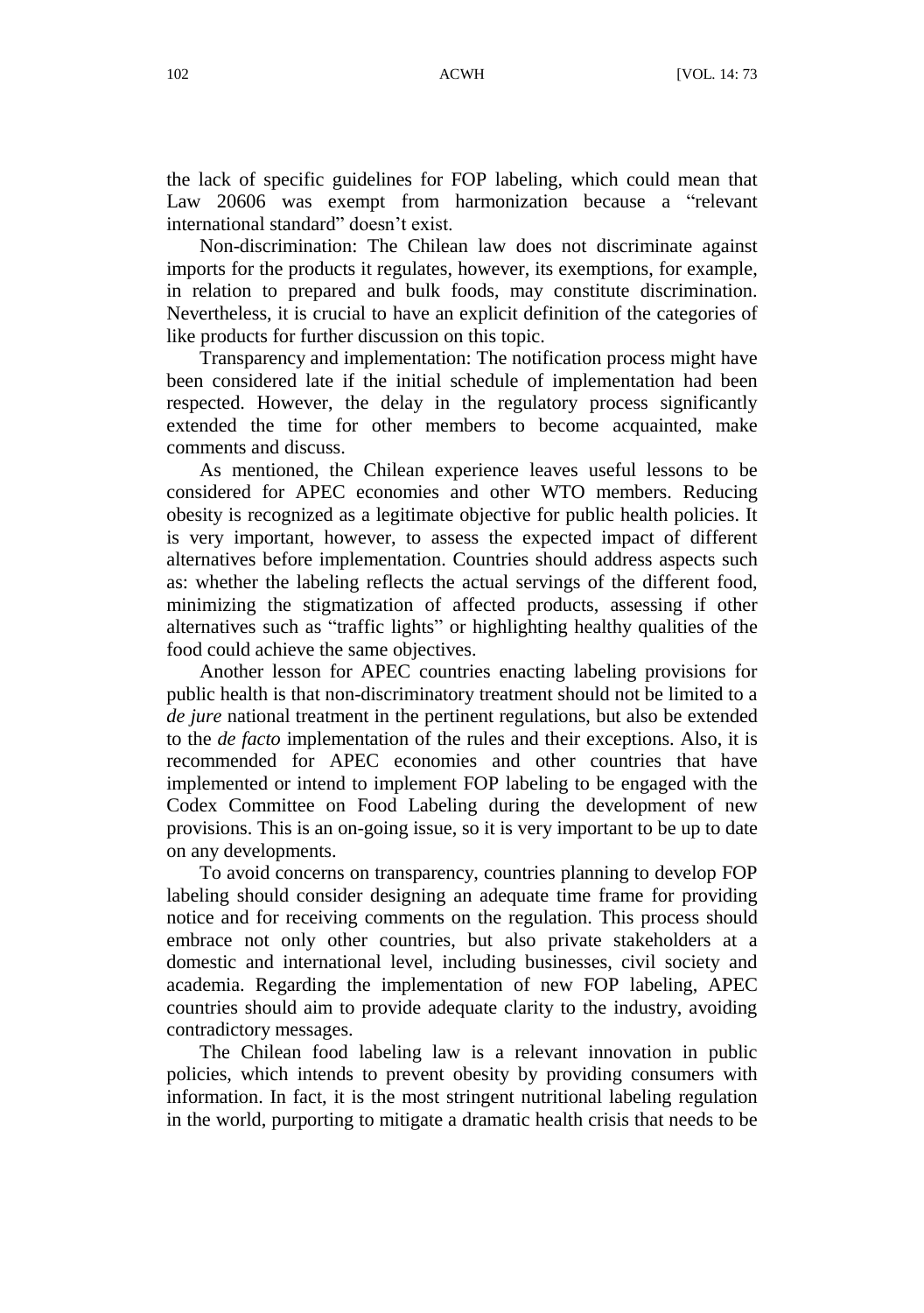the lack of specific guidelines for FOP labeling, which could mean that Law 20606 was exempt from harmonization because a "relevant international standard" doesn't exist.

Non-discrimination: The Chilean law does not discriminate against imports for the products it regulates, however, its exemptions, for example, in relation to prepared and bulk foods, may constitute discrimination. Nevertheless, it is crucial to have an explicit definition of the categories of like products for further discussion on this topic.

Transparency and implementation: The notification process might have been considered late if the initial schedule of implementation had been respected. However, the delay in the regulatory process significantly extended the time for other members to become acquainted, make comments and discuss.

As mentioned, the Chilean experience leaves useful lessons to be considered for APEC economies and other WTO members. Reducing obesity is recognized as a legitimate objective for public health policies. It is very important, however, to assess the expected impact of different alternatives before implementation. Countries should address aspects such as: whether the labeling reflects the actual servings of the different food, minimizing the stigmatization of affected products, assessing if other alternatives such as "traffic lights" or highlighting healthy qualities of the food could achieve the same objectives.

Another lesson for APEC countries enacting labeling provisions for public health is that non-discriminatory treatment should not be limited to a *de jure* national treatment in the pertinent regulations, but also be extended to the *de facto* implementation of the rules and their exceptions. Also, it is recommended for APEC economies and other countries that have implemented or intend to implement FOP labeling to be engaged with the Codex Committee on Food Labeling during the development of new provisions. This is an on-going issue, so it is very important to be up to date on any developments.

To avoid concerns on transparency, countries planning to develop FOP labeling should consider designing an adequate time frame for providing notice and for receiving comments on the regulation. This process should embrace not only other countries, but also private stakeholders at a domestic and international level, including businesses, civil society and academia. Regarding the implementation of new FOP labeling, APEC countries should aim to provide adequate clarity to the industry, avoiding contradictory messages.

The Chilean food labeling law is a relevant innovation in public policies, which intends to prevent obesity by providing consumers with information. In fact, it is the most stringent nutritional labeling regulation in the world, purporting to mitigate a dramatic health crisis that needs to be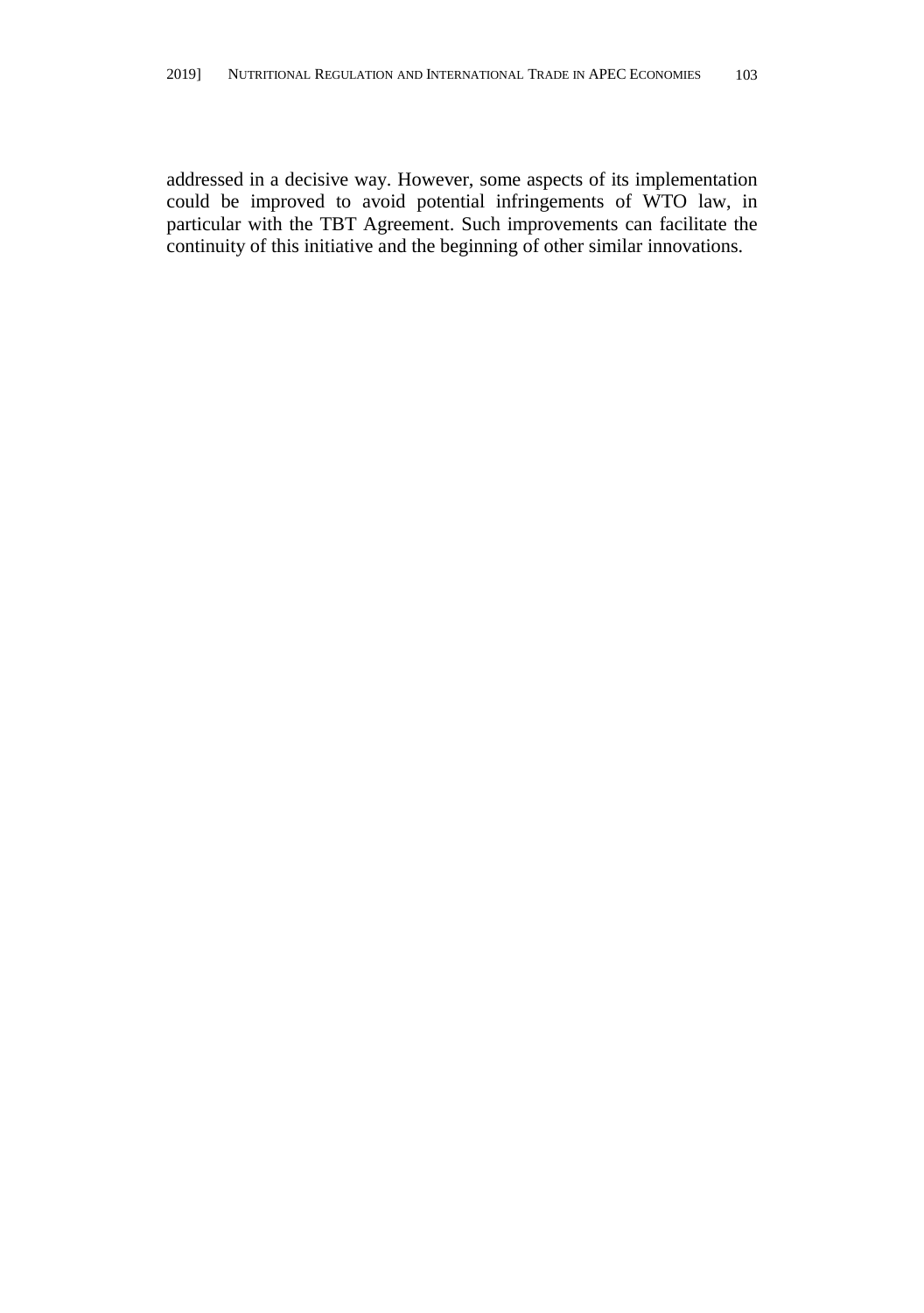addressed in a decisive way. However, some aspects of its implementation could be improved to avoid potential infringements of WTO law, in particular with the TBT Agreement. Such improvements can facilitate the continuity of this initiative and the beginning of other similar innovations.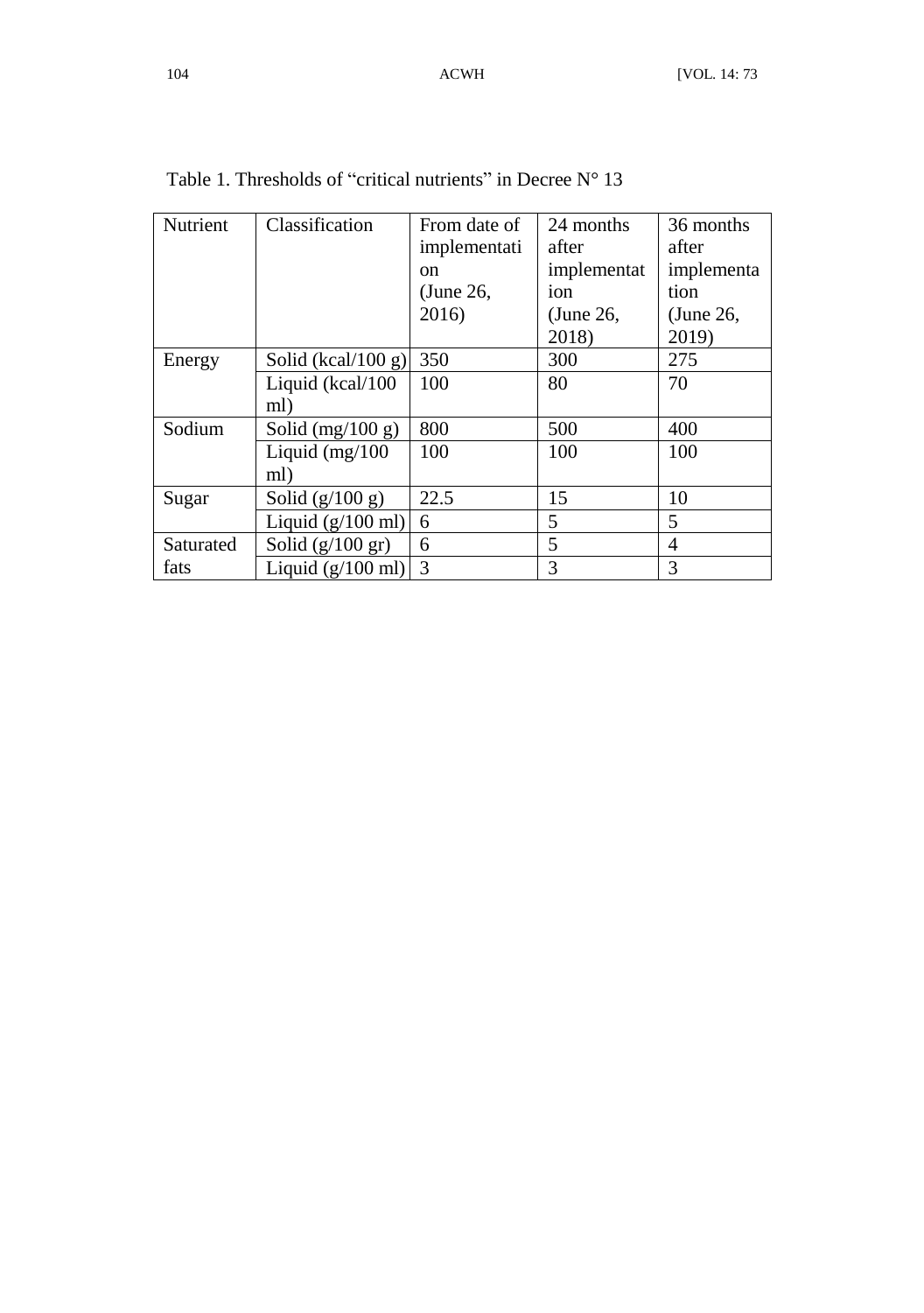| Nutrient  | Classification             | From date of | 24 months   | 36 months       |
|-----------|----------------------------|--------------|-------------|-----------------|
|           |                            | implementati | after       | after           |
|           |                            | on           | implementat | implementa      |
|           |                            | (June 26,    | ion         | tion            |
|           |                            | 2016)        | (June 26,   | $\mu$ (June 26, |
|           |                            |              | 2018)       | 2019)           |
| Energy    | Solid (kcal/100 g)         | 350          | 300         | 275             |
|           | Liquid (kcal/100           | 100          | 80          | 70              |
|           | ml)                        |              |             |                 |
| Sodium    | Solid $(mg/100 g)$         | 800          | 500         | 400             |
|           | Liquid $(mg/100)$          | 100          | 100         | 100             |
|           | ml)                        |              |             |                 |
| Sugar     | Solid $(g/100 g)$          | 22.5         | 15          | 10              |
|           | Liquid $(g/100$ ml)        | 6            | 5           | 5               |
| Saturated | Solid $(g/100 \text{ gr})$ | 6            | 5           | $\overline{4}$  |
| fats      | Liquid $(g/100$ ml)        | 3            | 3           | 3               |

Table 1. Thresholds of "critical nutrients" in Decree  $N^{\circ}$  13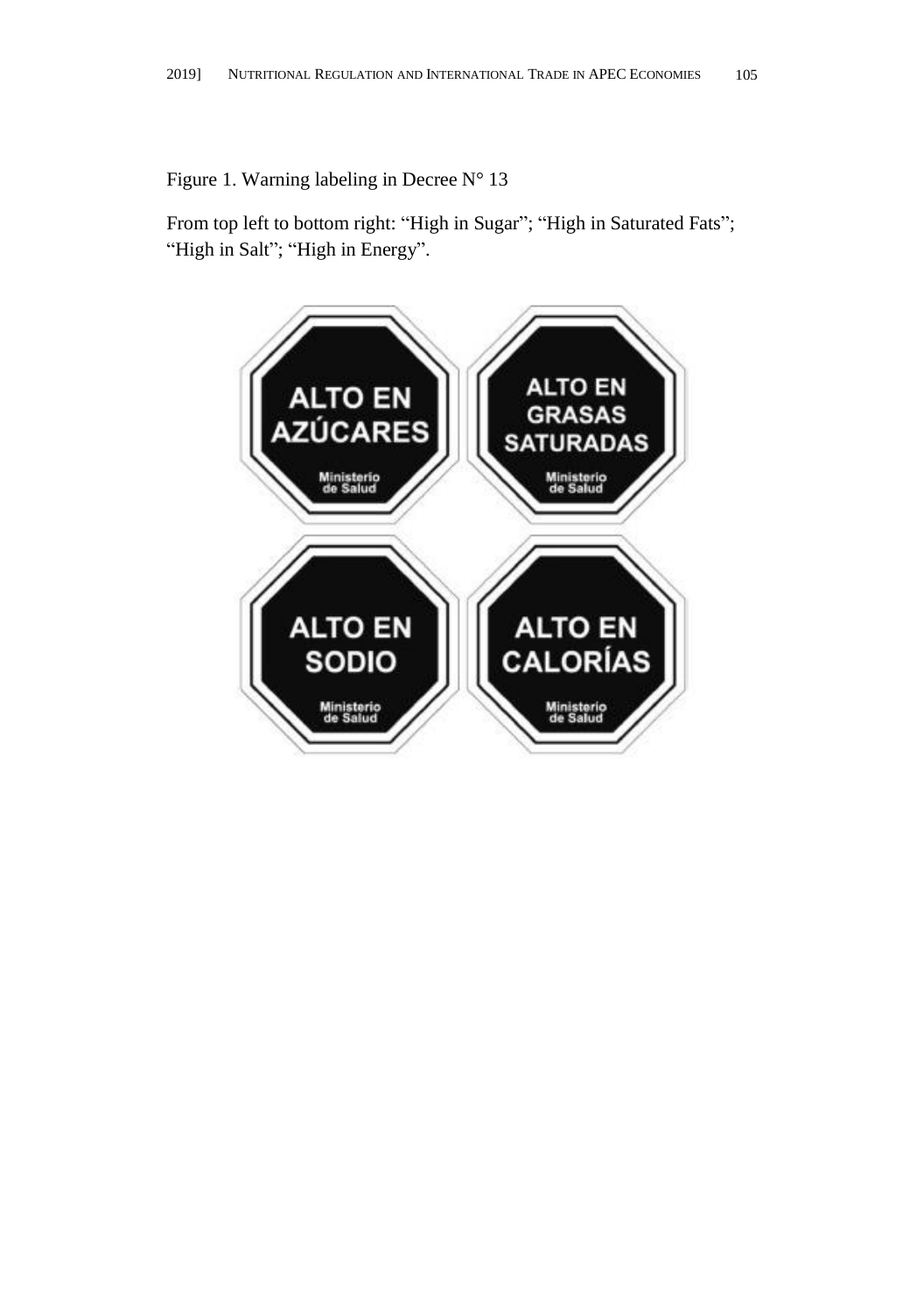Figure 1. Warning labeling in Decree N° 13

From top left to bottom right: "High in Sugar"; "High in Saturated Fats"; "High in Salt"; "High in Energy".

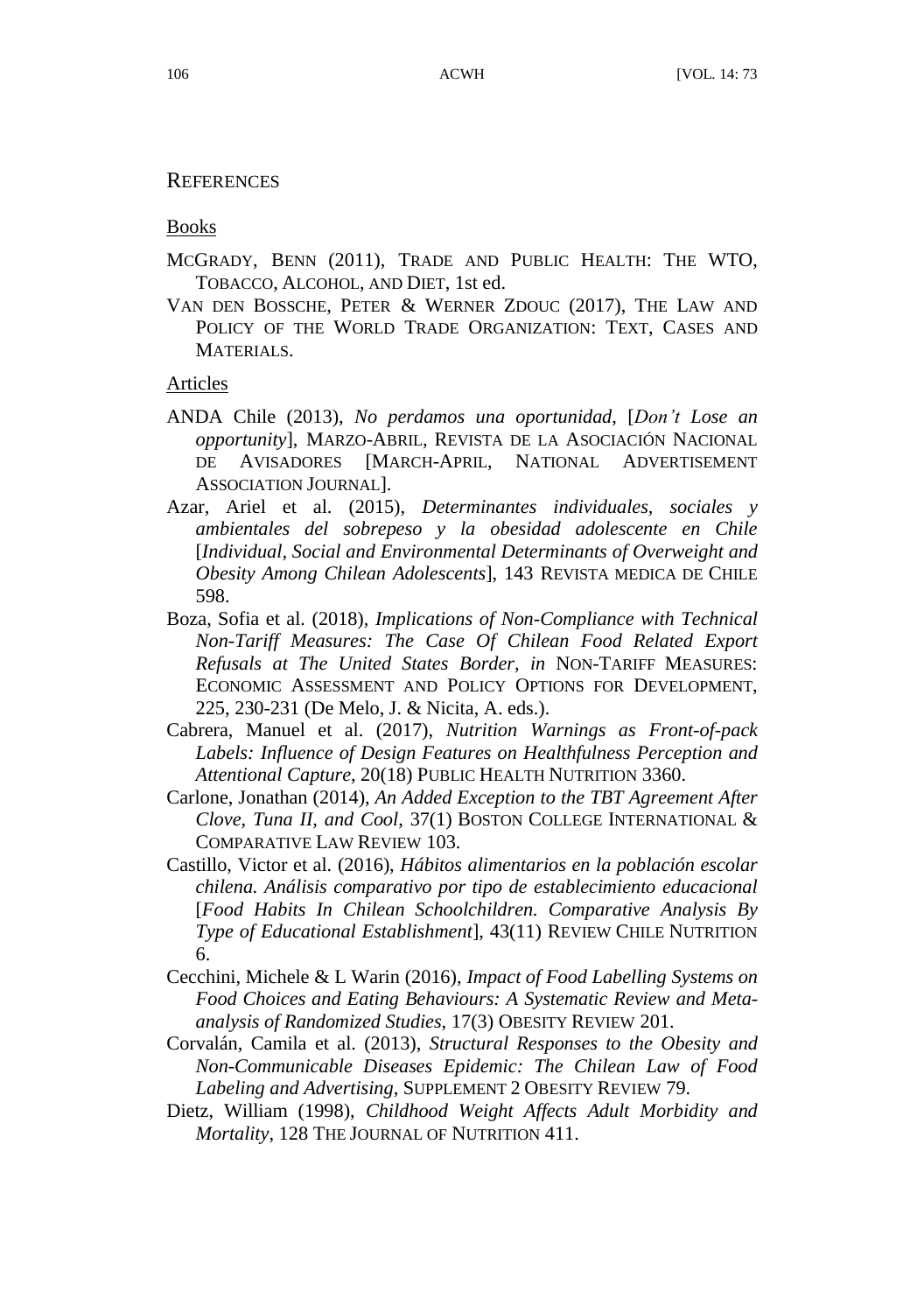#### **REFERENCES**

Books

- MCGRADY, BENN (2011), TRADE AND PUBLIC HEALTH: THE WTO, TOBACCO, ALCOHOL, AND DIET, 1st ed.
- VAN DEN BOSSCHE, PETER & WERNER ZDOUC (2017), THE LAW AND POLICY OF THE WORLD TRADE ORGANIZATION: TEXT, CASES AND MATERIALS.

#### Articles

- ANDA Chile (2013), *No perdamos una oportunidad*, [*Don't Lose an opportunity*], MARZO-ABRIL, REVISTA DE LA ASOCIACIÓ N NACIONAL DE AVISADORES [MARCH-APRIL, NATIONAL ADVERTISEMENT ASSOCIATION JOURNAL].
- Azar, Ariel et al. (2015), *Determinantes individuales, sociales y ambientales del sobrepeso y la obesidad adolescente en Chile*  [*Individual, Social and Environmental Determinants of Overweight and Obesity Among Chilean Adolescents*], 143 REVISTA MEDICA DE CHILE 598.
- Boza, Sofia et al. (2018), *Implications of Non-Compliance with Technical Non-Tariff Measures: The Case Of Chilean Food Related Export Refusals at The United States Border*, *in* NON-TARIFF MEASURES: ECONOMIC ASSESSMENT AND POLICY OPTIONS FOR DEVELOPMENT, 225, 230-231 (De Melo, J. & Nicita, A. eds.).
- Cabrera, Manuel et al. (2017), *Nutrition Warnings as Front-of-pack Labels: Influence of Design Features on Healthfulness Perception and Attentional Capture*, 20(18) PUBLIC HEALTH NUTRITION 3360.
- Carlone, Jonathan (2014), *An Added Exception to the TBT Agreement After Clove, Tuna II, and Cool*, 37(1) BOSTON COLLEGE INTERNATIONAL & COMPARATIVE LAW REVIEW 103.
- Castillo, Victor et al. (2016), *Hábitos alimentarios en la población escolar chilena. Análisis comparativo por tipo de establecimiento educacional*  [*Food Habits In Chilean Schoolchildren. Comparative Analysis By Type of Educational Establishment*], 43(11) REVIEW CHILE NUTRITION 6.
- Cecchini, Michele & L Warin (2016), *Impact of Food Labelling Systems on Food Choices and Eating Behaviours: A Systematic Review and Metaanalysis of Randomized Studies*, 17(3) OBESITY REVIEW 201.
- Corvalán, Camila et al. (2013), *Structural Responses to the Obesity and Non-Communicable Diseases Epidemic: The Chilean Law of Food Labeling and Advertising*, SUPPLEMENT 2 OBESITY REVIEW 79.
- Dietz, William (1998), *Childhood Weight Affects Adult Morbidity and Mortality*, 128 THE JOURNAL OF NUTRITION 411.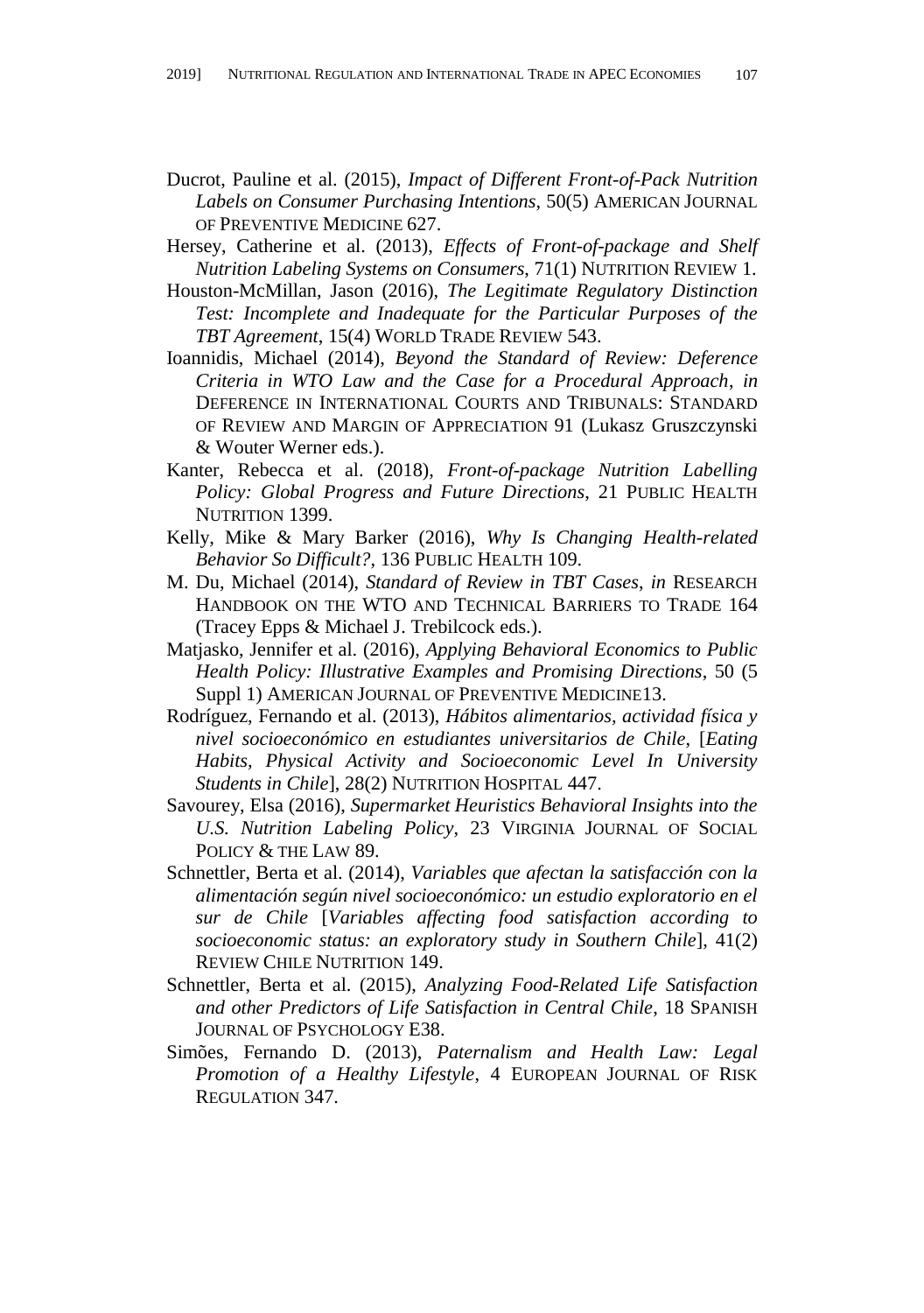- Ducrot, Pauline et al. (2015), *Impact of Different Front-of-Pack Nutrition Labels on Consumer Purchasing Intentions*, 50(5) AMERICAN JOURNAL OF PREVENTIVE MEDICINE 627.
- Hersey, Catherine et al. (2013), *Effects of Front-of-package and Shelf Nutrition Labeling Systems on Consumers*, 71(1) NUTRITION REVIEW 1.
- Houston-McMillan, Jason (2016), *The Legitimate Regulatory Distinction Test: Incomplete and Inadequate for the Particular Purposes of the TBT Agreement*, 15(4) WORLD TRADE REVIEW 543.
- Ioannidis, Michael (2014), *Beyond the Standard of Review: Deference Criteria in WTO Law and the Case for a Procedural Approach*, *in* DEFERENCE IN INTERNATIONAL COURTS AND TRIBUNALS: STANDARD OF REVIEW AND MARGIN OF APPRECIATION 91 (Lukasz Gruszczynski & Wouter Werner eds.).
- Kanter, Rebecca et al. (2018), *Front-of-package Nutrition Labelling Policy: Global Progress and Future Directions*, 21 PUBLIC HEALTH NUTRITION 1399.
- Kelly, Mike & Mary Barker (2016), *Why Is Changing Health-related Behavior So Difficult?*, 136 PUBLIC HEALTH 109.
- M. Du, Michael (2014), *Standard of Review in TBT Cases*, *in* RESEARCH HANDBOOK ON THE WTO AND TECHNICAL BARRIERS TO TRADE 164 (Tracey Epps & Michael J. Trebilcock eds.).
- Matjasko, Jennifer et al. (2016), *Applying Behavioral Economics to Public Health Policy: Illustrative Examples and Promising Directions*, 50 (5 Suppl 1) AMERICAN JOURNAL OF PREVENTIVE MEDICINE13.
- Rodríguez, Fernando et al. (2013), *Hábitos alimentarios, actividad física y nivel socioeconómico en estudiantes universitarios de Chile*, [*Eating Habits, Physical Activity and Socioeconomic Level In University Students in Chile*], 28(2) NUTRITION HOSPITAL 447.
- Savourey, Elsa (2016), *Supermarket Heuristics Behavioral Insights into the U.S. Nutrition Labeling Policy*, 23 VIRGINIA JOURNAL OF SOCIAL POLICY & THE LAW 89.
- Schnettler, Berta et al. (2014), *Variables que afectan la satisfacción con la alimentación según nivel socioeconómico: un estudio exploratorio en el sur de Chile* [*Variables affecting food satisfaction according to socioeconomic status: an exploratory study in Southern Chile*], 41(2) REVIEW CHILE NUTRITION 149.
- Schnettler, Berta et al. (2015), *Analyzing Food-Related Life Satisfaction and other Predictors of Life Satisfaction in Central Chile*, 18 SPANISH JOURNAL OF PSYCHOLOGY E38.
- Simões, Fernando D. (2013), *Paternalism and Health Law: Legal Promotion of a Healthy Lifestyle*, 4 EUROPEAN JOURNAL OF RISK REGULATION 347.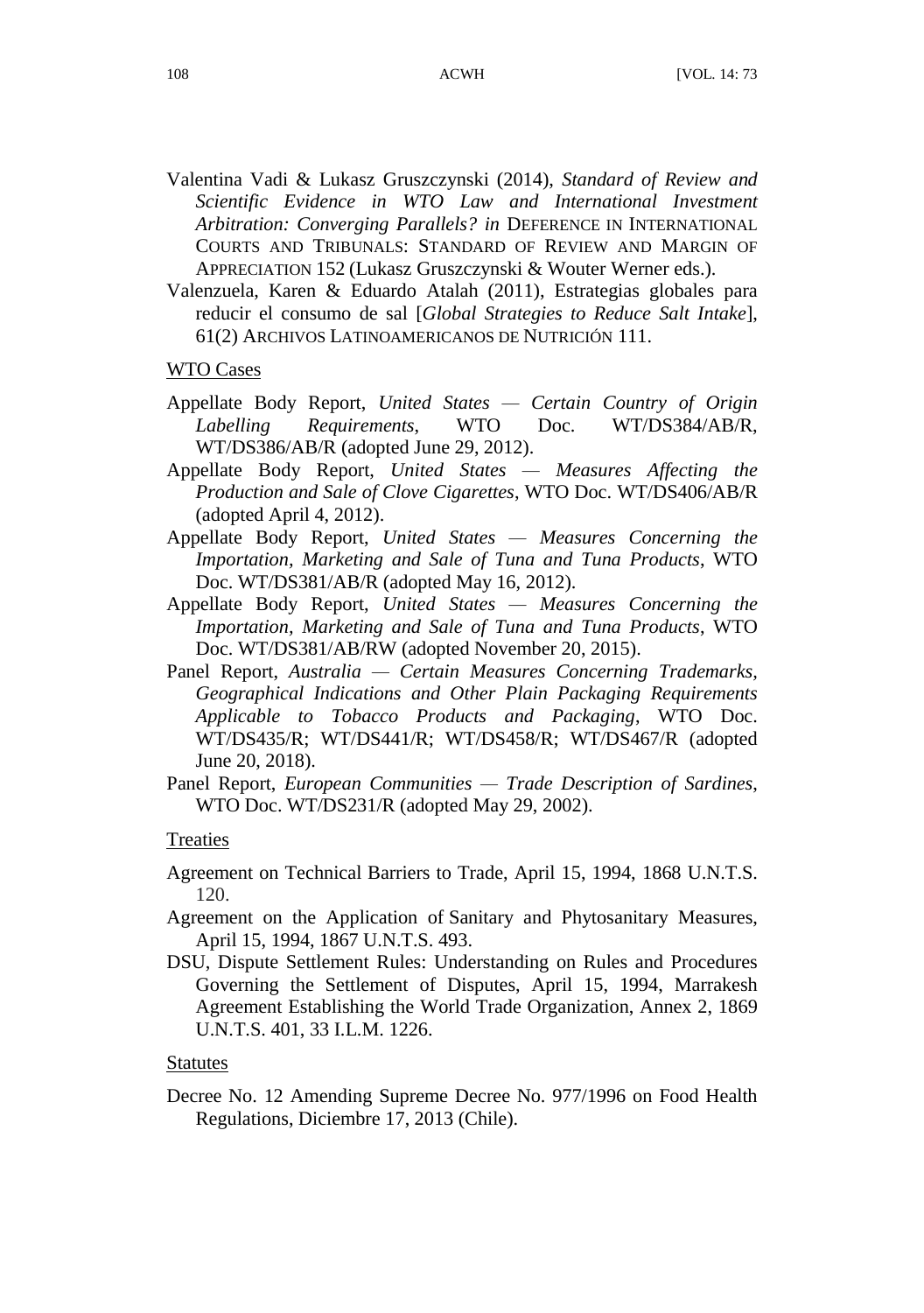- Valentina Vadi & Lukasz Gruszczynski (2014), *Standard of Review and Scientific Evidence in WTO Law and International Investment Arbitration: Converging Parallels? in* DEFERENCE IN INTERNATIONAL COURTS AND TRIBUNALS: STANDARD OF REVIEW AND MARGIN OF APPRECIATION 152 (Lukasz Gruszczynski & Wouter Werner eds.).
- Valenzuela, Karen & Eduardo Atalah (2011), Estrategias globales para reducir el consumo de sal [*Global Strategies to Reduce Salt Intake*], 61(2) ARCHIVOS LATINOAMERICANOS DE NUTRICIÓ N 111.

# WTO Cases

- Appellate Body Report, *United States — Certain Country of Origin Labelling Requirements*, WTO Doc. WT/DS384/AB/R, WT/DS386/AB/R (adopted June 29, 2012).
- Appellate Body Report, *United States — Measures Affecting the Production and Sale of Clove Cigarettes*, WTO Doc. WT/DS406/AB/R (adopted April 4, 2012).
- Appellate Body Report, *United States — Measures Concerning the Importation, Marketing and Sale of Tuna and Tuna Products*, WTO Doc. WT/DS381/AB/R (adopted May 16, 2012).
- Appellate Body Report, *United States — Measures Concerning the Importation, Marketing and Sale of Tuna and Tuna Products*, WTO Doc. WT/DS381/AB/RW (adopted November 20, 2015).
- Panel Report, *Australia — Certain Measures Concerning Trademarks, Geographical Indications and Other Plain Packaging Requirements Applicable to Tobacco Products and Packaging*, WTO Doc. WT/DS435/R; WT/DS441/R; WT/DS458/R; WT/DS467/R (adopted June 20, 2018).
- Panel Report, *European Communities — Trade Description of Sardines*, WTO Doc. WT/DS231/R (adopted May 29, 2002).

#### Treaties

- Agreement on Technical Barriers to Trade, April 15, 1994, 1868 U.N.T.S. 120.
- Agreement on the Application of Sanitary and Phytosanitary Measures, April 15, 1994, 1867 U.N.T.S. 493.
- DSU, Dispute Settlement Rules: Understanding on Rules and Procedures Governing the Settlement of Disputes, April 15, 1994, Marrakesh Agreement Establishing the World Trade Organization, Annex 2, 1869 U.N.T.S. 401, 33 I.L.M. 1226.

# Statutes

Decree No. 12 Amending Supreme Decree No. 977/1996 on Food Health Regulations, Diciembre 17, 2013 (Chile).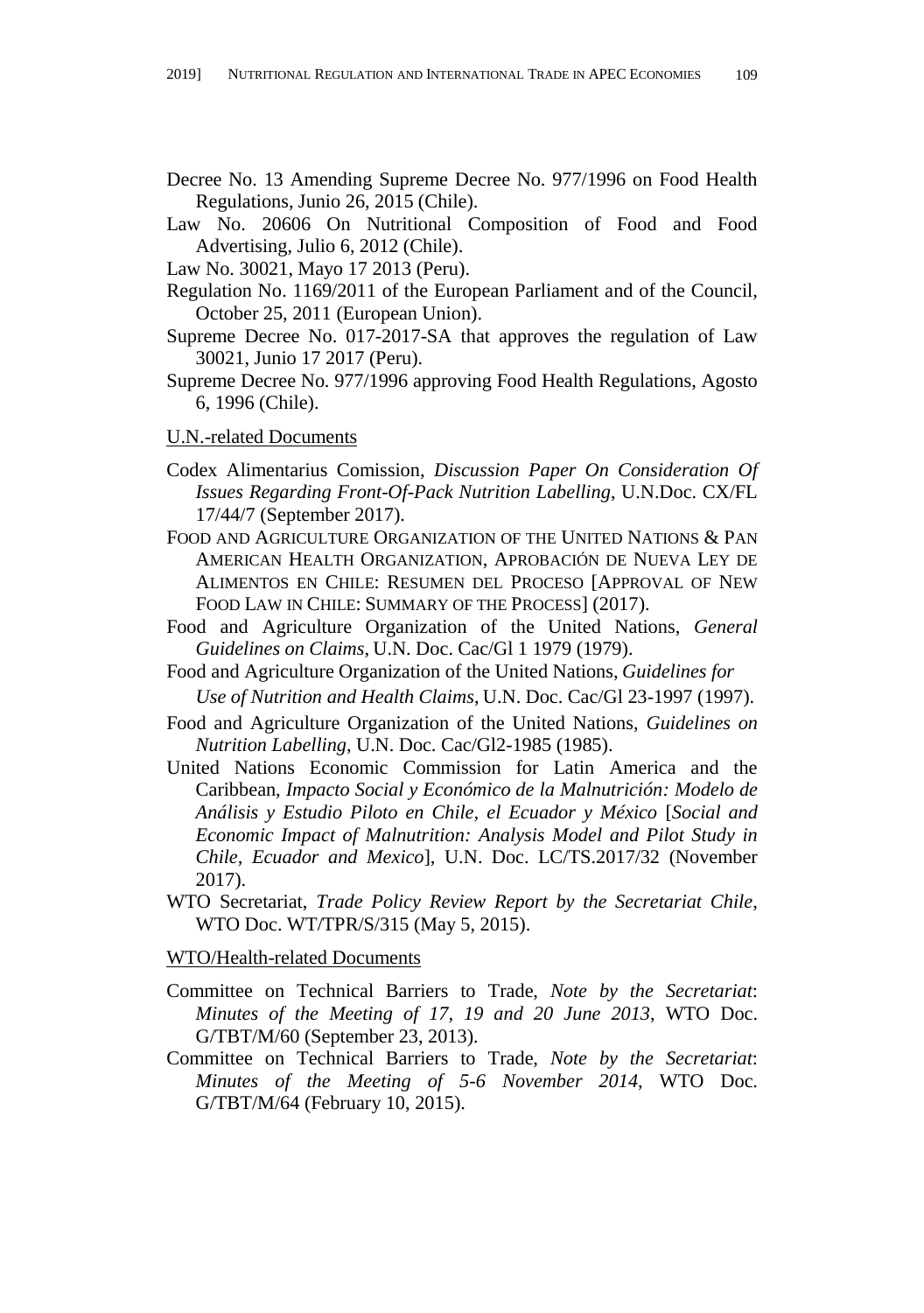- Decree No. 13 Amending Supreme Decree No. 977/1996 on Food Health Regulations, Junio 26, 2015 (Chile).
- Law No. 20606 On Nutritional Composition of Food and Food Advertising, Julio 6, 2012 (Chile).
- Law No. 30021, Mayo 17 2013 (Peru).
- Regulation No. 1169/2011 of the European Parliament and of the Council, October 25, 2011 (European Union).
- Supreme Decree No. 017-2017-SA that approves the regulation of Law 30021, Junio 17 2017 (Peru).
- Supreme Decree No. 977/1996 approving Food Health Regulations, Agosto 6, 1996 (Chile).

#### U.N.-related Documents

- Codex Alimentarius Comission, *Discussion Paper On Consideration Of Issues Regarding Front-Of-Pack Nutrition Labelling*, U.N.Doc. CX/FL 17/44/7 (September 2017).
- FOOD AND AGRICULTURE ORGANIZATION OF THE UNITED NATIONS & PAN AMERICAN HEALTH ORGANIZATION, APROBACIÓ N DE NUEVA LEY DE ALIMENTOS EN CHILE: RESUMEN DEL PROCESO [APPROVAL OF NEW FOOD LAW IN CHILE: SUMMARY OF THE PROCESS] (2017).
- Food and Agriculture Organization of the United Nations, *General Guidelines on Claims*, U.N. Doc. Cac/Gl 1 1979 (1979).
- Food and Agriculture Organization of the United Nations, *Guidelines for Use of Nutrition and Health Claims*, U.N. Doc. Cac/Gl 23-1997 (1997).
- Food and Agriculture Organization of the United Nations, *Guidelines on Nutrition Labelling*, U.N. Doc. Cac/Gl2-1985 (1985).
- United Nations Economic Commission for Latin America and the Caribbean, *Impacto Social y Económico de la Malnutrición: Modelo de Análisis y Estudio Piloto en Chile, el Ecuador y México* [*Social and Economic Impact of Malnutrition: Analysis Model and Pilot Study in Chile, Ecuador and Mexico*], U.N. Doc. LC/TS.2017/32 (November 2017).
- WTO Secretariat, *Trade Policy Review Report by the Secretariat Chile*, WTO Doc. WT/TPR/S/315 (May 5, 2015).

#### WTO/Health-related Documents

- Committee on Technical Barriers to Trade, *Note by the Secretariat*: *Minutes of the Meeting of 17, 19 and 20 June 2013*, WTO Doc. G/TBT/M/60 (September 23, 2013).
- Committee on Technical Barriers to Trade, *Note by the Secretariat*: *Minutes of the Meeting of 5-6 November 2014*, WTO Doc. G/TBT/M/64 (February 10, 2015).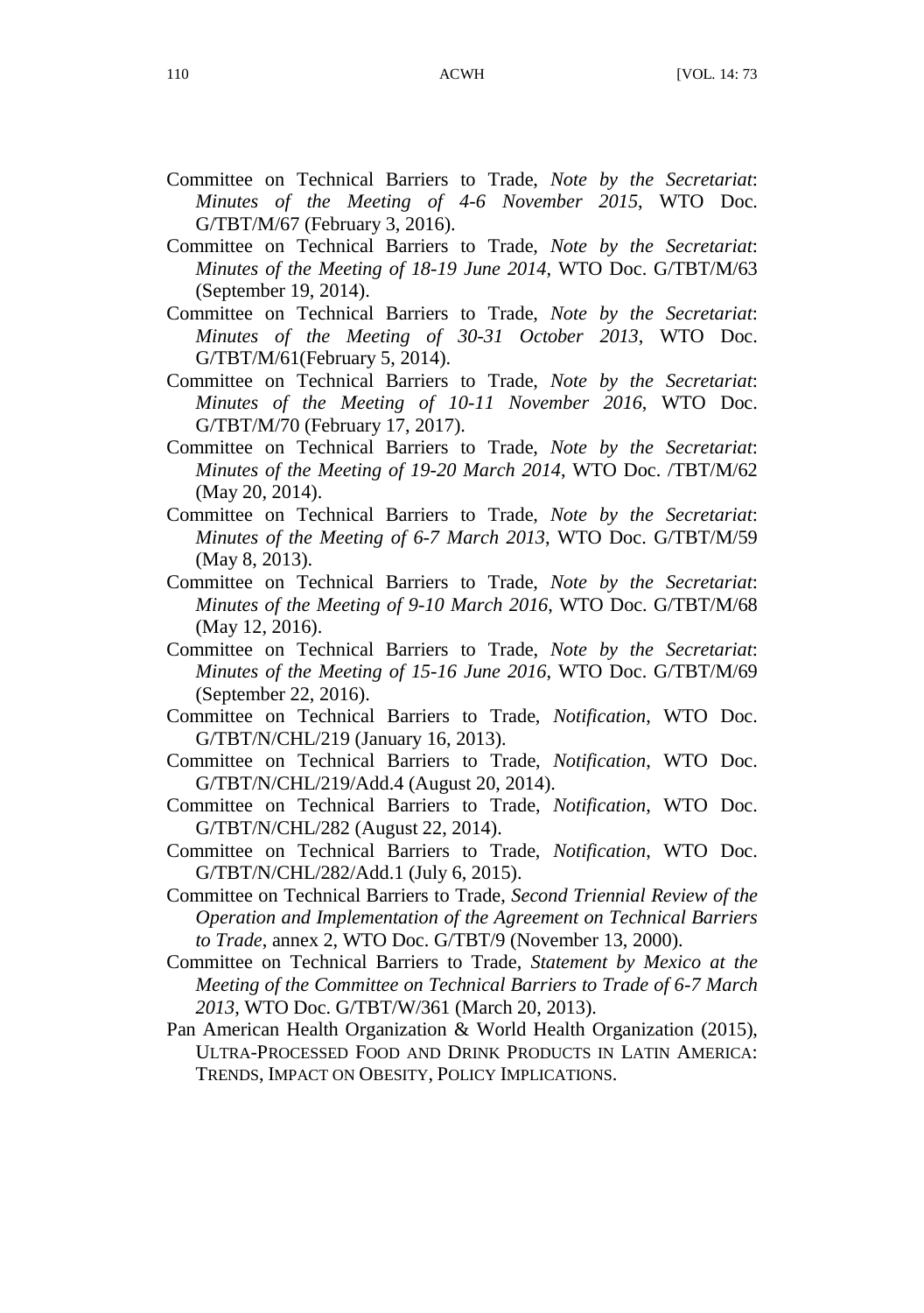- Committee on Technical Barriers to Trade, *Note by the Secretariat*: *Minutes of the Meeting of 4-6 November 2015*, WTO Doc. G/TBT/M/67 (February 3, 2016).
- Committee on Technical Barriers to Trade, *Note by the Secretariat*: *Minutes of the Meeting of 18-19 June 2014*, WTO Doc. G/TBT/M/63 (September 19, 2014).
- Committee on Technical Barriers to Trade, *Note by the Secretariat*: *Minutes of the Meeting of 30-31 October 2013*, WTO Doc. G/TBT/M/61(February 5, 2014).
- Committee on Technical Barriers to Trade, *Note by the Secretariat*: *Minutes of the Meeting of 10-11 November 2016*, WTO Doc. G/TBT/M/70 (February 17, 2017).
- Committee on Technical Barriers to Trade, *Note by the Secretariat*: *Minutes of the Meeting of 19-20 March 2014*, WTO Doc. /TBT/M/62 (May 20, 2014).
- Committee on Technical Barriers to Trade, *Note by the Secretariat*: *Minutes of the Meeting of 6-7 March 2013*, WTO Doc. G/TBT/M/59 (May 8, 2013).
- Committee on Technical Barriers to Trade, *Note by the Secretariat*: *Minutes of the Meeting of 9-10 March 2016*, WTO Doc. G/TBT/M/68 (May 12, 2016).
- Committee on Technical Barriers to Trade, *Note by the Secretariat*: *Minutes of the Meeting of 15-16 June 2016*, WTO Doc. G/TBT/M/69 (September 22, 2016).
- Committee on Technical Barriers to Trade, *Notification*, WTO Doc. G/TBT/N/CHL/219 (January 16, 2013).
- Committee on Technical Barriers to Trade, *Notification*, WTO Doc. G/TBT/N/CHL/219/Add.4 (August 20, 2014).
- Committee on Technical Barriers to Trade, *Notification*, WTO Doc. G/TBT/N/CHL/282 (August 22, 2014).
- Committee on Technical Barriers to Trade, *Notification*, WTO Doc. G/TBT/N/CHL/282/Add.1 (July 6, 2015).
- Committee on Technical Barriers to Trade, *Second Triennial Review of the Operation and Implementation of the Agreement on Technical Barriers to Trade*, annex 2, WTO Doc. G/TBT/9 (November 13, 2000).
- Committee on Technical Barriers to Trade, *Statement by Mexico at the Meeting of the Committee on Technical Barriers to Trade of 6-7 March 2013*, WTO Doc. G/TBT/W/361 (March 20, 2013).
- Pan American Health Organization & World Health Organization (2015), ULTRA-PROCESSED FOOD AND DRINK PRODUCTS IN LATIN AMERICA: TRENDS, IMPACT ON OBESITY, POLICY IMPLICATIONS.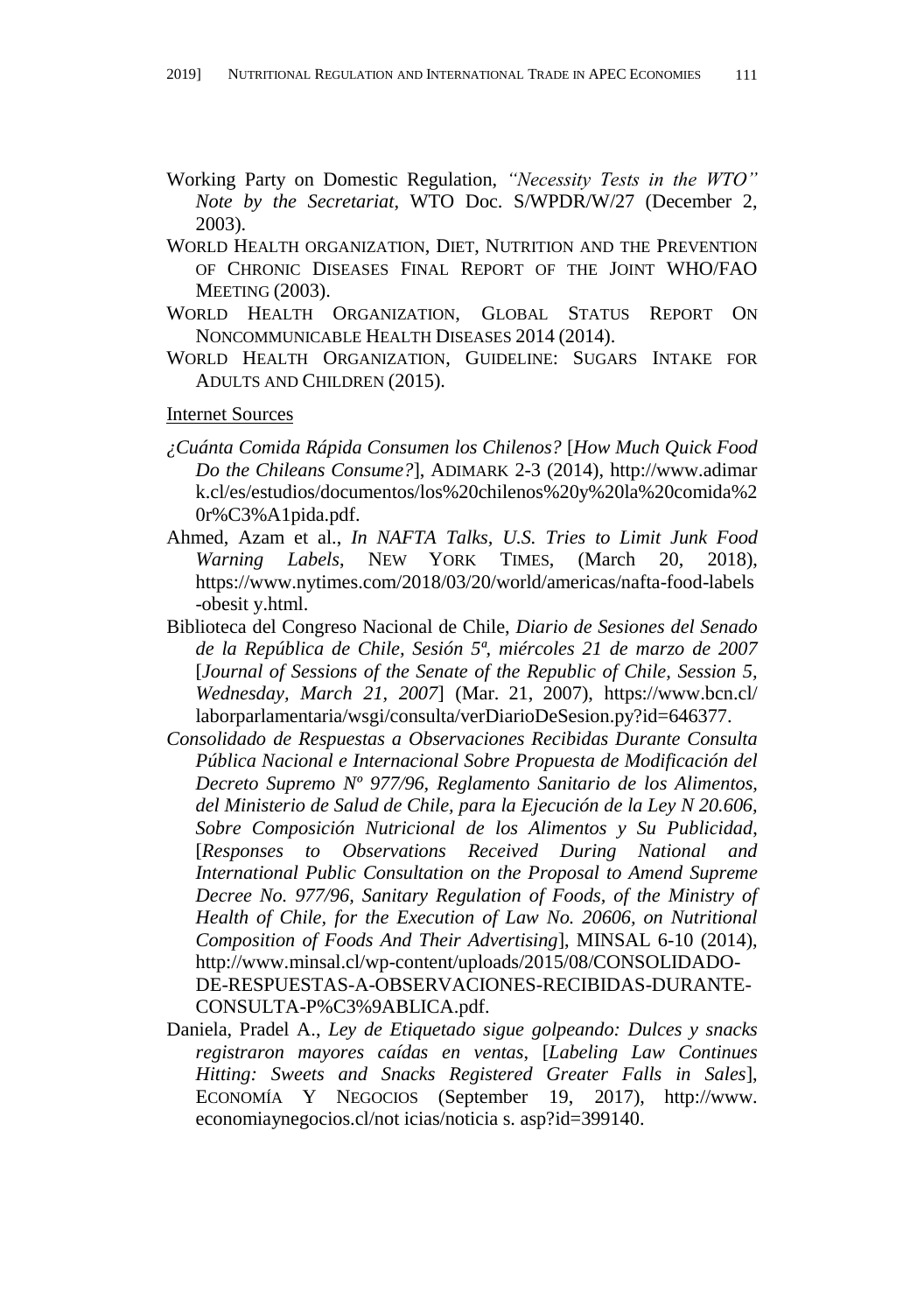- Working Party on Domestic Regulation, *"Necessity Tests in the WTO" Note by the Secretariat*, WTO Doc. S/WPDR/W/27 (December 2, 2003).
- WORLD HEALTH ORGANIZATION, DIET, NUTRITION AND THE PREVENTION OF CHRONIC DISEASES FINAL REPORT OF THE JOINT WHO/FAO MEETING (2003).
- WORLD HEALTH ORGANIZATION, GLOBAL STATUS REPORT ON NONCOMMUNICABLE HEALTH DISEASES 2014 (2014).
- WORLD HEALTH ORGANIZATION, GUIDELINE: SUGARS INTAKE FOR ADULTS AND CHILDREN (2015).

Internet Sources

- *¿Cuánta Comida Rápida Consumen los Chilenos?* [*How Much Quick Food Do the Chileans Consume?*], ADIMARK 2-3 (2014), http://www.adimar k.cl/es/estudios/documentos/los%20chilenos%20y%20la%20comida%2 0r%C3%A1pida.pdf.
- Ahmed, Azam et al., *In NAFTA Talks, U.S. Tries to Limit Junk Food Warning Labels*, NEW YORK TIMES, (March 20, 2018), https://www.nytimes.com/2018/03/20/world/americas/nafta-food-labels -obesit y.html.
- Biblioteca del Congreso Nacional de Chile, *Diario de Sesiones del Senado de la República de Chile, Sesión 5ª, miércoles 21 de marzo de 2007*  [*Journal of Sessions of the Senate of the Republic of Chile, Session 5, Wednesday, March 21, 2007*] (Mar. 21, 2007), https://www.bcn.cl/ laborparlamentaria/wsgi/consulta/verDiarioDeSesion.py?id=646377.
- *Consolidado de Respuestas a Observaciones Recibidas Durante Consulta Pública Nacional e Internacional Sobre Propuesta de Modificación del Decreto Supremo Nº 977/96, Reglamento Sanitario de los Alimentos, del Ministerio de Salud de Chile, para la Ejecución de la Ley N 20.606, Sobre Composición Nutricional de los Alimentos y Su Publicidad*, [*Responses to Observations Received During National and International Public Consultation on the Proposal to Amend Supreme Decree No. 977/96, Sanitary Regulation of Foods, of the Ministry of Health of Chile, for the Execution of Law No. 20606, on Nutritional Composition of Foods And Their Advertising*], MINSAL 6-10 (2014), http://www.minsal.cl/wp-content/uploads/2015/08/CONSOLIDADO-DE-RESPUESTAS-A-OBSERVACIONES-RECIBIDAS-DURANTE-CONSULTA-P%C3%9ABLICA.pdf.
- Daniela, Pradel A., *Ley de Etiquetado sigue golpeando: Dulces y snacks registraron mayores caídas en ventas*, [*Labeling Law Continues Hitting: Sweets and Snacks Registered Greater Falls in Sales*], ECONOMÍA Y NEGOCIOS (September 19, 2017), http://www. economiaynegocios.cl/not icias/noticia s. asp?id=399140.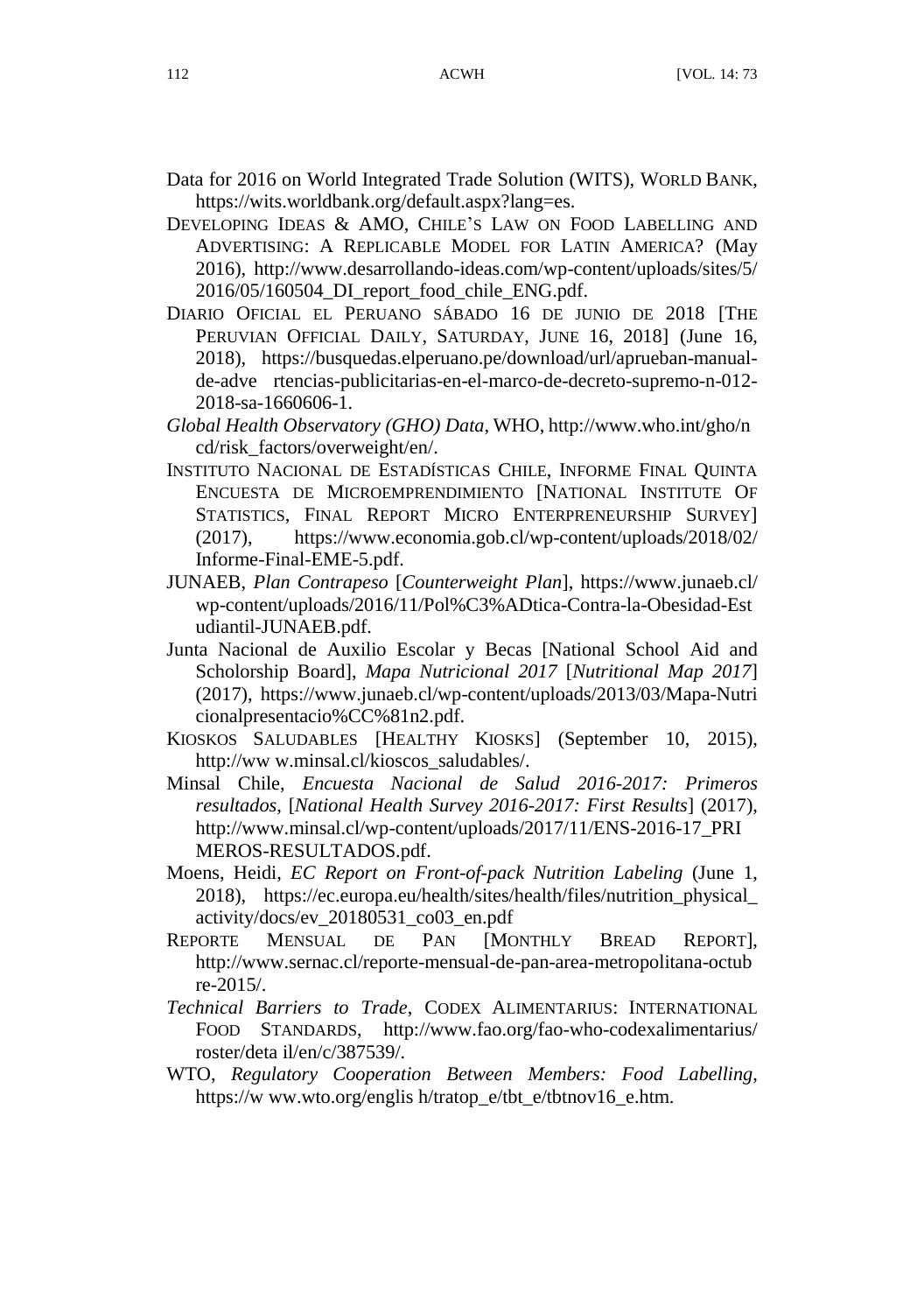- Data for 2016 on World Integrated Trade Solution (WITS), WORLD BANK, https://wits.worldbank.org/default.aspx?lang=es.
- DEVELOPING IDEAS & AMO, CHILE'S LAW ON FOOD LABELLING AND ADVERTISING: A REPLICABLE MODEL FOR LATIN AMERICA? (May 2016), http://www.desarrollando-ideas.com/wp-content/uploads/sites/5/ 2016/05/160504\_DI\_report\_food\_chile\_ENG.pdf.
- DIARIO OFICIAL EL PERUANO SÁ BADO 16 DE JUNIO DE 2018 [THE PERUVIAN OFFICIAL DAILY, SATURDAY, JUNE 16, 2018] (June 16, 2018), https://busquedas.elperuano.pe/download/url/aprueban-manualde-adve rtencias-publicitarias-en-el-marco-de-decreto-supremo-n-012- 2018-sa-1660606-1.
- *Global Health Observatory (GHO) Data*, WHO, http://www.who.int/gho/n cd/risk\_factors/overweight/en/.
- INSTITUTO NACIONAL DE ESTADÍSTICAS CHILE, INFORME FINAL QUINTA ENCUESTA DE MICROEMPRENDIMIENTO [NATIONAL INSTITUTE OF STATISTICS, FINAL REPORT MICRO ENTERPRENEURSHIP SURVEY] (2017), https://www.economia.gob.cl/wp-content/uploads/2018/02/ Informe-Final-EME-5.pdf.
- JUNAEB, *Plan Contrapeso* [*Counterweight Plan*], https://www.junaeb.cl/ wp-content/uploads/2016/11/Pol%C3%ADtica-Contra-la-Obesidad-Est udiantil-JUNAEB.pdf.
- Junta Nacional de Auxilio Escolar y Becas [National School Aid and Scholorship Board], *Mapa Nutricional 2017* [*Nutritional Map 2017*] (2017), https://www.junaeb.cl/wp-content/uploads/2013/03/Mapa-Nutri cionalpresentacio%CC%81n2.pdf.
- KIOSKOS SALUDABLES [HEALTHY KIOSKS] (September 10, 2015), http://ww w.minsal.cl/kioscos\_saludables/.
- Minsal Chile, *Encuesta Nacional de Salud 2016-2017: Primeros resultados*, [*National Health Survey 2016-2017: First Results*] (2017), http://www.minsal.cl/wp-content/uploads/2017/11/ENS-2016-17\_PRI MEROS-RESULTADOS.pdf.
- Moens, Heidi, *EC Report on Front-of-pack Nutrition Labeling* (June 1, 2018), https://ec.europa.eu/health/sites/health/files/nutrition\_physical\_ activity/docs/ev\_20180531\_co03\_en.pdf
- REPORTE MENSUAL DE PAN [MONTHLY BREAD REPORT], http://www.sernac.cl/reporte-mensual-de-pan-area-metropolitana-octub re-2015/.
- *Technical Barriers to Trade*, CODEX ALIMENTARIUS: INTERNATIONAL FOOD STANDARDS, http://www.fao.org/fao-who-codexalimentarius/ roster/deta il/en/c/387539/.
- WTO, *Regulatory Cooperation Between Members: Food Labelling*, https://w ww.wto.org/englis h/tratop\_e/tbt\_e/tbtnov16\_e.htm.